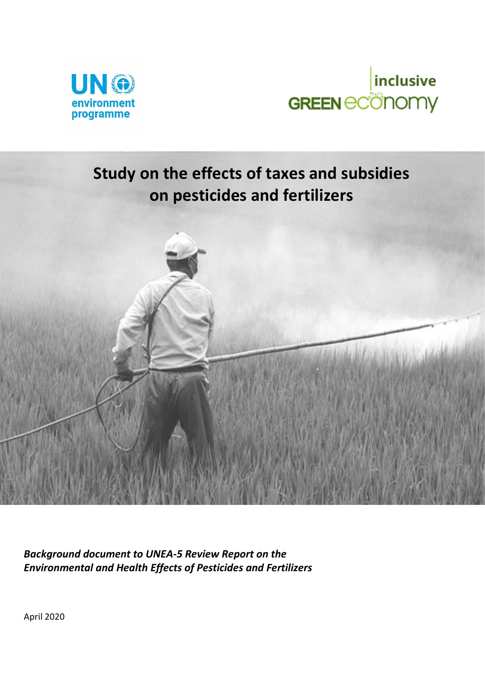



# **Study on the effects of taxes and subsidies on pesticides and fertilizers**



*Background document to UNEA-5 Review Report on the Environmental and Health Effects of Pesticides and Fertilizers*

April 2020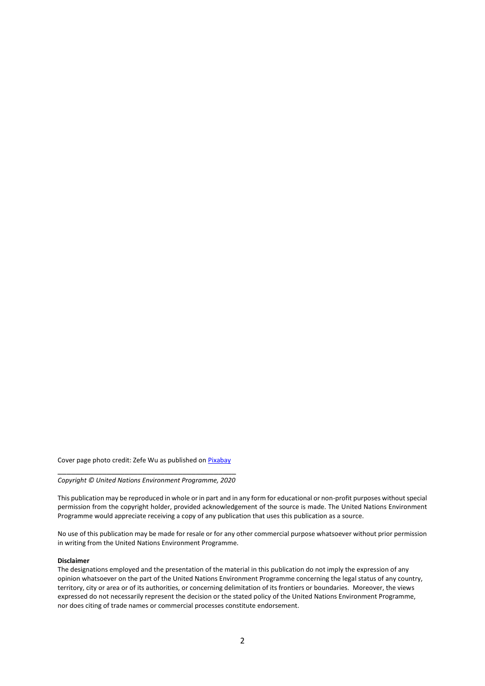Cover page photo credit: Zefe Wu as published o[n Pixabay](https://pixabay.com/photos/herbicide-avignon-in-rice-field-587589/)

\_\_\_\_\_\_\_\_\_\_\_\_\_\_\_\_\_\_\_\_\_\_\_\_\_\_\_\_\_\_\_\_\_\_\_\_\_\_\_\_ *Copyright © United Nations Environment Programme, 2020*

This publication may be reproduced in whole or in part and in any form for educational or non-profit purposes without special permission from the copyright holder, provided acknowledgement of the source is made. The United Nations Environment Programme would appreciate receiving a copy of any publication that uses this publication as a source.

No use of this publication may be made for resale or for any other commercial purpose whatsoever without prior permission in writing from the United Nations Environment Programme.

#### **Disclaimer**

The designations employed and the presentation of the material in this publication do not imply the expression of any opinion whatsoever on the part of the United Nations Environment Programme concerning the legal status of any country, territory, city or area or of its authorities, or concerning delimitation of its frontiers or boundaries. Moreover, the views expressed do not necessarily represent the decision or the stated policy of the United Nations Environment Programme, nor does citing of trade names or commercial processes constitute endorsement.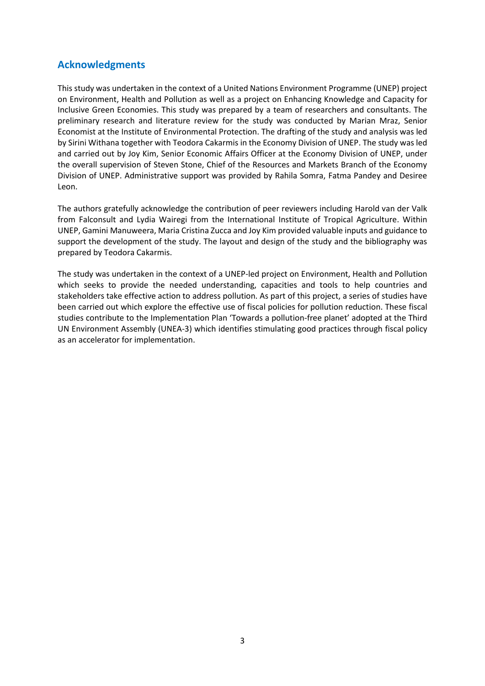### <span id="page-2-0"></span>**Acknowledgments**

This study was undertaken in the context of a United Nations Environment Programme (UNEP) project on Environment, Health and Pollution as well as a project on Enhancing Knowledge and Capacity for Inclusive Green Economies. This study was prepared by a team of researchers and consultants. The preliminary research and literature review for the study was conducted by Marian Mraz, Senior Economist at the Institute of Environmental Protection. The drafting of the study and analysis was led by Sirini Withana together with Teodora Cakarmis in the Economy Division of UNEP. The study was led and carried out by Joy Kim, Senior Economic Affairs Officer at the Economy Division of UNEP, under the overall supervision of Steven Stone, Chief of the Resources and Markets Branch of the Economy Division of UNEP. Administrative support was provided by Rahila Somra, Fatma Pandey and Desiree Leon.

The authors gratefully acknowledge the contribution of peer reviewers including Harold van der Valk from Falconsult and Lydia Wairegi from the International Institute of Tropical Agriculture. Within UNEP, Gamini Manuweera, Maria Cristina Zucca and Joy Kim provided valuable inputs and guidance to support the development of the study. The layout and design of the study and the bibliography was prepared by Teodora Cakarmis.

The study was undertaken in the context of a UNEP-led project on Environment, Health and Pollution which seeks to provide the needed understanding, capacities and tools to help countries and stakeholders take effective action to address pollution. As part of this project, a series of studies have been carried out which explore the effective use of fiscal policies for pollution reduction. These fiscal studies contribute to the Implementation Plan 'Towards a pollution-free planet' adopted at the Third UN Environment Assembly (UNEA-3) which identifies stimulating good practices through fiscal policy as an accelerator for implementation.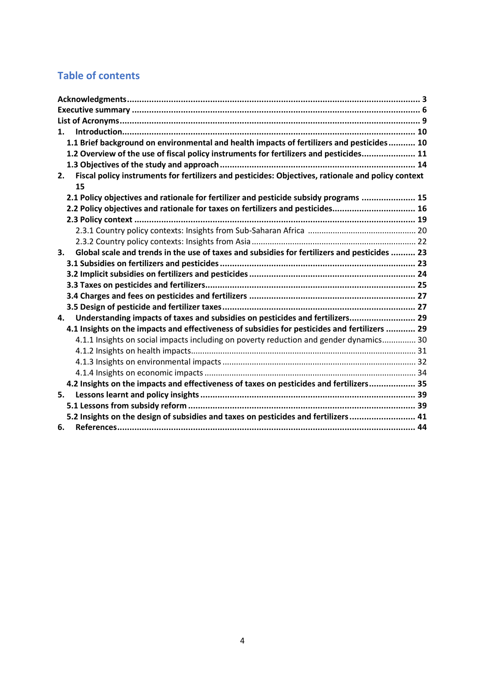# **Table of contents**

| 1.                                                                                                       |  |
|----------------------------------------------------------------------------------------------------------|--|
| 1.1 Brief background on environmental and health impacts of fertilizers and pesticides 10                |  |
| 1.2 Overview of the use of fiscal policy instruments for fertilizers and pesticides 11                   |  |
|                                                                                                          |  |
| Fiscal policy instruments for fertilizers and pesticides: Objectives, rationale and policy context<br>2. |  |
| 15                                                                                                       |  |
| 2.1 Policy objectives and rationale for fertilizer and pesticide subsidy programs  15                    |  |
| 2.2 Policy objectives and rationale for taxes on fertilizers and pesticides 16                           |  |
|                                                                                                          |  |
|                                                                                                          |  |
|                                                                                                          |  |
| Global scale and trends in the use of taxes and subsidies for fertilizers and pesticides  23<br>3.       |  |
|                                                                                                          |  |
|                                                                                                          |  |
|                                                                                                          |  |
|                                                                                                          |  |
|                                                                                                          |  |
| Understanding impacts of taxes and subsidies on pesticides and fertilizers 29<br>4.                      |  |
| 4.1 Insights on the impacts and effectiveness of subsidies for pesticides and fertilizers  29            |  |
| 4.1.1 Insights on social impacts including on poverty reduction and gender dynamics 30                   |  |
|                                                                                                          |  |
|                                                                                                          |  |
|                                                                                                          |  |
| 4.2 Insights on the impacts and effectiveness of taxes on pesticides and fertilizers 35                  |  |
| 5.                                                                                                       |  |
|                                                                                                          |  |
| 5.2 Insights on the design of subsidies and taxes on pesticides and fertilizers 41                       |  |
| 6.                                                                                                       |  |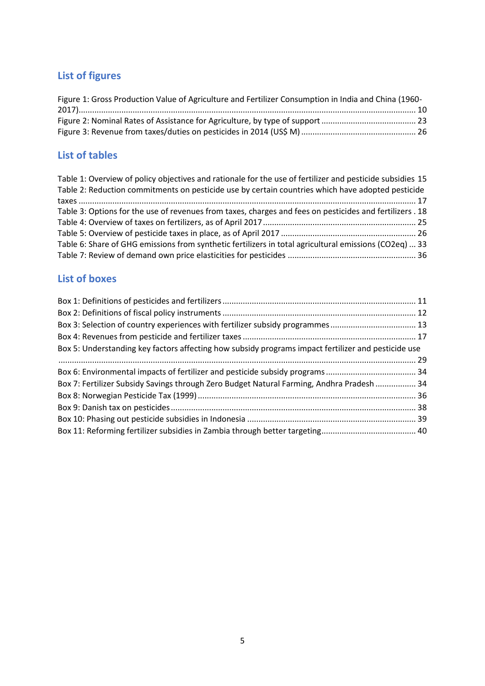# **List of figures**

| Figure 1: Gross Production Value of Agriculture and Fertilizer Consumption in India and China (1960- |  |
|------------------------------------------------------------------------------------------------------|--|
|                                                                                                      |  |
|                                                                                                      |  |
|                                                                                                      |  |

# **List of tables**

| Table 1: Overview of policy objectives and rationale for the use of fertilizer and pesticide subsidies 15 |  |
|-----------------------------------------------------------------------------------------------------------|--|
| Table 2: Reduction commitments on pesticide use by certain countries which have adopted pesticide         |  |
|                                                                                                           |  |
| Table 3: Options for the use of revenues from taxes, charges and fees on pesticides and fertilizers . 18  |  |
|                                                                                                           |  |
|                                                                                                           |  |
| Table 6: Share of GHG emissions from synthetic fertilizers in total agricultural emissions (CO2eq)  33    |  |
|                                                                                                           |  |

# **List of boxes**

| Box 5: Understanding key factors affecting how subsidy programs impact fertilizer and pesticide use |  |
|-----------------------------------------------------------------------------------------------------|--|
|                                                                                                     |  |
|                                                                                                     |  |
| Box 7: Fertilizer Subsidy Savings through Zero Budget Natural Farming, Andhra Pradesh  34           |  |
|                                                                                                     |  |
|                                                                                                     |  |
|                                                                                                     |  |
|                                                                                                     |  |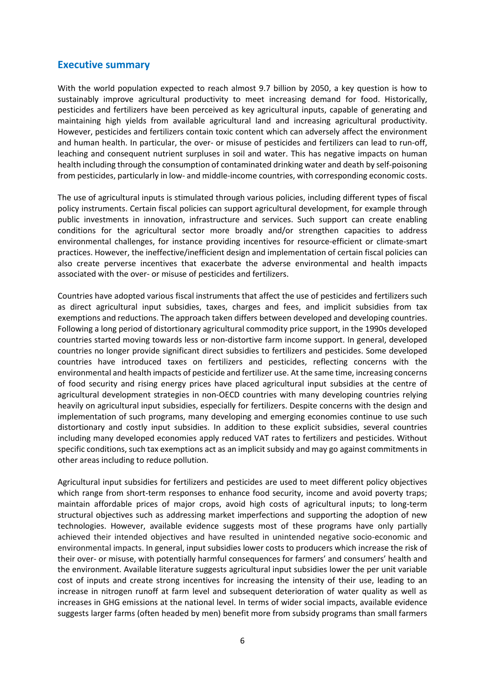### <span id="page-5-0"></span>**Executive summary**

With the world population expected to reach almost 9.7 billion by 2050, a key question is how to sustainably improve agricultural productivity to meet increasing demand for food. Historically, pesticides and fertilizers have been perceived as key agricultural inputs, capable of generating and maintaining high yields from available agricultural land and increasing agricultural productivity. However, pesticides and fertilizers contain toxic content which can adversely affect the environment and human health. In particular, the over- or misuse of pesticides and fertilizers can lead to run-off, leaching and consequent nutrient surpluses in soil and water. This has negative impacts on human health including through the consumption of contaminated drinking water and death by self-poisoning from pesticides, particularly in low- and middle-income countries, with corresponding economic costs.

The use of agricultural inputs is stimulated through various policies, including different types of fiscal policy instruments. Certain fiscal policies can support agricultural development, for example through public investments in innovation, infrastructure and services. Such support can create enabling conditions for the agricultural sector more broadly and/or strengthen capacities to address environmental challenges, for instance providing incentives for resource-efficient or climate-smart practices. However, the ineffective/inefficient design and implementation of certain fiscal policies can also create perverse incentives that exacerbate the adverse environmental and health impacts associated with the over- or misuse of pesticides and fertilizers.

Countries have adopted various fiscal instruments that affect the use of pesticides and fertilizers such as direct agricultural input subsidies, taxes, charges and fees, and implicit subsidies from tax exemptions and reductions. The approach taken differs between developed and developing countries. Following a long period of distortionary agricultural commodity price support, in the 1990s developed countries started moving towards less or non-distortive farm income support. In general, developed countries no longer provide significant direct subsidies to fertilizers and pesticides. Some developed countries have introduced taxes on fertilizers and pesticides, reflecting concerns with the environmental and health impacts of pesticide and fertilizer use. At the same time, increasing concerns of food security and rising energy prices have placed agricultural input subsidies at the centre of agricultural development strategies in non-OECD countries with many developing countries relying heavily on agricultural input subsidies, especially for fertilizers. Despite concerns with the design and implementation of such programs, many developing and emerging economies continue to use such distortionary and costly input subsidies. In addition to these explicit subsidies, several countries including many developed economies apply reduced VAT rates to fertilizers and pesticides. Without specific conditions, such tax exemptions act as an implicit subsidy and may go against commitments in other areas including to reduce pollution.

Agricultural input subsidies for fertilizers and pesticides are used to meet different policy objectives which range from short-term responses to enhance food security, income and avoid poverty traps; maintain affordable prices of major crops, avoid high costs of agricultural inputs; to long-term structural objectives such as addressing market imperfections and supporting the adoption of new technologies. However, available evidence suggests most of these programs have only partially achieved their intended objectives and have resulted in unintended negative socio-economic and environmental impacts. In general, input subsidies lower costs to producers which increase the risk of their over- or misuse, with potentially harmful consequences for farmers' and consumers' health and the environment. Available literature suggests agricultural input subsidies lower the per unit variable cost of inputs and create strong incentives for increasing the intensity of their use, leading to an increase in nitrogen runoff at farm level and subsequent deterioration of water quality as well as increases in GHG emissions at the national level. In terms of wider social impacts, available evidence suggests larger farms (often headed by men) benefit more from subsidy programs than small farmers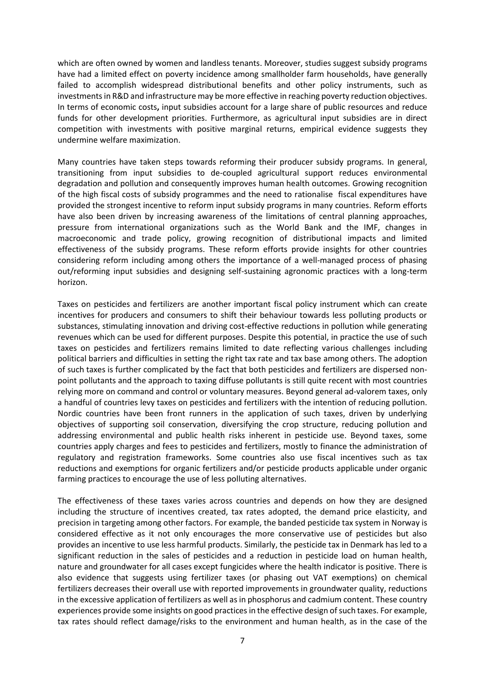which are often owned by women and landless tenants. Moreover, studies suggest subsidy programs have had a limited effect on poverty incidence among smallholder farm households, have generally failed to accomplish widespread distributional benefits and other policy instruments, such as investments in R&D and infrastructure may be more effective in reaching poverty reduction objectives. In terms of economic costs**,** input subsidies account for a large share of public resources and reduce funds for other development priorities. Furthermore, as agricultural input subsidies are in direct competition with investments with positive marginal returns, empirical evidence suggests they undermine welfare maximization.

Many countries have taken steps towards reforming their producer subsidy programs. In general, transitioning from input subsidies to de-coupled agricultural support reduces environmental degradation and pollution and consequently improves human health outcomes. Growing recognition of the high fiscal costs of subsidy programmes and the need to rationalise fiscal expenditures have provided the strongest incentive to reform input subsidy programs in many countries. Reform efforts have also been driven by increasing awareness of the limitations of central planning approaches, pressure from international organizations such as the World Bank and the IMF, changes in macroeconomic and trade policy, growing recognition of distributional impacts and limited effectiveness of the subsidy programs. These reform efforts provide insights for other countries considering reform including among others the importance of a well-managed process of phasing out/reforming input subsidies and designing self-sustaining agronomic practices with a long-term horizon.

Taxes on pesticides and fertilizers are another important fiscal policy instrument which can create incentives for producers and consumers to shift their behaviour towards less polluting products or substances, stimulating innovation and driving cost-effective reductions in pollution while generating revenues which can be used for different purposes. Despite this potential, in practice the use of such taxes on pesticides and fertilizers remains limited to date reflecting various challenges including political barriers and difficulties in setting the right tax rate and tax base among others. The adoption of such taxes is further complicated by the fact that both pesticides and fertilizers are dispersed nonpoint pollutants and the approach to taxing diffuse pollutants is still quite recent with most countries relying more on command and control or voluntary measures. Beyond general ad-valorem taxes, only a handful of countries levy taxes on pesticides and fertilizers with the intention of reducing pollution. Nordic countries have been front runners in the application of such taxes, driven by underlying objectives of supporting soil conservation, diversifying the crop structure, reducing pollution and addressing environmental and public health risks inherent in pesticide use. Beyond taxes, some countries apply charges and fees to pesticides and fertilizers, mostly to finance the administration of regulatory and registration frameworks. Some countries also use fiscal incentives such as tax reductions and exemptions for organic fertilizers and/or pesticide products applicable under organic farming practices to encourage the use of less polluting alternatives.

The effectiveness of these taxes varies across countries and depends on how they are designed including the structure of incentives created, tax rates adopted, the demand price elasticity, and precision in targeting among other factors. For example, the banded pesticide tax system in Norway is considered effective as it not only encourages the more conservative use of pesticides but also provides an incentive to use less harmful products. Similarly, the pesticide tax in Denmark has led to a significant reduction in the sales of pesticides and a reduction in pesticide load on human health, nature and groundwater for all cases except fungicides where the health indicator is positive. There is also evidence that suggests using fertilizer taxes (or phasing out VAT exemptions) on chemical fertilizers decreases their overall use with reported improvements in groundwater quality, reductions in the excessive application of fertilizers as well as in phosphorus and cadmium content. These country experiences provide some insights on good practices in the effective design of such taxes. For example, tax rates should reflect damage/risks to the environment and human health, as in the case of the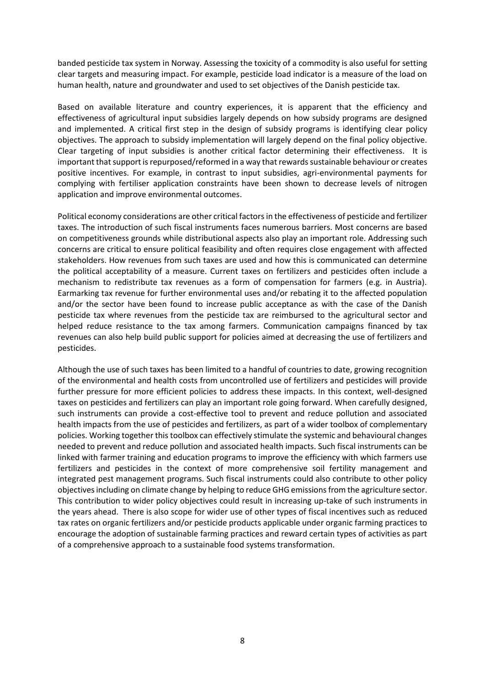banded pesticide tax system in Norway. Assessing the toxicity of a commodity is also useful for setting clear targets and measuring impact. For example, pesticide load indicator is a measure of the load on human health, nature and groundwater and used to set objectives of the Danish pesticide tax.

Based on available literature and country experiences, it is apparent that the efficiency and effectiveness of agricultural input subsidies largely depends on how subsidy programs are designed and implemented. A critical first step in the design of subsidy programs is identifying clear policy objectives. The approach to subsidy implementation will largely depend on the final policy objective. Clear targeting of input subsidies is another critical factor determining their effectiveness. It is important that support is repurposed/reformed in a way that rewards sustainable behaviour or creates positive incentives. For example, in contrast to input subsidies, agri-environmental payments for complying with fertiliser application constraints have been shown to decrease levels of nitrogen application and improve environmental outcomes.

Political economy considerations are other critical factors in the effectiveness of pesticide and fertilizer taxes. The introduction of such fiscal instruments faces numerous barriers. Most concerns are based on competitiveness grounds while distributional aspects also play an important role. Addressing such concerns are critical to ensure political feasibility and often requires close engagement with affected stakeholders. How revenues from such taxes are used and how this is communicated can determine the political acceptability of a measure. Current taxes on fertilizers and pesticides often include a mechanism to redistribute tax revenues as a form of compensation for farmers (e.g. in Austria). Earmarking tax revenue for further environmental uses and/or rebating it to the affected population and/or the sector have been found to increase public acceptance as with the case of the Danish pesticide tax where revenues from the pesticide tax are reimbursed to the agricultural sector and helped reduce resistance to the tax among farmers. Communication campaigns financed by tax revenues can also help build public support for policies aimed at decreasing the use of fertilizers and pesticides.

Although the use of such taxes has been limited to a handful of countries to date, growing recognition of the environmental and health costs from uncontrolled use of fertilizers and pesticides will provide further pressure for more efficient policies to address these impacts. In this context, well-designed taxes on pesticides and fertilizers can play an important role going forward. When carefully designed, such instruments can provide a cost-effective tool to prevent and reduce pollution and associated health impacts from the use of pesticides and fertilizers, as part of a wider toolbox of complementary policies. Working together this toolbox can effectively stimulate the systemic and behavioural changes needed to prevent and reduce pollution and associated health impacts. Such fiscal instruments can be linked with farmer training and education programs to improve the efficiency with which farmers use fertilizers and pesticides in the context of more comprehensive soil fertility management and integrated pest management programs. Such fiscal instruments could also contribute to other policy objectives including on climate change by helping to reduce GHG emissions from the agriculture sector. This contribution to wider policy objectives could result in increasing up-take of such instruments in the years ahead. There is also scope for wider use of other types of fiscal incentives such as reduced tax rates on organic fertilizers and/or pesticide products applicable under organic farming practices to encourage the adoption of sustainable farming practices and reward certain types of activities as part of a comprehensive approach to a sustainable food systems transformation.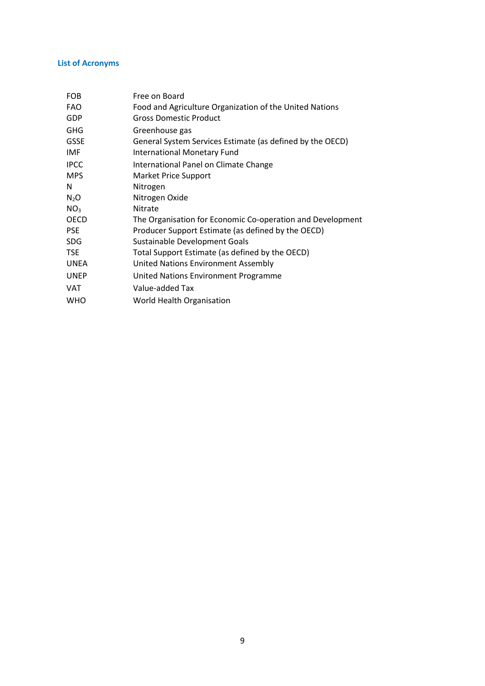#### <span id="page-8-0"></span>**List of Acronyms**

| <b>FOB</b>      | Free on Board                                              |
|-----------------|------------------------------------------------------------|
| <b>FAO</b>      | Food and Agriculture Organization of the United Nations    |
| GDP             | <b>Gross Domestic Product</b>                              |
| <b>GHG</b>      | Greenhouse gas                                             |
| <b>GSSE</b>     | General System Services Estimate (as defined by the OECD)  |
| IMF             | <b>International Monetary Fund</b>                         |
| <b>IPCC</b>     | International Panel on Climate Change                      |
| <b>MPS</b>      | <b>Market Price Support</b>                                |
| N               | Nitrogen                                                   |
| $N_2O$          | Nitrogen Oxide                                             |
| NO <sub>3</sub> | <b>Nitrate</b>                                             |
| <b>OECD</b>     | The Organisation for Economic Co-operation and Development |
| <b>PSE</b>      | Producer Support Estimate (as defined by the OECD)         |
| <b>SDG</b>      | Sustainable Development Goals                              |
| <b>TSE</b>      | Total Support Estimate (as defined by the OECD)            |
| <b>UNEA</b>     | United Nations Environment Assembly                        |
| <b>UNEP</b>     | United Nations Environment Programme                       |
| <b>VAT</b>      | Value-added Tax                                            |
| <b>WHO</b>      | <b>World Health Organisation</b>                           |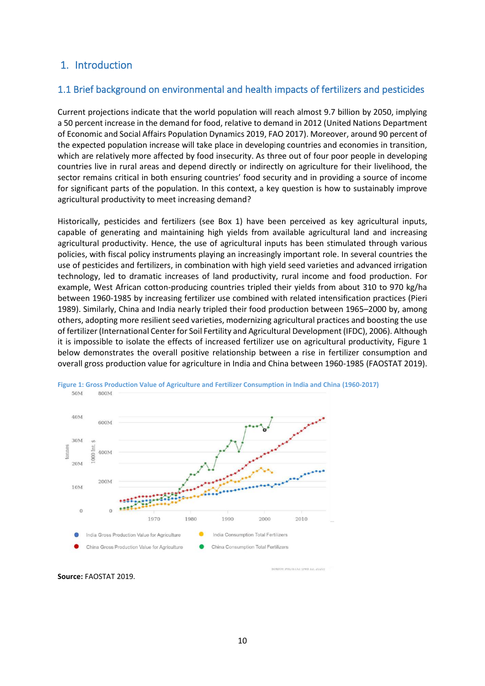### <span id="page-9-0"></span>1. Introduction

### <span id="page-9-1"></span>1.1 Brief background on environmental and health impacts of fertilizers and pesticides

Current projections indicate that the world population will reach almost 9.7 billion by 2050, implying a 50 percent increase in the demand for food, relative to demand in 2012 (United Nations Department of Economic and Social Affairs Population Dynamics 2019, FAO 2017). Moreover, around 90 percent of the expected population increase will take place in developing countries and economies in transition, which are relatively more affected by food insecurity. As three out of four poor people in developing countries live in rural areas and depend directly or indirectly on agriculture for their livelihood, the sector remains critical in both ensuring countries' food security and in providing a source of income for significant parts of the population. In this context, a key question is how to sustainably improve agricultural productivity to meet increasing demand?

Historically, pesticides and fertilizers (see Box 1) have been perceived as key agricultural inputs, capable of generating and maintaining high yields from available agricultural land and increasing agricultural productivity. Hence, the use of agricultural inputs has been stimulated through various policies, with fiscal policy instruments playing an increasingly important role. In several countries the use of pesticides and fertilizers, in combination with high yield seed varieties and advanced irrigation technology, led to dramatic increases of land productivity, rural income and food production. For example, West African cotton-producing countries tripled their yields from about 310 to 970 kg/ha between 1960-1985 by increasing fertilizer use combined with related intensification practices (Pieri 1989). Similarly, China and India nearly tripled their food production between 1965–2000 by, among others, adopting more resilient seed varieties, modernizing agricultural practices and boosting the use of fertilizer (International Center for Soil Fertility and Agricultural Development (IFDC), 2006). Although it is impossible to isolate the effects of increased fertilizer use on agricultural productivity, Figure 1 below demonstrates the overall positive relationship between a rise in fertilizer consumption and overall gross production value for agriculture in India and China between 1960-1985 (FAOSTAT 2019).



<span id="page-9-2"></span>

**Source:** FAOSTAT 2019.

REPAUSING UPO 13, 2020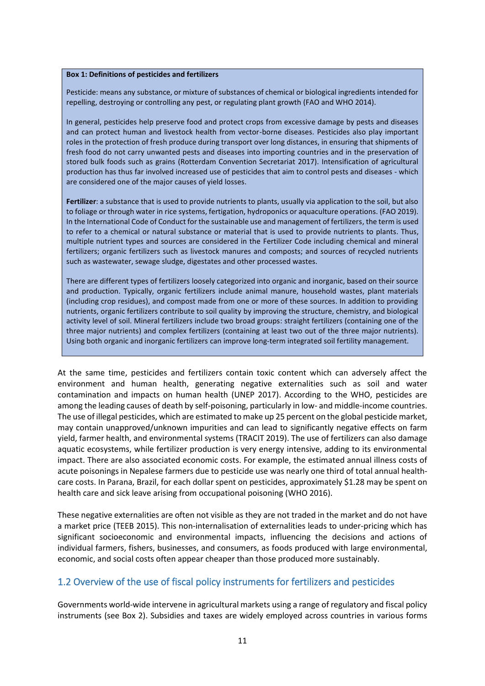#### <span id="page-10-1"></span>**Box 1: Definitions of pesticides and fertilizers**

Pesticide: means any substance, or mixture of substances of chemical or biological ingredients intended for repelling, destroying or controlling any pest, or regulating plant growth (FAO and WHO 2014).

In general, pesticides help preserve food and protect crops from excessive damage by pests and diseases and can protect human and livestock health from vector-borne diseases. Pesticides also play important roles in the protection of fresh produce during transport over long distances, in ensuring that shipments of fresh food do not carry unwanted pests and diseases into importing countries and in the preservation of stored bulk foods such as grains (Rotterdam Convention Secretariat 2017). Intensification of agricultural production has thus far involved increased use of pesticides that aim to control pests and diseases - which are considered one of the major causes of yield losses.

**Fertilizer**: a substance that is used to provide nutrients to plants, usually via application to the soil, but also to foliage or through water in rice systems, fertigation, hydroponics or aquaculture operations. (FAO 2019). In the International Code of Conduct for the sustainable use and management of fertilizers, the term is used to refer to a chemical or natural substance or material that is used to provide nutrients to plants. Thus, multiple nutrient types and sources are considered in the Fertilizer Code including chemical and mineral fertilizers; organic fertilizers such as livestock manures and composts; and sources of recycled nutrients such as wastewater, sewage sludge, digestates and other processed wastes.

There are different types of fertilizers loosely categorized into organic and inorganic, based on their source and production. Typically, organic fertilizers include animal manure, household wastes, plant materials (including crop residues), and compost made from one or more of these sources. In addition to providing nutrients, organic fertilizers contribute to soil quality by improving the structure, chemistry, and biological activity level of soil. Mineral fertilizers include two broad groups: straight fertilizers (containing one of the three major nutrients) and complex fertilizers (containing at least two out of the three major nutrients). Using both organic and inorganic fertilizers can improve long-term integrated soil fertility management.

At the same time, pesticides and fertilizers contain toxic content which can adversely affect the environment and human health, generating negative externalities such as soil and water contamination and impacts on human health (UNEP 2017). According to the WHO, pesticides are among the leading causes of death by self-poisoning, particularly in low- and middle-income countries. The use of illegal pesticides, which are estimated to make up 25 percent on the global pesticide market, may contain unapproved/unknown impurities and can lead to significantly negative effects on farm yield, farmer health, and environmental systems (TRACIT 2019). The use of fertilizers can also damage aquatic ecosystems, while fertilizer production is very energy intensive, adding to its environmental impact. There are also associated economic costs. For example, the estimated annual illness costs of acute poisonings in Nepalese farmers due to pesticide use was nearly one third of total annual healthcare costs. In Parana, Brazil, for each dollar spent on pesticides, approximately \$1.28 may be spent on health care and sick leave arising from occupational poisoning (WHO 2016).

These negative externalities are often not visible as they are not traded in the market and do not have a market price (TEEB 2015). This non-internalisation of externalities leads to under-pricing which has significant socioeconomic and environmental impacts, influencing the decisions and actions of individual farmers, fishers, businesses, and consumers, as foods produced with large environmental, economic, and social costs often appear cheaper than those produced more sustainably.

### <span id="page-10-0"></span>1.2 Overview of the use of fiscal policy instruments for fertilizers and pesticides

Governments world-wide intervene in agricultural markets using a range of regulatory and fiscal policy instruments (see Box 2). Subsidies and taxes are widely employed across countries in various forms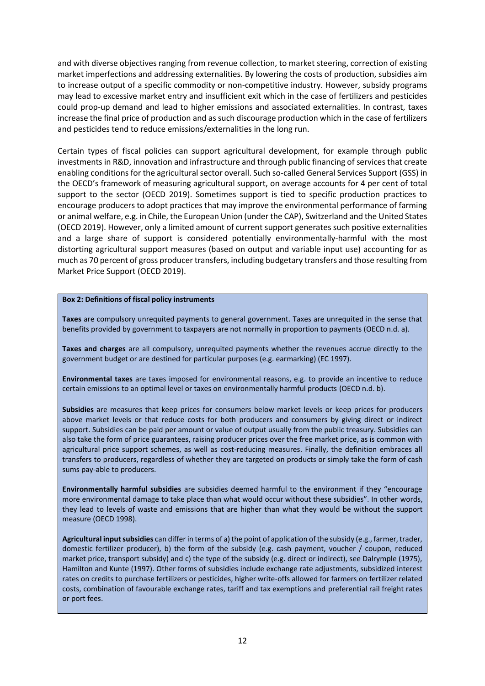and with diverse objectives ranging from revenue collection, to market steering, correction of existing market imperfections and addressing externalities. By lowering the costs of production, subsidies aim to increase output of a specific commodity or non-competitive industry. However, subsidy programs may lead to excessive market entry and insufficient exit which in the case of fertilizers and pesticides could prop-up demand and lead to higher emissions and associated externalities. In contrast, taxes increase the final price of production and as such discourage production which in the case of fertilizers and pesticides tend to reduce emissions/externalities in the long run.

Certain types of fiscal policies can support agricultural development, for example through public investments in R&D, innovation and infrastructure and through public financing of services that create enabling conditions for the agricultural sector overall. Such so-called General Services Support (GSS) in the OECD's framework of measuring agricultural support, on average accounts for 4 per cent of total support to the sector (OECD 2019). Sometimes support is tied to specific production practices to encourage producers to adopt practices that may improve the environmental performance of farming or animal welfare, e.g. in Chile, the European Union (under the CAP), Switzerland and the United States (OECD 2019). However, only a limited amount of current support generates such positive externalities and a large share of support is considered potentially environmentally-harmful with the most distorting agricultural support measures (based on output and variable input use) accounting for as much as 70 percent of gross producer transfers, including budgetary transfers and those resulting from Market Price Support (OECD 2019).

#### <span id="page-11-0"></span>**Box 2: Definitions of fiscal policy instruments**

**Taxes** are compulsory unrequited payments to general government. Taxes are unrequited in the sense that benefits provided by government to taxpayers are not normally in proportion to payments (OECD n.d. a).

**Taxes and charges** are all compulsory, unrequited payments whether the revenues accrue directly to the government budget or are destined for particular purposes (e.g. earmarking) (EC 1997).

**Environmental taxes** are taxes imposed for environmental reasons, e.g. to provide an incentive to reduce certain emissions to an optimal level or taxes on environmentally harmful products (OECD n.d. b).

**Subsidies** are measures that keep prices for consumers below market levels or keep prices for producers above market levels or that reduce costs for both producers and consumers by giving direct or indirect support. Subsidies can be paid per amount or value of output usually from the public treasury. Subsidies can also take the form of price guarantees, raising producer prices over the free market price, as is common with agricultural price support schemes, as well as cost-reducing measures. Finally, the definition embraces all transfers to producers, regardless of whether they are targeted on products or simply take the form of cash sums pay-able to producers.

**Environmentally harmful subsidies** are subsidies deemed harmful to the environment if they "encourage more environmental damage to take place than what would occur without these subsidies". In other words, they lead to levels of waste and emissions that are higher than what they would be without the support measure (OECD 1998).

**Agricultural input subsidies** can differ in terms of a) the point of application of the subsidy (e.g., farmer, trader, domestic fertilizer producer), b) the form of the subsidy (e.g. cash payment, voucher / coupon, reduced market price, transport subsidy) and c) the type of the subsidy (e.g. direct or indirect), see Dalrymple (1975), Hamilton and Kunte (1997). Other forms of subsidies include exchange rate adjustments, subsidized interest rates on credits to purchase fertilizers or pesticides, higher write-offs allowed for farmers on fertilizer related costs, combination of favourable exchange rates, tariff and tax exemptions and preferential rail freight rates or port fees.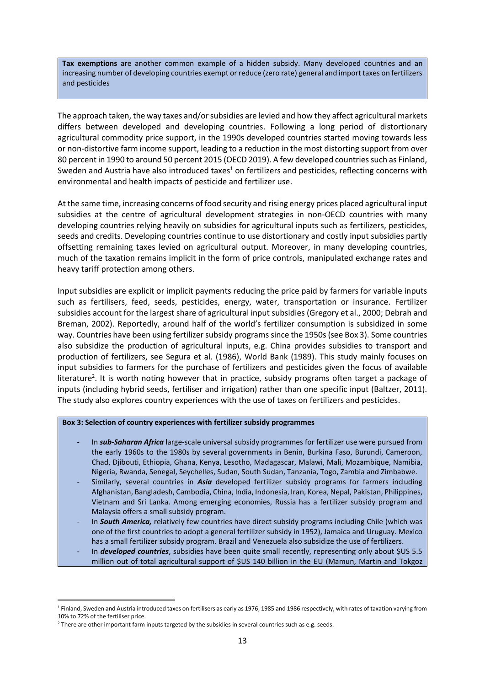**Tax exemptions** are another common example of a hidden subsidy. Many developed countries and an increasing number of developing countries exempt or reduce (zero rate) general and import taxes on fertilizers and pesticides

The approach taken, the way taxes and/or subsidies are levied and how they affect agricultural markets differs between developed and developing countries. Following a long period of distortionary agricultural commodity price support, in the 1990s developed countries started moving towards less or non-distortive farm income support, leading to a reduction in the most distorting support from over 80 percent in 1990 to around 50 percent 2015 (OECD 2019). A few developed countries such as Finland, Sweden and Austria have also introduced taxes<sup>1</sup> on fertilizers and pesticides, reflecting concerns with environmental and health impacts of pesticide and fertilizer use.

At the same time, increasing concerns of food security and rising energy prices placed agricultural input subsidies at the centre of agricultural development strategies in non-OECD countries with many developing countries relying heavily on subsidies for agricultural inputs such as fertilizers, pesticides, seeds and credits. Developing countries continue to use distortionary and costly input subsidies partly offsetting remaining taxes levied on agricultural output. Moreover, in many developing countries, much of the taxation remains implicit in the form of price controls, manipulated exchange rates and heavy tariff protection among others.

Input subsidies are explicit or implicit payments reducing the price paid by farmers for variable inputs such as fertilisers, feed, seeds, pesticides, energy, water, transportation or insurance. Fertilizer subsidies account for the largest share of agricultural input subsidies (Gregory et al., 2000; Debrah and Breman, 2002). Reportedly, around half of the world's fertilizer consumption is subsidized in some way. Countries have been using fertilizer subsidy programs since the 1950s (see Box 3). Some countries also subsidize the production of agricultural inputs, e.g. China provides subsidies to transport and production of fertilizers, see Segura et al. (1986), World Bank (1989). This study mainly focuses on input subsidies to farmers for the purchase of fertilizers and pesticides given the focus of available literature<sup>2</sup>. It is worth noting however that in practice, subsidy programs often target a package of inputs (including hybrid seeds, fertiliser and irrigation) rather than one specific input (Baltzer, 2011). The study also explores country experiences with the use of taxes on fertilizers and pesticides.

#### <span id="page-12-0"></span>**Box 3: Selection of country experiences with fertilizer subsidy programmes**

- In *sub-Saharan Africa* large-scale universal subsidy programmes for fertilizer use were pursued from the early 1960s to the 1980s by several governments in Benin, Burkina Faso, Burundi, Cameroon, Chad, Djibouti, Ethiopia, Ghana, Kenya, Lesotho, Madagascar, Malawi, Mali, Mozambique, Namibia, Nigeria, Rwanda, Senegal, Seychelles, Sudan, South Sudan, Tanzania, Togo, Zambia and Zimbabwe.
- Similarly, several countries in *Asia* developed fertilizer subsidy programs for farmers including Afghanistan, Bangladesh, Cambodia, China, India, Indonesia, Iran, Korea, Nepal, Pakistan, Philippines, Vietnam and Sri Lanka. Among emerging economies, Russia has a fertilizer subsidy program and Malaysia offers a small subsidy program.
- In *South America,* relatively few countries have direct subsidy programs including Chile (which was one of the first countries to adopt a general fertilizer subsidy in 1952), Jamaica and Uruguay. Mexico has a small fertilizer subsidy program. Brazil and Venezuela also subsidize the use of fertilizers.
- In *developed countries*, subsidies have been quite small recently, representing only about \$US 5.5 million out of total agricultural support of \$US 140 billion in the EU (Mamun, Martin and Tokgoz

<sup>1</sup> Finland, Sweden and Austria introduced taxes on fertilisers as early as 1976, 1985 and 1986 respectively, with rates of taxation varying from 10% to 72% of the fertiliser price.

<sup>&</sup>lt;sup>2</sup> There are other important farm inputs targeted by the subsidies in several countries such as e.g. seeds.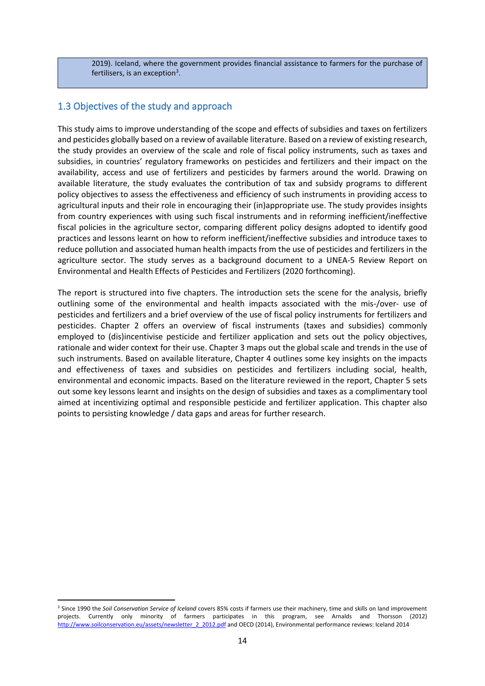2019). Iceland, where the government provides financial assistance to farmers for the purchase of fertilisers, is an exception<sup>3</sup>.

### <span id="page-13-0"></span>1.3 Objectives of the study and approach

This study aims to improve understanding of the scope and effects of subsidies and taxes on fertilizers and pesticides globally based on a review of available literature. Based on a review of existing research, the study provides an overview of the scale and role of fiscal policy instruments, such as taxes and subsidies, in countries' regulatory frameworks on pesticides and fertilizers and their impact on the availability, access and use of fertilizers and pesticides by farmers around the world. Drawing on available literature, the study evaluates the contribution of tax and subsidy programs to different policy objectives to assess the effectiveness and efficiency of such instruments in providing access to agricultural inputs and their role in encouraging their (in)appropriate use. The study provides insights from country experiences with using such fiscal instruments and in reforming inefficient/ineffective fiscal policies in the agriculture sector, comparing different policy designs adopted to identify good practices and lessons learnt on how to reform inefficient/ineffective subsidies and introduce taxes to reduce pollution and associated human health impacts from the use of pesticides and fertilizers in the agriculture sector. The study serves as a background document to a UNEA-5 Review Report on Environmental and Health Effects of Pesticides and Fertilizers (2020 forthcoming).

The report is structured into five chapters. The introduction sets the scene for the analysis, briefly outlining some of the environmental and health impacts associated with the mis-/over- use of pesticides and fertilizers and a brief overview of the use of fiscal policy instruments for fertilizers and pesticides. Chapter 2 offers an overview of fiscal instruments (taxes and subsidies) commonly employed to (dis)incentivise pesticide and fertilizer application and sets out the policy objectives, rationale and wider context for their use. Chapter 3 maps out the global scale and trends in the use of such instruments. Based on available literature, Chapter 4 outlines some key insights on the impacts and effectiveness of taxes and subsidies on pesticides and fertilizers including social, health, environmental and economic impacts. Based on the literature reviewed in the report, Chapter 5 sets out some key lessons learnt and insights on the design of subsidies and taxes as a complimentary tool aimed at incentivizing optimal and responsible pesticide and fertilizer application. This chapter also points to persisting knowledge / data gaps and areas for further research.

<sup>3</sup> Since 1990 the *Soil Conservation Service of Iceland* covers 85% costs if farmers use their machinery, time and skills on land improvement projects. Currently only minority of farmers participates in this program, see Arnalds and Thorsson (2012) [http://www.soilconservation.eu/assets/newsletter\\_2\\_2012.pdf](http://www.soilconservation.eu/assets/newsletter_2_2012.pdf) and OECD (2014), Environmental performance reviews: Iceland 2014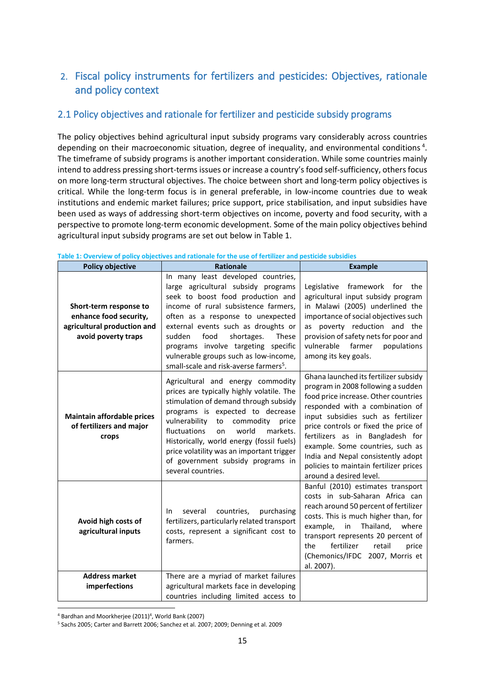# <span id="page-14-0"></span>2. Fiscal policy instruments for fertilizers and pesticides: Objectives, rationale and policy context

### <span id="page-14-1"></span>2.1 Policy objectives and rationale for fertilizer and pesticide subsidy programs

The policy objectives behind agricultural input subsidy programs vary considerably across countries depending on their macroeconomic situation, degree of inequality, and environmental conditions<sup>4</sup>. The timeframe of subsidy programs is another important consideration. While some countries mainly intend to address pressing short-terms issues or increase a country's food self-sufficiency, others focus on more long-term structural objectives. The choice between short and long-term policy objectives is critical. While the long-term focus is in general preferable, in low-income countries due to weak institutions and endemic market failures; price support, price stabilisation, and input subsidies have been used as ways of addressing short-term objectives on income, poverty and food security, with a perspective to promote long-term economic development. Some of the main policy objectives behind agricultural input subsidy programs are set out below in Table 1.

| <b>Policy objective</b>                                                                                | <b>Rationale</b>                                                                                                                                                                                                                                                                                                                                                                                                  | <b>Example</b>                                                                                                                                                                                                                                                                                                                                                                                                          |
|--------------------------------------------------------------------------------------------------------|-------------------------------------------------------------------------------------------------------------------------------------------------------------------------------------------------------------------------------------------------------------------------------------------------------------------------------------------------------------------------------------------------------------------|-------------------------------------------------------------------------------------------------------------------------------------------------------------------------------------------------------------------------------------------------------------------------------------------------------------------------------------------------------------------------------------------------------------------------|
| Short-term response to<br>enhance food security,<br>agricultural production and<br>avoid poverty traps | In many least developed countries,<br>large agricultural subsidy programs<br>seek to boost food production and<br>income of rural subsistence farmers,<br>often as a response to unexpected<br>external events such as droughts or<br>sudden<br>food<br>shortages.<br>These<br>programs involve targeting specific<br>vulnerable groups such as low-income,<br>small-scale and risk-averse farmers <sup>5</sup> . | Legislative framework for the<br>agricultural input subsidy program<br>in Malawi (2005) underlined the<br>importance of social objectives such<br>as poverty reduction and the<br>provision of safety nets for poor and<br>farmer<br>vulnerable<br>populations<br>among its key goals.                                                                                                                                  |
| <b>Maintain affordable prices</b><br>of fertilizers and major<br>crops                                 | Agricultural and energy commodity<br>prices are typically highly volatile. The<br>stimulation of demand through subsidy<br>programs is expected to decrease<br>vulnerability<br>to commodity price<br>fluctuations<br>world<br>markets.<br>on<br>Historically, world energy (fossil fuels)<br>price volatility was an important trigger<br>of government subsidy programs in<br>several countries.                | Ghana launched its fertilizer subsidy<br>program in 2008 following a sudden<br>food price increase. Other countries<br>responded with a combination of<br>input subsidies such as fertilizer<br>price controls or fixed the price of<br>fertilizers as in Bangladesh for<br>example. Some countries, such as<br>India and Nepal consistently adopt<br>policies to maintain fertilizer prices<br>around a desired level. |
| Avoid high costs of<br>agricultural inputs                                                             | countries,<br>several<br>purchasing<br>In.<br>fertilizers, particularly related transport<br>costs, represent a significant cost to<br>farmers.                                                                                                                                                                                                                                                                   | Banful (2010) estimates transport<br>costs in sub-Saharan Africa can<br>reach around 50 percent of fertilizer<br>costs. This is much higher than, for<br>example,<br>Thailand,<br>in<br>where<br>transport represents 20 percent of<br>fertilizer<br>retail<br>the<br>price<br>(Chemonics/IFDC 2007, Morris et<br>al. 2007).                                                                                            |
| <b>Address market</b>                                                                                  | There are a myriad of market failures                                                                                                                                                                                                                                                                                                                                                                             |                                                                                                                                                                                                                                                                                                                                                                                                                         |
| imperfections                                                                                          | agricultural markets face in developing<br>countries including limited access to                                                                                                                                                                                                                                                                                                                                  |                                                                                                                                                                                                                                                                                                                                                                                                                         |

<span id="page-14-2"></span>**Table 1: Overview of policy objectives and rationale for the use of fertilizer and pesticide subsidies**

<sup>&</sup>lt;sup>4</sup> Bardhan and Moorkherjee (2011)<sup>4</sup>, World Bank (2007)

<sup>5</sup> Sachs 2005; Carter and Barrett 2006; Sanchez et al. 2007; 2009; Denning et al. 2009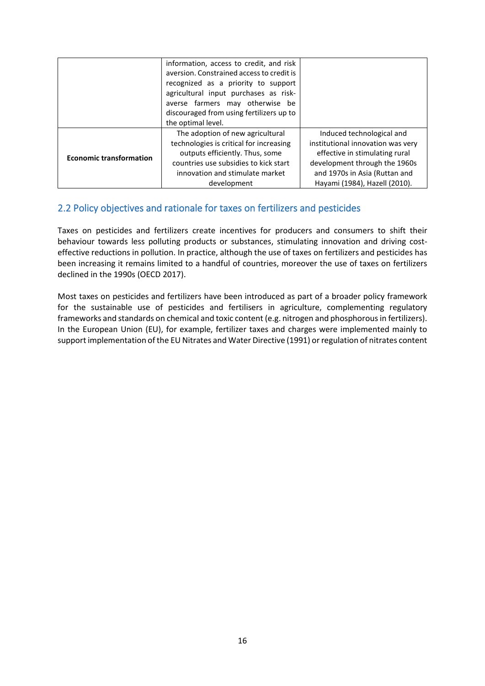|                                | information, access to credit, and risk<br>aversion. Constrained access to credit is<br>recognized as a priority to support<br>agricultural input purchases as risk-<br>averse farmers may otherwise be |                                                                     |
|--------------------------------|---------------------------------------------------------------------------------------------------------------------------------------------------------------------------------------------------------|---------------------------------------------------------------------|
|                                | discouraged from using fertilizers up to<br>the optimal level.                                                                                                                                          |                                                                     |
|                                | The adoption of new agricultural                                                                                                                                                                        | Induced technological and                                           |
|                                | technologies is critical for increasing<br>outputs efficiently. Thus, some                                                                                                                              | institutional innovation was very<br>effective in stimulating rural |
| <b>Economic transformation</b> | countries use subsidies to kick start                                                                                                                                                                   | development through the 1960s                                       |
|                                | innovation and stimulate market                                                                                                                                                                         | and 1970s in Asia (Ruttan and                                       |
|                                | development                                                                                                                                                                                             | Hayami (1984), Hazell (2010).                                       |

### <span id="page-15-0"></span>2.2 Policy objectives and rationale for taxes on fertilizers and pesticides

Taxes on pesticides and fertilizers create incentives for producers and consumers to shift their behaviour towards less polluting products or substances, stimulating innovation and driving costeffective reductions in pollution. In practice, although the use of taxes on fertilizers and pesticides has been increasing it remains limited to a handful of countries, moreover the use of taxes on fertilizers declined in the 1990s (OECD 2017).

Most taxes on pesticides and fertilizers have been introduced as part of a broader policy framework for the sustainable use of pesticides and fertilisers in agriculture, complementing regulatory frameworks and standards on chemical and toxic content (e.g. nitrogen and phosphorous in fertilizers). In the European Union (EU), for example, fertilizer taxes and charges were implemented mainly to support implementation of the EU Nitrates and Water Directive (1991) or regulation of nitrates content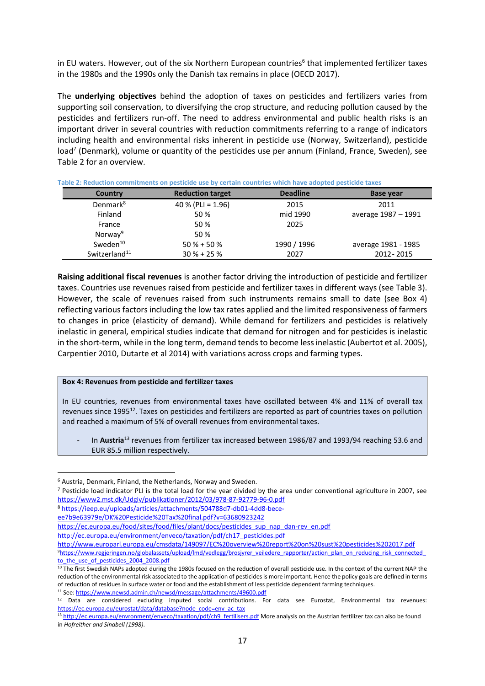in EU waters. However, out of the six Northern European countries<sup>6</sup> that implemented fertilizer taxes in the 1980s and the 1990s only the Danish tax remains in place (OECD 2017).

The **underlying objectives** behind the adoption of taxes on pesticides and fertilizers varies from supporting soil conservation, to diversifying the crop structure, and reducing pollution caused by the pesticides and fertilizers run-off. The need to address environmental and public health risks is an important driver in several countries with reduction commitments referring to a range of indicators including health and environmental risks inherent in pesticide use (Norway, Switzerland), pesticide load<sup>7</sup> (Denmark), volume or quantity of the pesticides use per annum (Finland, France, Sweden), see Table 2 for an overview.

| Country                   | <b>Reduction target</b> | <b>Deadline</b> | <b>Base year</b>    |  |
|---------------------------|-------------------------|-----------------|---------------------|--|
| Denmark <sup>8</sup>      | 40 % (PLI = $1.96$ )    | 2015            | 2011                |  |
| Finland                   | 50 %                    | mid 1990        | average 1987 - 1991 |  |
| France                    | 50 %                    | 2025            |                     |  |
| Norway <sup>9</sup>       | 50 %                    |                 |                     |  |
| Sweden <sup>10</sup>      | $50 \% + 50 \%$         | 1990 / 1996     | average 1981 - 1985 |  |
| Switzerland <sup>11</sup> | $30 \% + 25 \%$         | 2027            | 2012 - 2015         |  |

<span id="page-16-0"></span>**Table 2: Reduction commitments on pesticide use by certain countries which have adopted pesticide taxes**

**Raising additional fiscal revenues** is another factor driving the introduction of pesticide and fertilizer taxes. Countries use revenues raised from pesticide and fertilizer taxes in different ways (see Table 3). However, the scale of revenues raised from such instruments remains small to date (see Box 4) reflecting various factors including the low tax rates applied and the limited responsiveness of farmers to changes in price (elasticity of demand). While demand for fertilizers and pesticides is relatively inelastic in general, empirical studies indicate that demand for nitrogen and for pesticides is inelastic in the short-term, while in the long term, demand tends to become less inelastic (Aubertot et al. 2005), Carpentier 2010, Dutarte et al 2014) with variations across crops and farming types.

#### <span id="page-16-1"></span>**Box 4: Revenues from pesticide and fertilizer taxes**

In EU countries, revenues from environmental taxes have oscillated between 4% and 11% of overall tax revenues since 1995<sup>12</sup>. Taxes on pesticides and fertilizers are reported as part of countries taxes on pollution and reached a maximum of 5% of overall revenues from environmental taxes.

In Austria<sup>13</sup> revenues from fertilizer tax increased between 1986/87 and 1993/94 reaching 53.6 and EUR 85.5 million respectively.

<sup>8</sup> [https://ieep.eu/uploads/articles/attachments/504788d7-db01-4dd8-bece-](https://ieep.eu/uploads/articles/attachments/504788d7-db01-4dd8-bece-ee7b9e63979e/DK%20Pesticide%20Tax%20final.pdf?v=63680923242)

- [ee7b9e63979e/DK%20Pesticide%20Tax%20final.pdf?v=63680923242](https://ieep.eu/uploads/articles/attachments/504788d7-db01-4dd8-bece-ee7b9e63979e/DK%20Pesticide%20Tax%20final.pdf?v=63680923242)
- [https://ec.europa.eu/food/sites/food/files/plant/docs/pesticides\\_sup\\_nap\\_dan-rev\\_en.pdf](https://ec.europa.eu/food/sites/food/files/plant/docs/pesticides_sup_nap_dan-rev_en.pdf)

[http://ec.europa.eu/environment/enveco/taxation/pdf/ch17\\_pesticides.pdf](http://ec.europa.eu/environment/enveco/taxation/pdf/ch17_pesticides.pdf)

<http://www.europarl.europa.eu/cmsdata/149097/EC%20overview%20report%20on%20sust%20pesticides%202017.pdf> <sup>9</sup>[https://www.regjeringen.no/globalassets/upload/lmd/vedlegg/brosjyrer\\_veiledere\\_rapporter/action\\_plan\\_on\\_reducing\\_risk\\_connected\\_](https://www.regjeringen.no/globalassets/upload/lmd/vedlegg/brosjyrer_veiledere_rapporter/action_plan_on_reducing_risk_connected_to_the_use_of_pesticides_2004_2008.pdf) to the use of pesticides 2004 2008.pdf

<sup>6</sup> Austria, Denmark, Finland, the Netherlands, Norway and Sweden.

<sup>7</sup> Pesticide load indicator PLI is the total load for the year divided by the area under conventional agriculture in 2007, see <https://www2.mst.dk/Udgiv/publikationer/2012/03/978-87-92779-96-0.pdf>

<sup>&</sup>lt;sup>10</sup> The first Swedish NAPs adopted during the 1980s focused on the reduction of overall pesticide use. In the context of the current NAP the reduction of the environmental risk associated to the application of pesticides is more important. Hence the policy goals are defined in terms of reduction of residues in surface water or food and the establishment of less pesticide dependent farming techniques. 11 See[: https://www.newsd.admin.ch/newsd/message/attachments/49600.pdf](https://www.newsd.admin.ch/newsd/message/attachments/49600.pdf)

<sup>&</sup>lt;sup>12</sup> Data are considered excluding imputed social contributions. For data see Eurostat, Environmental tax revenues: [https://ec.europa.eu/eurostat/data/database?node\\_code=env\\_ac\\_tax](https://ec.europa.eu/eurostat/data/database?node_code=env_ac_tax)

<sup>&</sup>lt;sup>13</sup> [http://ec.europa.eu/envronment/enveco/taxation/pdf/ch9\\_fertilisers.pdf](http://ec.europa.eu/envronment/enveco/taxation/pdf/ch9_fertilisers.pdf) More analysis on the Austrian fertilizer tax can also be found in *Hofreither and Sinabell (1998)*.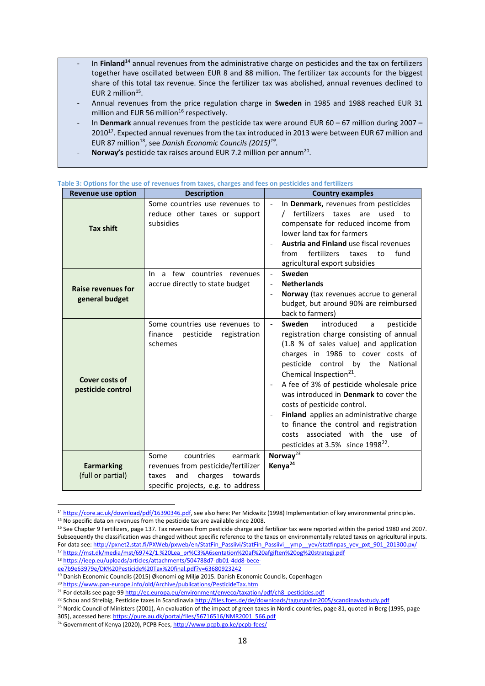- In Finland<sup>14</sup> annual revenues from the administrative charge on pesticides and the tax on fertilizers together have oscillated between EUR 8 and 88 million. The fertilizer tax accounts for the biggest share of this total tax revenue. Since the fertilizer tax was abolished, annual revenues declined to EUR 2 million $15$ .
- Annual revenues from the price regulation charge in **Sweden** in 1985 and 1988 reached EUR 31 million and EUR 56 million<sup>16</sup> respectively.
- In **Denmark** annual revenues from the pesticide tax were around EUR 60 67 million during 2007 2010<sup>17</sup>. Expected annual revenues from the tax introduced in 2013 were between EUR 67 million and EUR 87 million<sup>18</sup>, see *Danish Economic Councils (2015)<sup>19</sup>.*
- **Norway's** pesticide tax raises around EUR 7.2 million per annum<sup>20</sup>.

| <b>Revenue use option</b>                   | <b>Description</b>                                                                                                                             | <b>Country examples</b>                                                                                                                                                                                                                                                                                                                                                                                                                                                                                                                                                                   |  |  |
|---------------------------------------------|------------------------------------------------------------------------------------------------------------------------------------------------|-------------------------------------------------------------------------------------------------------------------------------------------------------------------------------------------------------------------------------------------------------------------------------------------------------------------------------------------------------------------------------------------------------------------------------------------------------------------------------------------------------------------------------------------------------------------------------------------|--|--|
| <b>Tax shift</b>                            | Some countries use revenues to<br>reduce other taxes or support<br>subsidies                                                                   | In Denmark, revenues from pesticides<br>fertilizers taxes<br>used<br>are<br>to<br>compensate for reduced income from<br>lower land tax for farmers<br><b>Austria and Finland use fiscal revenues</b><br>fertilizers<br>fund<br>from<br>taxes<br>to<br>agricultural export subsidies                                                                                                                                                                                                                                                                                                       |  |  |
| <b>Raise revenues for</b><br>general budget | In a few countries revenues<br>accrue directly to state budget                                                                                 | Sweden<br>$\overline{\phantom{a}}$<br><b>Netherlands</b><br>Norway (tax revenues accrue to general<br>$\blacksquare$<br>budget, but around 90% are reimbursed<br>back to farmers)                                                                                                                                                                                                                                                                                                                                                                                                         |  |  |
| Cover costs of<br>pesticide control         | Some countries use revenues to<br>finance<br>pesticide<br>registration<br>schemes                                                              | Sweden<br>introduced<br>pesticide<br>$\equiv$<br>a<br>registration charge consisting of annual<br>(1.8 % of sales value) and application<br>charges in 1986 to cover costs of<br>pesticide control by the<br>National<br>Chemical Inspection <sup>21</sup> .<br>A fee of 3% of pesticide wholesale price<br>was introduced in Denmark to cover the<br>costs of pesticide control.<br>Finland applies an administrative charge<br>$\overline{\phantom{a}}$<br>to finance the control and registration<br>costs associated with the use of<br>pesticides at 3.5% since 1998 <sup>22</sup> . |  |  |
| <b>Earmarking</b><br>(full or partial)      | Some<br>countries<br>earmark<br>revenues from pesticide/fertilizer<br>charges<br>and<br>towards<br>taxes<br>specific projects, e.g. to address | Norway <sup>23</sup><br>Kenya <sup>24</sup>                                                                                                                                                                                                                                                                                                                                                                                                                                                                                                                                               |  |  |

#### <span id="page-17-0"></span>**Table 3: Options for the use of revenues from taxes, charges and fees on pesticides and fertilizers**

<sup>14</sup> [https://core.ac.uk/download/pdf/16390346.pdf,](https://core.ac.uk/download/pdf/16390346.pdf) see also here: Per Mickwitz (1998) Implementation of key environmental principles. <sup>15</sup> No specific data on revenues from the pesticide tax are available since 2008.

<sup>&</sup>lt;sup>16</sup> See Chapter 9 Fertilizers, page 137. Tax revenues from pesticide charge and fertilizer tax were reported within the period 1980 and 2007. Subsequently the classification was changed without specific reference to the taxes on environmentally related taxes on agricultural inputs. For data see: http://pxnet2.stat.fi/PXWeb/pxweb/en/StatFin\_Passiivi/StatFin\_Passiivi\_\_ymp\_\_vev/statfinpas\_yev\_pxt\_901\_201300.px/ <sup>17</sup> [https://mst.dk/media/mst/69742/1.%20Lea\\_pr%C3%A6sentation%20af%20afgiften%20og%20strategi.pdf](https://mst.dk/media/mst/69742/1.%20Lea_pr%C3%A6sentation%20af%20afgiften%20og%20strategi.pdf)

<sup>18</sup> [https://ieep.eu/uploads/articles/attachments/504788d7-db01-4dd8-bece-](https://ieep.eu/uploads/articles/attachments/504788d7-db01-4dd8-bece-ee7b9e63979e/DK%20Pesticide%20Tax%20final.pdf?v=63680923242)

[ee7b9e63979e/DK%20Pesticide%20Tax%20final.pdf?v=63680923242](https://ieep.eu/uploads/articles/attachments/504788d7-db01-4dd8-bece-ee7b9e63979e/DK%20Pesticide%20Tax%20final.pdf?v=63680923242)

<sup>19</sup> Danish Economic Councils (2015) Økonomi og Miljø 2015. Danish Economic Councils, Copenhagen

<sup>20</sup> <https://www.pan-europe.info/old/Archive/publications/PesticideTax.htm>

<sup>&</sup>lt;sup>21</sup> For details see page 9[9 http://ec.europa.eu/environment/enveco/taxation/pdf/ch8\\_pesticides.pdf](http://ec.europa.eu/environment/enveco/taxation/pdf/ch8_pesticides.pdf)

<sup>&</sup>lt;sup>22</sup> Schou and Streibig, Pesticide taxes in Scandinavia<http://files.foes.de/de/downloads/tagungvilm2005/scandinaviastudy.pdf>

<sup>&</sup>lt;sup>23</sup> Nordic Council of Ministers (2001), An evaluation of the impact of green taxes in Nordic countries, page 81, quoted in Berg (1995, page 305), accessed here[: https://pure.au.dk/portal/files/56716516/NMR2001\\_566.pdf](https://pure.au.dk/portal/files/56716516/NMR2001_566.pdf)

<sup>&</sup>lt;sup>24</sup> Government of Kenya (2020), PCPB Fees,<http://www.pcpb.go.ke/pcpb-fees/>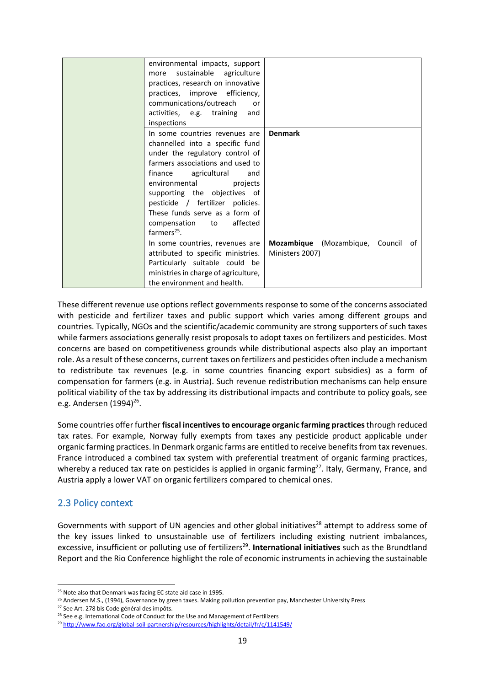| environmental impacts, support<br>sustainable<br>agriculture<br>more<br>practices, research on innovative<br>practices, improve efficiency,<br>communications/outreach<br>or                                                                                                                                                                               |                 |                                    |  |
|------------------------------------------------------------------------------------------------------------------------------------------------------------------------------------------------------------------------------------------------------------------------------------------------------------------------------------------------------------|-----------------|------------------------------------|--|
| activities, e.g. training<br>and<br>inspections                                                                                                                                                                                                                                                                                                            |                 |                                    |  |
| In some countries revenues are<br>channelled into a specific fund<br>under the regulatory control of<br>farmers associations and used to<br>finance agricultural<br>and<br>environmental<br>projects<br>supporting the objectives of<br>pesticide / fertilizer policies.<br>These funds serve as a form of<br>affected<br>compensation to<br>$farmers25$ . | <b>Denmark</b>  |                                    |  |
| In some countries, revenues are<br>attributed to specific ministries.<br>Particularly suitable could be<br>ministries in charge of agriculture,<br>the environment and health.                                                                                                                                                                             | Ministers 2007) | Mozambique (Mozambique, Council of |  |

These different revenue use options reflect governments response to some of the concerns associated with pesticide and fertilizer taxes and public support which varies among different groups and countries. Typically, NGOs and the scientific/academic community are strong supporters of such taxes while farmers associations generally resist proposals to adopt taxes on fertilizers and pesticides. Most concerns are based on competitiveness grounds while distributional aspects also play an important role. As a result of these concerns, current taxes on fertilizers and pesticides often include a mechanism to redistribute tax revenues (e.g. in some countries financing export subsidies) as a form of compensation for farmers (e.g. in Austria). Such revenue redistribution mechanisms can help ensure political viability of the tax by addressing its distributional impacts and contribute to policy goals, see e.g. Andersen (1994)<sup>26</sup>.

Some countries offer further **fiscal incentives to encourage organic farming practices**through reduced tax rates. For example, Norway fully exempts from taxes any pesticide product applicable under organic farming practices. In Denmark organic farms are entitled to receive benefits from tax revenues. France introduced a combined tax system with preferential treatment of organic farming practices, whereby a reduced tax rate on pesticides is applied in organic farming<sup>27</sup>. Italy, Germany, France, and Austria apply a lower VAT on organic fertilizers compared to chemical ones.

### <span id="page-18-0"></span>2.3 Policy context

Governments with support of UN agencies and other global initiatives<sup>28</sup> attempt to address some of the key issues linked to unsustainable use of fertilizers including existing nutrient imbalances, excessive, insufficient or polluting use of fertilizers<sup>29</sup>. **International initiatives** such as the Brundtland Report and the Rio Conference highlight the role of economic instruments in achieving the sustainable

<sup>&</sup>lt;sup>25</sup> Note also that Denmark was facing EC state aid case in 1995.

<sup>&</sup>lt;sup>26</sup> Andersen M.S., (1994), Governance by green taxes. Making pollution prevention pay, Manchester University Press

<sup>&</sup>lt;sup>27</sup> See Art. 278 bis Code général des impôts.

<sup>&</sup>lt;sup>28</sup> See e.g. International Code of Conduct for the Use and Management of Fertilizers

<sup>29</sup> <http://www.fao.org/global-soil-partnership/resources/highlights/detail/fr/c/1141549/>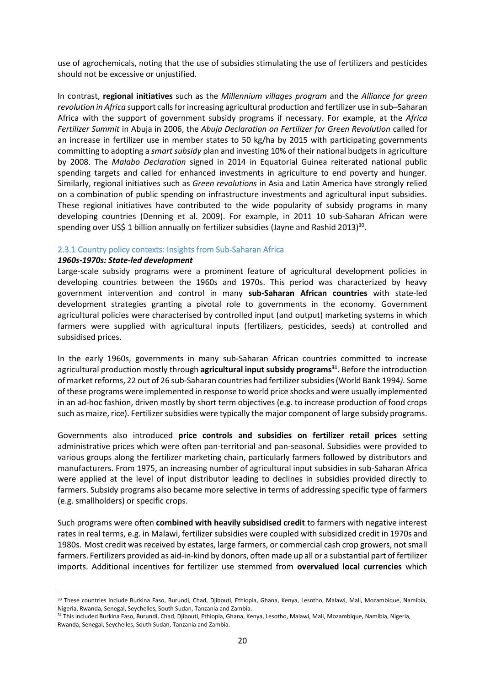use of agrochemicals, noting that the use of subsidies stimulating the use of fertilizers and pesticides should not be excessive or unjustified.

In contrast, **regional initiatives** such as the *Millennium villages program* and the *Alliance for green revolution in Africa* support calls for increasing agricultural production and fertilizer use in sub–Saharan Africa with the support of government subsidy programs if necessary. For example, at the *Africa Fertilizer Summit* in Abuja in 2006, the *Abuja Declaration on Fertilizer for Green Revolution* called for an increase in fertilizer use in member states to 50 kg/ha by 2015 with participating governments committing to adopting a *smart subsidy* plan and investing 10% of their national budgets in agriculture by 2008. The *Malabo Declaration* signed in 2014 in Equatorial Guinea reiterated national public spending targets and called for enhanced investments in agriculture to end poverty and hunger. Similarly, regional initiatives such as *Green revolutions* in Asia and Latin America have strongly relied on a combination of public spending on infrastructure investments and agricultural input subsidies. These regional initiatives have contributed to the wide popularity of subsidy programs in many developing countries (Denning et al. 2009). For example, in 2011 10 sub-Saharan African were spending over US\$ 1 billion annually on fertilizer subsidies (Jayne and Rashid 2013)<sup>30</sup>.

#### <span id="page-19-0"></span>2.3.1 Country policy contexts: Insights from Sub-Saharan Africa

#### *1960s-1970s: State-led development*

Large-scale subsidy programs were a prominent feature of agricultural development policies in developing countries between the 1960s and 1970s. This period was characterized by heavy government intervention and control in many **sub-Saharan African countries** with state-led development strategies granting a pivotal role to governments in the economy. Government agricultural policies were characterised by controlled input (and output) marketing systems in which farmers were supplied with agricultural inputs (fertilizers, pesticides, seeds) at controlled and subsidised prices.

In the early 1960s, governments in many sub-Saharan African countries committed to increase agricultural production mostly through **agricultural input subsidy programs<sup>31</sup>**. Before the introduction of market reforms, 22 out of 26 sub-Saharan countries had fertilizer subsidies (World Bank 1994*).* Some of these programs were implemented in response to world price shocks and were usually implemented in an ad-hoc fashion, driven mostly by short term objectives (e.g. to increase production of food crops such as maize, rice). Fertilizer subsidies were typically the major component of large subsidy programs.

Governments also introduced **price controls and subsidies on fertilizer retail prices** setting administrative prices which were often pan-territorial and pan-seasonal. Subsidies were provided to various groups along the fertilizer marketing chain, particularly farmers followed by distributors and manufacturers. From 1975, an increasing number of agricultural input subsidies in sub-Saharan Africa were applied at the level of input distributor leading to declines in subsidies provided directly to farmers. Subsidy programs also became more selective in terms of addressing specific type of farmers (e.g. smallholders) or specific crops.

Such programs were often **combined with heavily subsidised credit** to farmers with negative interest rates in real terms, e.g. in Malawi, fertilizer subsidies were coupled with subsidized credit in 1970s and 1980s. Most credit was received by estates, large farmers, or commercial cash crop growers, not small farmers. Fertilizers provided as aid-in-kind by donors, often made up all or a substantial part of fertilizer imports. Additional incentives for fertilizer use stemmed from **overvalued local currencies** which

<sup>&</sup>lt;sup>30</sup> These countries include Burkina Faso, Burundi, Chad, Djibouti, Ethiopia, Ghana, Kenya, Lesotho, Malawi, Mali, Mozambique, Namibia, Nigeria, Rwanda, Senegal, Seychelles, South Sudan, Tanzania and Zambia.

<sup>&</sup>lt;sup>31</sup> This included Burkina Faso, Burundi, Chad, Djibouti, Ethiopia, Ghana, Kenya, Lesotho, Malawi, Mali, Mozambique, Namibia, Nigeria, Rwanda, Senegal, Seychelles, South Sudan, Tanzania and Zambia.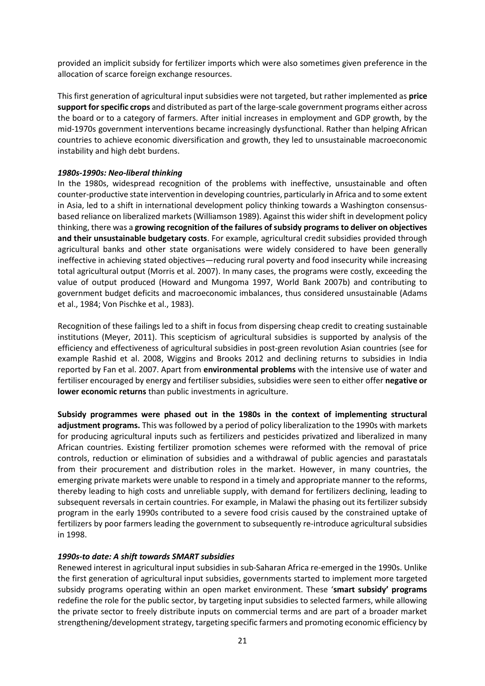provided an implicit subsidy for fertilizer imports which were also sometimes given preference in the allocation of scarce foreign exchange resources.

This first generation of agricultural input subsidies were not targeted, but rather implemented as **price support for specific crops** and distributed as part of the large-scale government programs either across the board or to a category of farmers. After initial increases in employment and GDP growth, by the mid-1970s government interventions became increasingly dysfunctional. Rather than helping African countries to achieve economic diversification and growth, they led to unsustainable macroeconomic instability and high debt burdens.

#### *1980s-1990s: Neo-liberal thinking*

In the 1980s, widespread recognition of the problems with ineffective, unsustainable and often counter-productive state intervention in developing countries, particularly in Africa and to some extent in Asia, led to a shift in international development policy thinking towards a Washington consensusbased reliance on liberalized markets (Williamson 1989). Against this wider shift in development policy thinking, there was a **growing recognition of the failures of subsidy programs to deliver on objectives and their unsustainable budgetary costs**. For example, agricultural credit subsidies provided through agricultural banks and other state organisations were widely considered to have been generally ineffective in achieving stated objectives—reducing rural poverty and food insecurity while increasing total agricultural output (Morris et al. 2007). In many cases, the programs were costly, exceeding the value of output produced (Howard and Mungoma 1997, World Bank 2007b) and contributing to government budget deficits and macroeconomic imbalances, thus considered unsustainable (Adams et al., 1984; Von Pischke et al., 1983).

Recognition of these failings led to a shift in focus from dispersing cheap credit to creating sustainable institutions (Meyer, 2011). This scepticism of agricultural subsidies is supported by analysis of the efficiency and effectiveness of agricultural subsidies in post-green revolution Asian countries (see for example Rashid et al. 2008, Wiggins and Brooks 2012 and declining returns to subsidies in India reported by Fan et al. 2007. Apart from **environmental problems** with the intensive use of water and fertiliser encouraged by energy and fertiliser subsidies, subsidies were seen to either offer **negative or lower economic returns** than public investments in agriculture.

**Subsidy programmes were phased out in the 1980s in the context of implementing structural adjustment programs.** This was followed by a period of policy liberalization to the 1990s with markets for producing agricultural inputs such as fertilizers and pesticides privatized and liberalized in many African countries. Existing fertilizer promotion schemes were reformed with the removal of price controls, reduction or elimination of subsidies and a withdrawal of public agencies and parastatals from their procurement and distribution roles in the market. However, in many countries, the emerging private markets were unable to respond in a timely and appropriate manner to the reforms, thereby leading to high costs and unreliable supply, with demand for fertilizers declining, leading to subsequent reversals in certain countries. For example, in Malawi the phasing out its fertilizer subsidy program in the early 1990s contributed to a severe food crisis caused by the constrained uptake of fertilizers by poor farmers leading the government to subsequently re-introduce agricultural subsidies in 1998.

#### *1990s-to date: A shift towards SMART subsidies*

Renewed interest in agricultural input subsidies in sub-Saharan Africa re-emerged in the 1990s. Unlike the first generation of agricultural input subsidies, governments started to implement more targeted subsidy programs operating within an open market environment. These '**smart subsidy' programs** redefine the role for the public sector, by targeting input subsidies to selected farmers, while allowing the private sector to freely distribute inputs on commercial terms and are part of a broader market strengthening/development strategy, targeting specific farmers and promoting economic efficiency by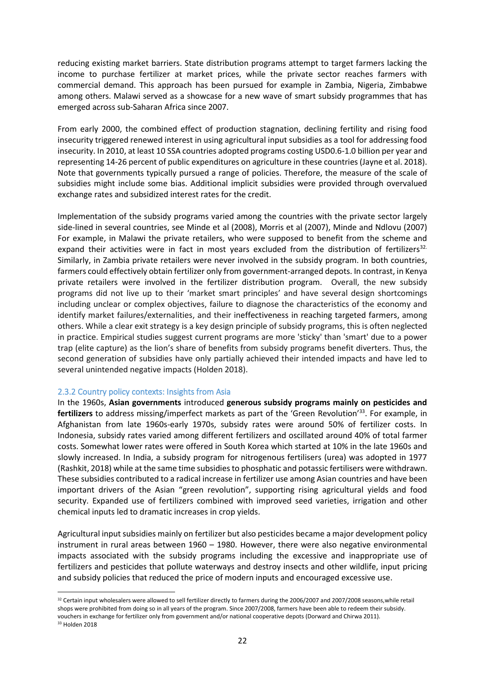reducing existing market barriers. State distribution programs attempt to target farmers lacking the income to purchase fertilizer at market prices, while the private sector reaches farmers with commercial demand. This approach has been pursued for example in Zambia, Nigeria, Zimbabwe among others. Malawi served as a showcase for a new wave of smart subsidy programmes that has emerged across sub-Saharan Africa since 2007.

From early 2000, the combined effect of production stagnation, declining fertility and rising food insecurity triggered renewed interest in using agricultural input subsidies as a tool for addressing food insecurity. In 2010, at least 10 SSA countries adopted programs costing USD0.6-1.0 billion per year and representing 14-26 percent of public expenditures on agriculture in these countries (Jayne et al. 2018). Note that governments typically pursued a range of policies. Therefore, the measure of the scale of subsidies might include some bias. Additional implicit subsidies were provided through overvalued exchange rates and subsidized interest rates for the credit.

Implementation of the subsidy programs varied among the countries with the private sector largely side-lined in several countries, see Minde et al (2008), Morris et al (2007), Minde and Ndlovu (2007) For example, in Malawi the private retailers, who were supposed to benefit from the scheme and expand their activities were in fact in most years excluded from the distribution of fertilizers<sup>32.</sup> Similarly, in Zambia private retailers were never involved in the subsidy program. In both countries, farmers could effectively obtain fertilizer only from government-arranged depots. In contrast, in Kenya private retailers were involved in the fertilizer distribution program. Overall, the new subsidy programs did not live up to their 'market smart principles' and have several design shortcomings including unclear or complex objectives, failure to diagnose the characteristics of the economy and identify market failures/externalities, and their ineffectiveness in reaching targeted farmers, among others. While a clear exit strategy is a key design principle of subsidy programs, this is often neglected in practice. Empirical studies suggest current programs are more 'sticky' than 'smart' due to a power trap (elite capture) as the lion's share of benefits from subsidy programs benefit diverters. Thus, the second generation of subsidies have only partially achieved their intended impacts and have led to several unintended negative impacts (Holden 2018).

#### <span id="page-21-0"></span>2.3.2 Country policy contexts: Insights from Asia

In the 1960s, **Asian governments** introduced **generous subsidy programs mainly on pesticides and fertilizers** to address missing/imperfect markets as part of the 'Green Revolution'<sup>33</sup>. For example, in Afghanistan from late 1960s-early 1970s, subsidy rates were around 50% of fertilizer costs. In Indonesia, subsidy rates varied among different fertilizers and oscillated around 40% of total farmer costs. Somewhat lower rates were offered in South Korea which started at 10% in the late 1960s and slowly increased. In India, a subsidy program for nitrogenous fertilisers (urea) was adopted in 1977 (Rashkit, 2018) while at the same time subsidies to phosphatic and potassic fertilisers were withdrawn. These subsidies contributed to a radical increase in fertilizer use among Asian countries and have been important drivers of the Asian "green revolution", supporting rising agricultural yields and food security. Expanded use of fertilizers combined with improved seed varieties, irrigation and other chemical inputs led to dramatic increases in crop yields.

Agricultural input subsidies mainly on fertilizer but also pesticides became a major development policy instrument in rural areas between 1960 – 1980. However, there were also negative environmental impacts associated with the subsidy programs including the excessive and inappropriate use of fertilizers and pesticides that pollute waterways and destroy insects and other wildlife, input pricing and subsidy policies that reduced the price of modern inputs and encouraged excessive use.

<sup>32</sup> Certain input wholesalers were allowed to sell fertilizer directly to farmers during the 2006/2007 and 2007/2008 seasons, while retail shops were prohibited from doing so in all years of the program. Since 2007/2008, farmers have been able to redeem their subsidy. vouchers in exchange for fertilizer only from government and/or national cooperative depots (Dorward and Chirwa 2011). <sup>33</sup> Holden 2018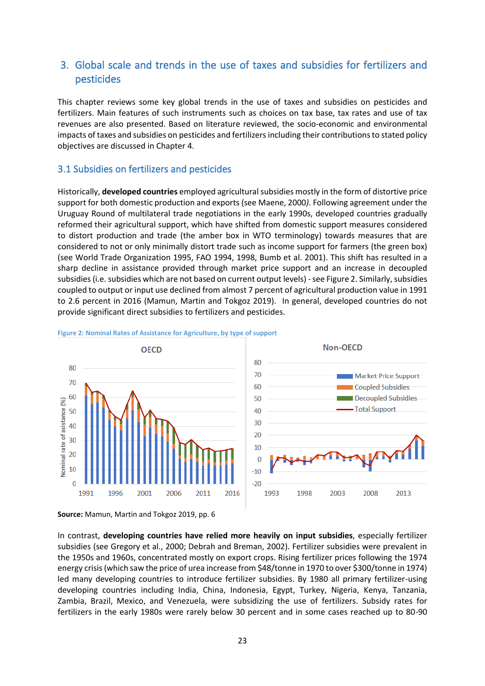# <span id="page-22-0"></span>3. Global scale and trends in the use of taxes and subsidies for fertilizers and pesticides

This chapter reviews some key global trends in the use of taxes and subsidies on pesticides and fertilizers. Main features of such instruments such as choices on tax base, tax rates and use of tax revenues are also presented. Based on literature reviewed, the socio-economic and environmental impacts of taxes and subsidies on pesticides and fertilizers including their contributions to stated policy objectives are discussed in Chapter 4.

### <span id="page-22-1"></span>3.1 Subsidies on fertilizers and pesticides

Historically, **developed countries** employed agricultural subsidies mostly in the form of distortive price support for both domestic production and exports (see Maene, 2000*)*. Following agreement under the Uruguay Round of multilateral trade negotiations in the early 1990s, developed countries gradually reformed their agricultural support, which have shifted from domestic support measures considered to distort production and trade (the amber box in WTO terminology) towards measures that are considered to not or only minimally distort trade such as income support for farmers (the green box) (see World Trade Organization 1995, FAO 1994, 1998, Bumb et al. 2001). This shift has resulted in a sharp decline in assistance provided through market price support and an increase in decoupled subsidies (i.e. subsidies which are not based on current output levels) - see Figure 2. Similarly, subsidies coupled to output or input use declined from almost 7 percent of agricultural production value in 1991 to 2.6 percent in 2016 (Mamun, Martin and Tokgoz 2019). In general, developed countries do not provide significant direct subsidies to fertilizers and pesticides.



<span id="page-22-2"></span>

In contrast, **developing countries have relied more heavily on input subsidies**, especially fertilizer subsidies (see Gregory et al., 2000; Debrah and Breman, 2002). Fertilizer subsidies were prevalent in the 1950s and 1960s, concentrated mostly on export crops. Rising fertilizer prices following the 1974 energy crisis (which saw the price of urea increase from \$48/tonne in 1970 to over \$300/tonne in 1974) led many developing countries to introduce fertilizer subsidies. By 1980 all primary fertilizer-using developing countries including India, China, Indonesia, Egypt, Turkey, Nigeria, Kenya, Tanzania, Zambia, Brazil, Mexico, and Venezuela, were subsidizing the use of fertilizers. Subsidy rates for fertilizers in the early 1980s were rarely below 30 percent and in some cases reached up to 80-90

**Source:** Mamun, Martin and Tokgoz 2019, pp. 6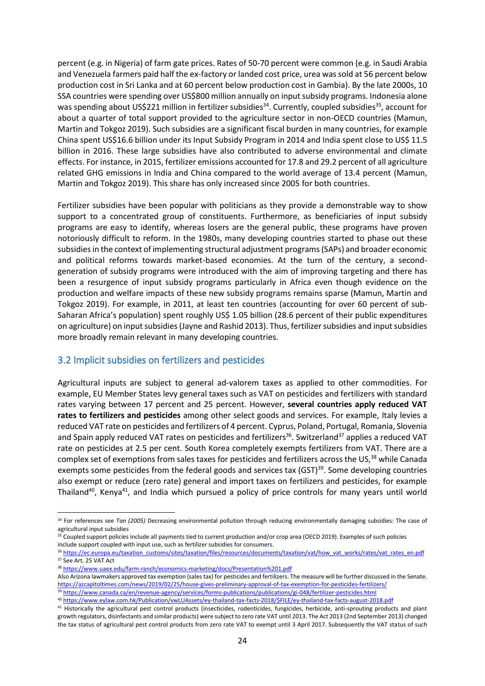percent (e.g. in Nigeria) of farm gate prices. Rates of 50-70 percent were common (e.g. in Saudi Arabia and Venezuela farmers paid half the ex-factory or landed cost price, urea was sold at 56 percent below production cost in Sri Lanka and at 60 percent below production cost in Gambia). By the late 2000s, 10 SSA countries were spending over US\$800 million annually on input subsidy programs. Indonesia alone was spending about US\$221 million in fertilizer subsidies<sup>34</sup>. Currently, coupled subsidies<sup>35</sup>, account for about a quarter of total support provided to the agriculture sector in non-OECD countries (Mamun, Martin and Tokgoz 2019). Such subsidies are a significant fiscal burden in many countries, for example China spent US\$16.6 billion under its Input Subsidy Program in 2014 and India spent close to US\$ 11.5 billion in 2016. These large subsidies have also contributed to adverse environmental and climate effects. For instance, in 2015, fertilizer emissions accounted for 17.8 and 29.2 percent of all agriculture related GHG emissions in India and China compared to the world average of 13.4 percent (Mamun, Martin and Tokgoz 2019). This share has only increased since 2005 for both countries.

Fertilizer subsidies have been popular with politicians as they provide a demonstrable way to show support to a concentrated group of constituents. Furthermore, as beneficiaries of input subsidy programs are easy to identify, whereas losers are the general public, these programs have proven notoriously difficult to reform. In the 1980s, many developing countries started to phase out these subsidies in the context of implementing structural adjustment programs (SAPs) and broader economic and political reforms towards market-based economies. At the turn of the century, a secondgeneration of subsidy programs were introduced with the aim of improving targeting and there has been a resurgence of input subsidy programs particularly in Africa even though evidence on the production and welfare impacts of these new subsidy programs remains sparse (Mamun, Martin and Tokgoz 2019). For example, in 2011, at least ten countries (accounting for over 60 percent of sub-Saharan Africa's population) spent roughly US\$ 1.05 billion (28.6 percent of their public expenditures on agriculture) on input subsidies(Jayne and Rashid 2013). Thus, fertilizer subsidies and input subsidies more broadly remain relevant in many developing countries.

### <span id="page-23-0"></span>3.2 Implicit subsidies on fertilizers and pesticides

Agricultural inputs are subject to general ad-valorem taxes as applied to other commodities. For example, EU Member States levy general taxes such as VAT on pesticides and fertilizers with standard rates varying between 17 percent and 25 percent. However, **several countries apply reduced VAT rates to fertilizers and pesticides** among other select goods and services. For example, Italy levies a reduced VAT rate on pesticides and fertilizers of 4 percent. Cyprus, Poland, Portugal, Romania, Slovenia and Spain apply reduced VAT rates on pesticides and fertilizers<sup>36</sup>. Switzerland<sup>37</sup> applies a reduced VAT rate on pesticides at 2.5 per cent. South Korea completely exempts fertilizers from VAT. There are a complex set of exemptions from sales taxes for pesticides and fertilizers across the US,<sup>38</sup> while Canada exempts some pesticides from the federal goods and services tax (GST)<sup>39</sup>. Some developing countries also exempt or reduce (zero rate) general and import taxes on fertilizers and pesticides, for example Thailand<sup>40</sup>, Kenya<sup>41</sup>, and India which pursued a policy of price controls for many years until world

<sup>34</sup> For references see *Tan (2005)* Decreasing environmental pollution through reducing environmentally damaging subsidies: The case of agricultural input subsidies

<sup>&</sup>lt;sup>35</sup> Coupled support policies include all payments tied to current production and/or crop area (OECD 2019). Examples of such policies include support coupled with input use, such as fertilizer subsidies for consumers.

<sup>&</sup>lt;sup>36</sup> [https://ec.europa.eu/taxation\\_customs/sites/taxation/files/resources/documents/taxation/vat/how\\_vat\\_works/rates/vat\\_rates\\_en.pdf](https://ec.europa.eu/taxation_customs/sites/taxation/files/resources/documents/taxation/vat/how_vat_works/rates/vat_rates_en.pdf) <sup>37</sup> See Art. 25 VAT Act

<sup>38</sup> <https://www.uaex.edu/farm-ranch/economics-marketing/docs/Presentation%201.pdf>

Also Arizona lawmakers approved tax exemption (sales tax) for pesticides and fertilizers. The measure will be further discussed in the Senate. <https://azcapitoltimes.com/news/2019/02/25/house-gives-preliminary-approval-of-tax-exemption-for-pesticides-fertilizers/>

<sup>39</sup> <https://www.canada.ca/en/revenue-agency/services/forms-publications/publications/gi-048/fertilizer-pesticides.html>

<sup>40</sup> [https://www.eylaw.com.hk/Publication/vwLUAssets/ey-thailand-tax-facts-2018/\\$FILE/ey-thailand-tax-facts-august-2018.pdf](https://www.eylaw.com.hk/Publication/vwLUAssets/ey-thailand-tax-facts-2018/$FILE/ey-thailand-tax-facts-august-2018.pdf)

<sup>&</sup>lt;sup>41</sup> Historically the agricultural pest control products (insecticides, rodenticides, fungicides, herbicide, anti-sprouting products and plant growth regulators, disinfectants and similar products) were subject to zero rate VAT until 2013. The Act 2013 (2nd September 2013) changed the tax status of agricultural pest control products from zero rate VAT to exempt until 3 April 2017. Subsequently the VAT status of such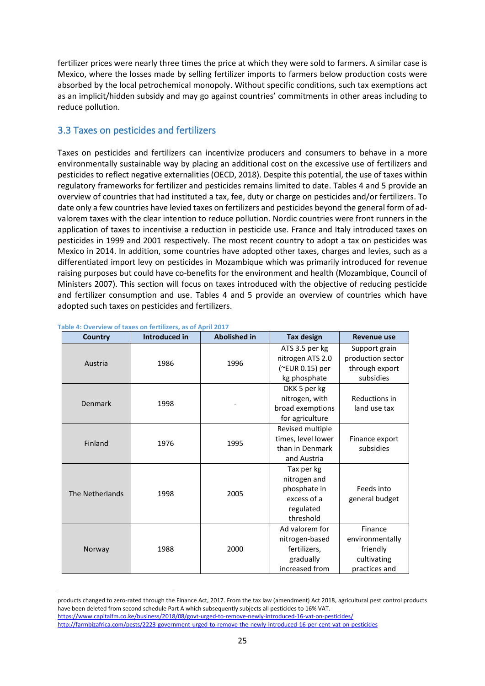fertilizer prices were nearly three times the price at which they were sold to farmers. A similar case is Mexico, where the losses made by selling fertilizer imports to farmers below production costs were absorbed by the local petrochemical monopoly. Without specific conditions, such tax exemptions act as an implicit/hidden subsidy and may go against countries' commitments in other areas including to reduce pollution.

### <span id="page-24-0"></span>3.3 Taxes on pesticides and fertilizers

Taxes on pesticides and fertilizers can incentivize producers and consumers to behave in a more environmentally sustainable way by placing an additional cost on the excessive use of fertilizers and pesticides to reflect negative externalities (OECD, 2018). Despite this potential, the use of taxes within regulatory frameworks for fertilizer and pesticides remains limited to date. Tables 4 and 5 provide an overview of countries that had instituted a tax, fee, duty or charge on pesticides and/or fertilizers. To date only a few countries have levied taxes on fertilizers and pesticides beyond the general form of advalorem taxes with the clear intention to reduce pollution. Nordic countries were front runners in the application of taxes to incentivise a reduction in pesticide use. France and Italy introduced taxes on pesticides in 1999 and 2001 respectively. The most recent country to adopt a tax on pesticides was Mexico in 2014. In addition, some countries have adopted other taxes, charges and levies, such as a differentiated import levy on pesticides in Mozambique which was primarily introduced for revenue raising purposes but could have co-benefits for the environment and health (Mozambique, Council of Ministers 2007). This section will focus on taxes introduced with the objective of reducing pesticide and fertilizer consumption and use. Tables 4 and 5 provide an overview of countries which have adopted such taxes on pesticides and fertilizers.

| <b>Country</b>  | Introduced in | <b>Abolished in</b> | <b>Tax design</b>  | <b>Revenue use</b> |
|-----------------|---------------|---------------------|--------------------|--------------------|
|                 |               |                     | ATS 3.5 per kg     | Support grain      |
| Austria         | 1986          | 1996                | nitrogen ATS 2.0   | production sector  |
|                 |               |                     | (~EUR 0.15) per    | through export     |
|                 |               |                     | kg phosphate       | subsidies          |
|                 |               |                     | DKK 5 per kg       |                    |
| Denmark         | 1998          |                     | nitrogen, with     | Reductions in      |
|                 |               |                     | broad exemptions   | land use tax       |
|                 |               |                     | for agriculture    |                    |
|                 |               |                     | Revised multiple   |                    |
| Finland         | 1976          | 1995                | times, level lower | Finance export     |
|                 |               |                     | than in Denmark    | subsidies          |
|                 |               |                     | and Austria        |                    |
|                 |               |                     | Tax per kg         |                    |
|                 | 1998          | 2005                | nitrogen and       |                    |
| The Netherlands |               |                     | phosphate in       | Feeds into         |
|                 |               |                     | excess of a        | general budget     |
|                 |               |                     | regulated          |                    |
|                 |               |                     | threshold          |                    |
|                 |               |                     | Ad valorem for     | Finance            |
| Norway          |               | 2000                | nitrogen-based     | environmentally    |
|                 | 1988          |                     | fertilizers,       | friendly           |
|                 |               |                     | gradually          | cultivating        |
|                 |               |                     | increased from     | practices and      |

#### <span id="page-24-1"></span>**Table 4: Overview of taxes on fertilizers, as of April 2017**

products changed to zero-rated through the Finance Act, 2017. From the tax law (amendment) Act 2018, agricultural pest control products have been deleted from second schedule Part A which subsequently subjects all pesticides to 16% VAT. <https://www.capitalfm.co.ke/business/2018/08/govt-urged-to-remove-newly-introduced-16-vat-on-pesticides/>

<http://farmbizafrica.com/pests/2223-government-urged-to-remove-the-newly-introduced-16-per-cent-vat-on-pesticides>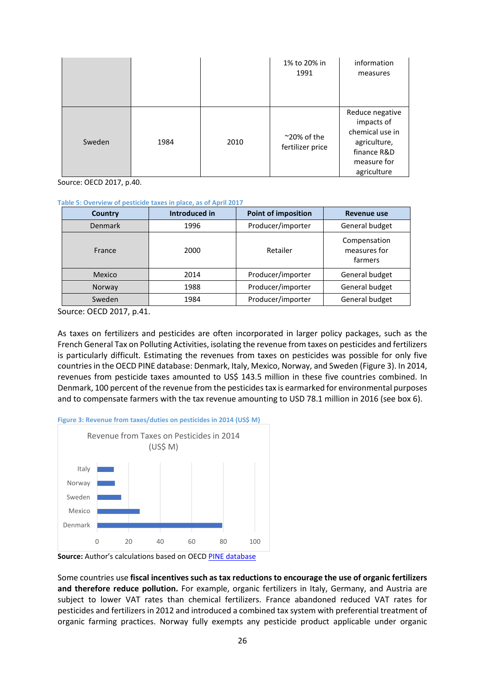|        |      |      | 1% to 20% in<br>1991                     | information<br>measures                                                                                       |
|--------|------|------|------------------------------------------|---------------------------------------------------------------------------------------------------------------|
| Sweden | 1984 | 2010 | $^{\sim}$ 20% of the<br>fertilizer price | Reduce negative<br>impacts of<br>chemical use in<br>agriculture,<br>finance R&D<br>measure for<br>agriculture |

Source: OECD 2017, p.40.

<span id="page-25-1"></span>**Table 5: Overview of pesticide taxes in place, as of April 2017**

| Country        | Introduced in | <b>Point of imposition</b> | <b>Revenue use</b>                      |
|----------------|---------------|----------------------------|-----------------------------------------|
| <b>Denmark</b> | 1996          | Producer/importer          | General budget                          |
| France         | 2000          | Retailer                   | Compensation<br>measures for<br>farmers |
| Mexico         | 2014          | Producer/importer          | General budget                          |
| Norway         | 1988          | Producer/importer          | General budget                          |
| Sweden         | 1984          | Producer/importer          | General budget                          |

Source: OECD 2017, p.41.

As taxes on fertilizers and pesticides are often incorporated in larger policy packages, such as the French General Tax on Polluting Activities, isolating the revenue from taxes on pesticides and fertilizers is particularly difficult. Estimating the revenues from taxes on pesticides was possible for only five countries in the OECD PINE database: Denmark, Italy, Mexico, Norway, and Sweden (Figure 3). In 2014, revenues from pesticide taxes amounted to US\$ 143.5 million in these five countries combined. In Denmark, 100 percent of the revenue from the pesticides tax is earmarked for environmental purposes and to compensate farmers with the tax revenue amounting to USD 78.1 million in 2016 (see box 6).



<span id="page-25-0"></span>**Figure 3: Revenue from taxes/duties on pesticides in 2014 (US\$ M)**

**Source:** Author's calculations based on OECD [PINE database](https://pinedatabase.oecd.org/Query_2.aspx?QryCtx=1&isid=478fe70e-901b-4386-92d1-1617ab3078bc)

Some countries use **fiscal incentives such as tax reductions to encourage the use of organic fertilizers and therefore reduce pollution.** For example, organic fertilizers in Italy, Germany, and Austria are subject to lower VAT rates than chemical fertilizers. France abandoned reduced VAT rates for pesticides and fertilizers in 2012 and introduced a combined tax system with preferential treatment of organic farming practices. Norway fully exempts any pesticide product applicable under organic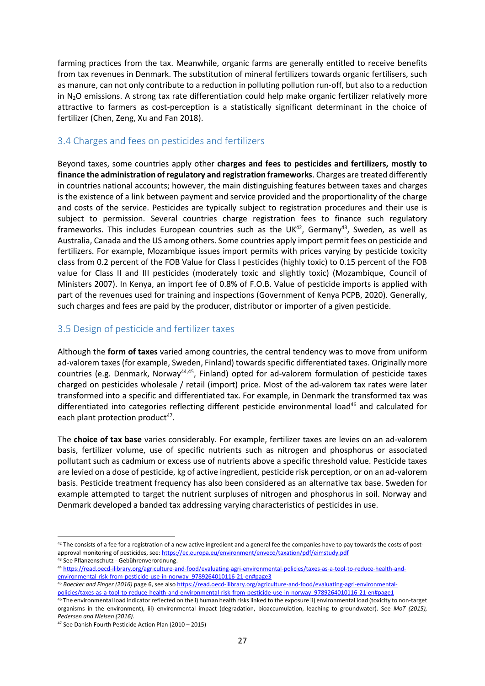farming practices from the tax. Meanwhile, organic farms are generally entitled to receive benefits from tax revenues in Denmark. The substitution of mineral fertilizers towards organic fertilisers, such as manure, can not only contribute to a reduction in polluting pollution run-off, but also to a reduction in N<sub>2</sub>O emissions. A strong tax rate differentiation could help make organic fertilizer relatively more attractive to farmers as cost-perception is a statistically significant determinant in the choice of fertilizer (Chen, Zeng, Xu and Fan 2018).

### <span id="page-26-0"></span>3.4 Charges and fees on pesticides and fertilizers

Beyond taxes, some countries apply other **charges and fees to pesticides and fertilizers, mostly to finance the administration of regulatory and registration frameworks**. Charges are treated differently in countries national accounts; however, the main distinguishing features between taxes and charges is the existence of a link between payment and service provided and the proportionality of the charge and costs of the service. Pesticides are typically subject to registration procedures and their use is subject to permission. Several countries charge registration fees to finance such regulatory frameworks. This includes European countries such as the UK<sup>42</sup>, Germany<sup>43</sup>, Sweden, as well as Australia, Canada and the US among others. Some countries apply import permit fees on pesticide and fertilizers. For example, Mozambique issues import permits with prices varying by pesticide toxicity class from 0.2 percent of the FOB Value for Class I pesticides (highly toxic) to 0.15 percent of the FOB value for Class II and III pesticides (moderately toxic and slightly toxic) (Mozambique, Council of Ministers 2007). In Kenya, an import fee of 0.8% of F.O.B. Value of pesticide imports is applied with part of the revenues used for training and inspections (Government of Kenya PCPB, 2020). Generally, such charges and fees are paid by the producer, distributor or importer of a given pesticide.

### <span id="page-26-1"></span>3.5 Design of pesticide and fertilizer taxes

Although the **form of taxes** varied among countries, the central tendency was to move from uniform ad-valorem taxes (for example, Sweden, Finland) towards specific differentiated taxes. Originally more countries (e.g. Denmark, Norway<sup>44,45</sup>, Finland) opted for ad-valorem formulation of pesticide taxes charged on pesticides wholesale / retail (import) price. Most of the ad-valorem tax rates were later transformed into a specific and differentiated tax. For example, in Denmark the transformed tax was differentiated into categories reflecting different pesticide environmental load<sup>46</sup> and calculated for each plant protection product<sup>47</sup>.

The **choice of tax base** varies considerably. For example, fertilizer taxes are levies on an ad-valorem basis, fertilizer volume, use of specific nutrients such as nitrogen and phosphorus or associated pollutant such as cadmium or excess use of nutrients above a specific threshold value. Pesticide taxes are levied on a dose of pesticide, kg of active ingredient, pesticide risk perception, or on an ad-valorem basis. Pesticide treatment frequency has also been considered as an alternative tax base. Sweden for example attempted to target the nutrient surpluses of nitrogen and phosphorus in soil. Norway and Denmark developed a banded tax addressing varying characteristics of pesticides in use.

 $42$  The consists of a fee for a registration of a new active ingredient and a general fee the companies have to pay towards the costs of postapproval monitoring of pesticides, see: <https://ec.europa.eu/environment/enveco/taxation/pdf/eimstudy.pdf>

<sup>43</sup> See Pflanzenschutz - Gebührenverordnung.

<sup>44</sup> [https://read.oecd-ilibrary.org/agriculture-and-food/evaluating-agri-environmental-policies/taxes-as-a-tool-to-reduce-health-and](https://read.oecd-ilibrary.org/agriculture-and-food/evaluating-agri-environmental-policies/taxes-as-a-tool-to-reduce-health-and-environmental-risk-from-pesticide-use-in-norway_9789264010116-21-en#page3)[environmental-risk-from-pesticide-use-in-norway\\_9789264010116-21-en#page3](https://read.oecd-ilibrary.org/agriculture-and-food/evaluating-agri-environmental-policies/taxes-as-a-tool-to-reduce-health-and-environmental-risk-from-pesticide-use-in-norway_9789264010116-21-en#page3)

<sup>45</sup> *Boecker and Finger (2016)* page 6, see als[o https://read.oecd-ilibrary.org/agriculture-and-food/evaluating-agri-environmental](https://read.oecd-ilibrary.org/agriculture-and-food/evaluating-agri-environmental-policies/taxes-as-a-tool-to-reduce-health-and-environmental-risk-from-pesticide-use-in-norway_9789264010116-21-en#page1)[policies/taxes-as-a-tool-to-reduce-health-and-environmental-risk-from-pesticide-use-in-norway\\_9789264010116-21-en#page1](https://read.oecd-ilibrary.org/agriculture-and-food/evaluating-agri-environmental-policies/taxes-as-a-tool-to-reduce-health-and-environmental-risk-from-pesticide-use-in-norway_9789264010116-21-en#page1)

<sup>&</sup>lt;sup>46</sup> The environmental load indicator reflected on the i) human health risks linked to the exposure ii) environmental load (toxicity to non-target organisms in the environment), iii) environmental impact (degradation, bioaccumulation, leaching to groundwater). See *MoT (2015), Pedersen and Nielsen (2016)*.

<sup>47</sup> See Danish Fourth Pesticide Action Plan (2010 – 2015)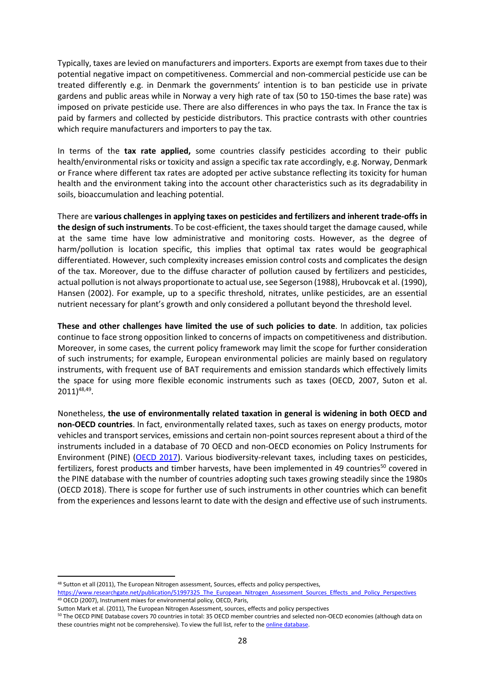Typically, taxes are levied on manufacturers and importers. Exports are exempt from taxes due to their potential negative impact on competitiveness. Commercial and non-commercial pesticide use can be treated differently e.g. in Denmark the governments' intention is to ban pesticide use in private gardens and public areas while in Norway a very high rate of tax (50 to 150-times the base rate) was imposed on private pesticide use. There are also differences in who pays the tax. In France the tax is paid by farmers and collected by pesticide distributors. This practice contrasts with other countries which require manufacturers and importers to pay the tax.

In terms of the **tax rate applied,** some countries classify pesticides according to their public health/environmental risks or toxicity and assign a specific tax rate accordingly, e.g. Norway, Denmark or France where different tax rates are adopted per active substance reflecting its toxicity for human health and the environment taking into the account other characteristics such as its degradability in soils, bioaccumulation and leaching potential.

There are **various challenges in applying taxes on pesticides and fertilizers and inherent trade-offs in the design of such instruments**. To be cost-efficient, the taxes should target the damage caused, while at the same time have low administrative and monitoring costs. However, as the degree of harm/pollution is location specific, this implies that optimal tax rates would be geographical differentiated. However, such complexity increases emission control costs and complicates the design of the tax. Moreover, due to the diffuse character of pollution caused by fertilizers and pesticides, actual pollution is not always proportionate to actual use, see Segerson (1988), Hrubovcak et al. (1990), Hansen (2002). For example, up to a specific threshold, nitrates, unlike pesticides, are an essential nutrient necessary for plant's growth and only considered a pollutant beyond the threshold level.

**These and other challenges have limited the use of such policies to date**. In addition, tax policies continue to face strong opposition linked to concerns of impacts on competitiveness and distribution. Moreover, in some cases, the current policy framework may limit the scope for further consideration of such instruments; for example, European environmental policies are mainly based on regulatory instruments, with frequent use of BAT requirements and emission standards which effectively limits the space for using more flexible economic instruments such as taxes (OECD, 2007, Suton et al. 2011) 48,49 .

Nonetheless, **the use of environmentally related taxation in general is widening in both OECD and non-OECD countries**. In fact, environmentally related taxes, such as taxes on energy products, motor vehicles and transport services, emissions and certain non-point sources represent about a third of the instruments included in a database of 70 OECD and non-OECD economies on Policy Instruments for Environment (PINE) [\(OECD 2017\)](http://www.oecd.org/environment/tools-evaluation/PINE_database_brochure.pdf). Various biodiversity-relevant taxes, including taxes on pesticides, fertilizers, forest products and timber harvests, have been implemented in 49 countries<sup>50</sup> covered in the PINE database with the number of countries adopting such taxes growing steadily since the 1980s (OECD 2018). There is scope for further use of such instruments in other countries which can benefit from the experiences and lessons learnt to date with the design and effective use of such instruments.

<sup>&</sup>lt;sup>48</sup> Sutton et all (2011), The European Nitrogen assessment, Sources, effects and policy perspectives, [https://www.researchgate.net/publication/51997325\\_The\\_European\\_Nitrogen\\_Assessment\\_Sources\\_Effects\\_and\\_Policy\\_Perspectives](https://www.researchgate.net/publication/51997325_The_European_Nitrogen_Assessment_Sources_Effects_and_Policy_Perspectives) <sup>49</sup> OECD (2007), Instrument mixes for environmental policy, OECD, Paris,

Sutton Mark et al. (2011), The European Nitrogen Assessment, sources, effects and policy perspectives

<sup>&</sup>lt;sup>50</sup> The OECD PINE Database covers 70 countries in total: 35 OECD member countries and selected non-OECD economies (although data on these countries might not be comprehensive). To view the full list, refer to the online database.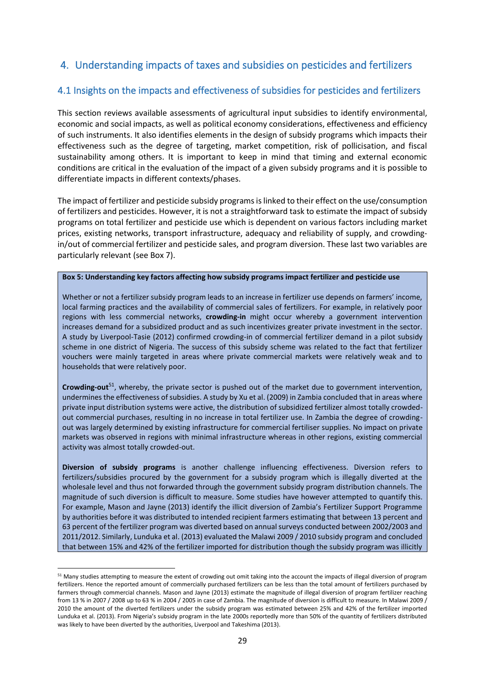### <span id="page-28-0"></span>4. Understanding impacts of taxes and subsidies on pesticides and fertilizers

### <span id="page-28-1"></span>4.1 Insights on the impacts and effectiveness of subsidies for pesticides and fertilizers

This section reviews available assessments of agricultural input subsidies to identify environmental, economic and social impacts, as well as political economy considerations, effectiveness and efficiency of such instruments. It also identifies elements in the design of subsidy programs which impacts their effectiveness such as the degree of targeting, market competition, risk of pollicisation, and fiscal sustainability among others. It is important to keep in mind that timing and external economic conditions are critical in the evaluation of the impact of a given subsidy programs and it is possible to differentiate impacts in different contexts/phases.

The impact of fertilizer and pesticide subsidy programs is linked to their effect on the use/consumption of fertilizers and pesticides. However, it is not a straightforward task to estimate the impact of subsidy programs on total fertilizer and pesticide use which is dependent on various factors including market prices, existing networks, transport infrastructure, adequacy and reliability of supply, and crowdingin/out of commercial fertilizer and pesticide sales, and program diversion. These last two variables are particularly relevant (see Box 7).

#### <span id="page-28-2"></span>**Box 5: Understanding key factors affecting how subsidy programs impact fertilizer and pesticide use**

Whether or not a fertilizer subsidy program leads to an increase in fertilizer use depends on farmers' income, local farming practices and the availability of commercial sales of fertilizers. For example, in relatively poor regions with less commercial networks, **crowding-in** might occur whereby a government intervention increases demand for a subsidized product and as such incentivizes greater private investment in the sector. A study by Liverpool-Tasie (2012) confirmed crowding-in of commercial fertilizer demand in a pilot subsidy scheme in one district of Nigeria. The success of this subsidy scheme was related to the fact that fertilizer vouchers were mainly targeted in areas where private commercial markets were relatively weak and to households that were relatively poor.

**Crowding-out**<sup>51</sup>, whereby, the private sector is pushed out of the market due to government intervention, undermines the effectiveness of subsidies. A study by Xu et al. (2009) in Zambia concluded that in areas where private input distribution systems were active, the distribution of subsidized fertilizer almost totally crowdedout commercial purchases, resulting in no increase in total fertilizer use. In Zambia the degree of crowdingout was largely determined by existing infrastructure for commercial fertiliser supplies. No impact on private markets was observed in regions with minimal infrastructure whereas in other regions, existing commercial activity was almost totally crowded-out.

**Diversion of subsidy programs** is another challenge influencing effectiveness. Diversion refers to fertilizers/subsidies procured by the government for a subsidy program which is illegally diverted at the wholesale level and thus not forwarded through the government subsidy program distribution channels. The magnitude of such diversion is difficult to measure. Some studies have however attempted to quantify this. For example, Mason and Jayne (2013) identify the illicit diversion of Zambia's Fertilizer Support Programme by authorities before it was distributed to intended recipient farmers estimating that between 13 percent and 63 percent of the fertilizer program was diverted based on annual surveys conducted between 2002/2003 and 2011/2012. Similarly, Lunduka et al. (2013) evaluated the Malawi 2009 / 2010 subsidy program and concluded that between 15% and 42% of the fertilizer imported for distribution though the subsidy program was illicitly

<sup>&</sup>lt;sup>51</sup> Many studies attempting to measure the extent of crowding out omit taking into the account the impacts of illegal diversion of program fertilizers. Hence the reported amount of commercially purchased fertilizers can be less than the total amount of fertilizers purchased by farmers through commercial channels. Mason and Jayne (2013) estimate the magnitude of illegal diversion of program fertilizer reaching from 13 % in 2007 / 2008 up to 63 % in 2004 / 2005 in case of Zambia. The magnitude of diversion is difficult to measure. In Malawi 2009 / 2010 the amount of the diverted fertilizers under the subsidy program was estimated between 25% and 42% of the fertilizer imported Lunduka et al. (2013). From Nigeria's subsidy program in the late 2000s reportedly more than 50% of the quantity of fertilizers distributed was likely to have been diverted by the authorities, Liverpool and Takeshima (2013).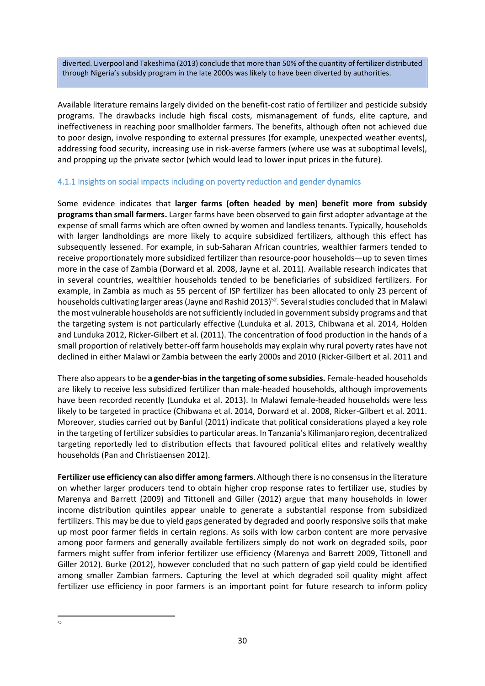diverted. Liverpool and Takeshima (2013) conclude that more than 50% of the quantity of fertilizer distributed through Nigeria's subsidy program in the late 2000s was likely to have been diverted by authorities.

Available literature remains largely divided on the benefit-cost ratio of fertilizer and pesticide subsidy programs. The drawbacks include high fiscal costs, mismanagement of funds, elite capture, and ineffectiveness in reaching poor smallholder farmers. The benefits, although often not achieved due to poor design, involve responding to external pressures (for example, unexpected weather events), addressing food security, increasing use in risk-averse farmers (where use was at suboptimal levels), and propping up the private sector (which would lead to lower input prices in the future).

### <span id="page-29-0"></span>4.1.1 Insights on social impacts including on poverty reduction and gender dynamics

Some evidence indicates that **larger farms (often headed by men) benefit more from subsidy programs than small farmers.** Larger farms have been observed to gain first adopter advantage at the expense of small farms which are often owned by women and landless tenants. Typically, households with larger landholdings are more likely to acquire subsidized fertilizers, although this effect has subsequently lessened. For example, in sub-Saharan African countries, wealthier farmers tended to receive proportionately more subsidized fertilizer than resource-poor households—up to seven times more in the case of Zambia (Dorward et al. 2008, Jayne et al. 2011). Available research indicates that in several countries, wealthier households tended to be beneficiaries of subsidized fertilizers. For example, in Zambia as much as 55 percent of ISP fertilizer has been allocated to only 23 percent of households cultivating larger areas (Jayne and Rashid 2013)<sup>52</sup>. Several studies concluded that in Malawi the most vulnerable households are not sufficiently included in government subsidy programs and that the targeting system is not particularly effective (Lunduka et al. 2013, Chibwana et al. 2014, Holden and Lunduka 2012, Ricker-Gilbert et al. (2011). The concentration of food production in the hands of a small proportion of relatively better-off farm households may explain why rural poverty rates have not declined in either Malawi or Zambia between the early 2000s and 2010 (Ricker-Gilbert et al. 2011 and

There also appears to be **a gender-bias in the targeting of some subsidies.** Female-headed households are likely to receive less subsidized fertilizer than male-headed households, although improvements have been recorded recently (Lunduka et al. 2013). In Malawi female-headed households were less likely to be targeted in practice (Chibwana et al. 2014, Dorward et al. 2008, Ricker-Gilbert et al. 2011. Moreover, studies carried out by Banful (2011) indicate that political considerations played a key role in the targeting of fertilizer subsidies to particular areas. In Tanzania's Kilimanjaro region, decentralized targeting reportedly led to distribution effects that favoured political elites and relatively wealthy households (Pan and Christiaensen 2012).

**Fertilizer use efficiency can also differ among farmers**. Although there is no consensus in the literature on whether larger producers tend to obtain higher crop response rates to fertilizer use, studies by Marenya and Barrett (2009) and Tittonell and Giller (2012) argue that many households in lower income distribution quintiles appear unable to generate a substantial response from subsidized fertilizers. This may be due to yield gaps generated by degraded and poorly responsive soils that make up most poor farmer fields in certain regions. As soils with low carbon content are more pervasive among poor farmers and generally available fertilizers simply do not work on degraded soils, poor farmers might suffer from inferior fertilizer use efficiency (Marenya and Barrett 2009, Tittonell and Giller 2012). Burke (2012), however concluded that no such pattern of gap yield could be identified among smaller Zambian farmers. Capturing the level at which degraded soil quality might affect fertilizer use efficiency in poor farmers is an important point for future research to inform policy

 $52$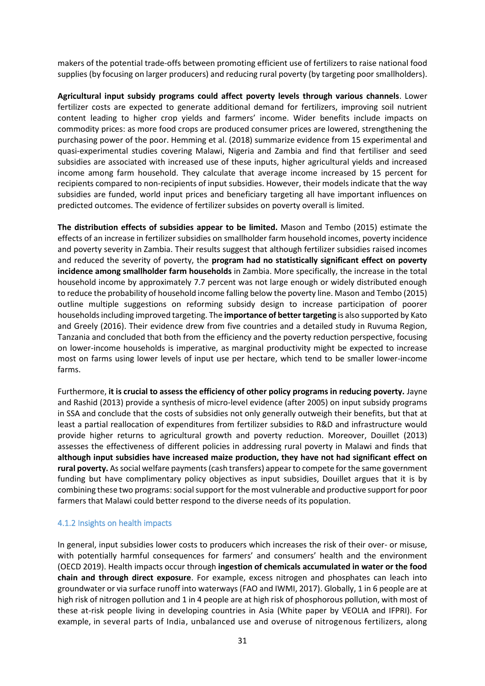makers of the potential trade-offs between promoting efficient use of fertilizers to raise national food supplies (by focusing on larger producers) and reducing rural poverty (by targeting poor smallholders).

**Agricultural input subsidy programs could affect poverty levels through various channels**. Lower fertilizer costs are expected to generate additional demand for fertilizers, improving soil nutrient content leading to higher crop yields and farmers' income. Wider benefits include impacts on commodity prices: as more food crops are produced consumer prices are lowered, strengthening the purchasing power of the poor. Hemming et al. (2018) summarize evidence from 15 experimental and quasi-experimental studies covering Malawi, Nigeria and Zambia and find that fertiliser and seed subsidies are associated with increased use of these inputs, higher agricultural yields and increased income among farm household. They calculate that average income increased by 15 percent for recipients compared to non-recipients of input subsidies. However, their models indicate that the way subsidies are funded, world input prices and beneficiary targeting all have important influences on predicted outcomes. The evidence of fertilizer subsides on poverty overall is limited.

**The distribution effects of subsidies appear to be limited.** Mason and Tembo (2015) estimate the effects of an increase in fertilizer subsidies on smallholder farm household incomes, poverty incidence and poverty severity in Zambia. Their results suggest that although fertilizer subsidies raised incomes and reduced the severity of poverty, the **program had no statistically significant effect on poverty incidence among smallholder farm households** in Zambia. More specifically, the increase in the total household income by approximately 7.7 percent was not large enough or widely distributed enough to reduce the probability of household income falling below the poverty line. Mason and Tembo (2015) outline multiple suggestions on reforming subsidy design to increase participation of poorer householdsincluding improved targeting. The **importance of better targeting** is also supported by Kato and Greely (2016). Their evidence drew from five countries and a detailed study in Ruvuma Region, Tanzania and concluded that both from the efficiency and the poverty reduction perspective, focusing on lower-income households is imperative, as marginal productivity might be expected to increase most on farms using lower levels of input use per hectare, which tend to be smaller lower-income farms.

Furthermore, **it is crucial to assess the efficiency of other policy programs in reducing poverty.** Jayne and Rashid (2013) provide a synthesis of micro-level evidence (after 2005) on input subsidy programs in SSA and conclude that the costs of subsidies not only generally outweigh their benefits, but that at least a partial reallocation of expenditures from fertilizer subsidies to R&D and infrastructure would provide higher returns to agricultural growth and poverty reduction. Moreover, Douillet (2013) assesses the effectiveness of different policies in addressing rural poverty in Malawi and finds that **although input subsidies have increased maize production, they have not had significant effect on rural poverty.** As social welfare payments (cash transfers) appear to compete for the same government funding but have complimentary policy objectives as input subsidies, Douillet argues that it is by combining these two programs: social support for the most vulnerable and productive support for poor farmers that Malawi could better respond to the diverse needs of its population.

#### <span id="page-30-0"></span>4.1.2 Insights on health impacts

In general, input subsidies lower costs to producers which increases the risk of their over- or misuse, with potentially harmful consequences for farmers' and consumers' health and the environment (OECD 2019). Health impacts occur through **ingestion of chemicals accumulated in water or the food chain and through direct exposure**. For example, excess nitrogen and phosphates can leach into groundwater or via surface runoff into waterways (FAO and IWMI, 2017). Globally, 1 in 6 people are at high risk of nitrogen pollution and 1 in 4 people are at high risk of phosphorous pollution, with most of these at-risk people living in developing countries in Asia (White paper by VEOLIA and IFPRI). For example, in several parts of India, unbalanced use and overuse of nitrogenous fertilizers, along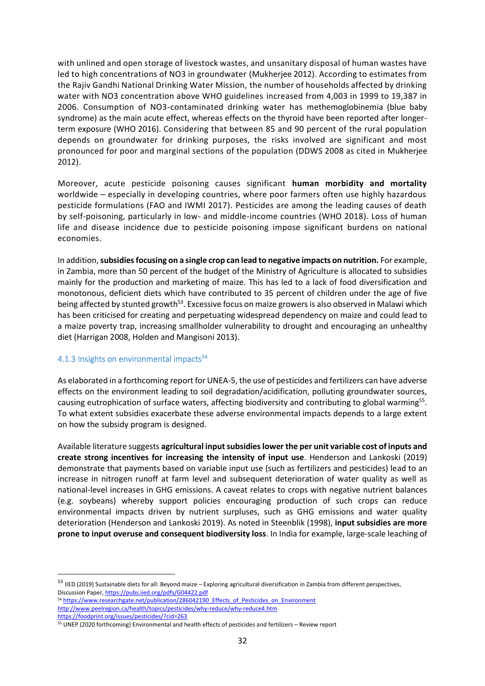with unlined and open storage of livestock wastes, and unsanitary disposal of human wastes have led to high concentrations of NO3 in groundwater (Mukherjee 2012). According to estimates from the Rajiv Gandhi National Drinking Water Mission, the number of households affected by drinking water with NO3 concentration above WHO guidelines increased from 4,003 in 1999 to 19,387 in 2006. Consumption of NO3-contaminated drinking water has methemoglobinemia (blue baby syndrome) as the main acute effect, whereas effects on the thyroid have been reported after longerterm exposure (WHO 2016). Considering that between 85 and 90 percent of the rural population depends on groundwater for drinking purposes, the risks involved are significant and most pronounced for poor and marginal sections of the population (DDWS 2008 as cited in Mukherjee 2012).

Moreover, acute pesticide poisoning causes significant **human morbidity and mortality** worldwide – especially in developing countries, where poor farmers often use highly hazardous pesticide formulations (FAO and IWMI 2017). Pesticides are among the leading causes of death by self-poisoning, particularly in low- and middle-income countries (WHO 2018). Loss of human life and disease incidence due to pesticide poisoning impose significant burdens on national economies.

In addition,**subsidiesfocusing on a single crop can lead to negative impacts on nutrition.** For example, in Zambia, more than 50 percent of the budget of the Ministry of Agriculture is allocated to subsidies mainly for the production and marketing of maize. This has led to a lack of food diversification and monotonous, deficient diets which have contributed to 35 percent of children under the age of five being affected by stunted growth<sup>53</sup>. Excessive focus on maize growers is also observed in Malawi which has been criticised for creating and perpetuating widespread dependency on maize and could lead to a maize poverty trap, increasing smallholder vulnerability to drought and encouraging an unhealthy diet (Harrigan 2008, Holden and Mangisoni 2013).

# <span id="page-31-0"></span>4.1.3 Insights on environmental impacts<sup>54</sup>

As elaborated in a forthcoming report for UNEA-5, the use of pesticides and fertilizers can have adverse effects on the environment leading to soil degradation/acidification, polluting groundwater sources, causing eutrophication of surface waters, affecting biodiversity and contributing to global warming<sup>55</sup>. To what extent subsidies exacerbate these adverse environmental impacts depends to a large extent on how the subsidy program is designed.

Available literature suggests **agricultural input subsidies lower the per unit variable cost of inputs and create strong incentives for increasing the intensity of input use**. Henderson and Lankoski (2019) demonstrate that payments based on variable input use (such as fertilizers and pesticides) lead to an increase in nitrogen runoff at farm level and subsequent deterioration of water quality as well as national-level increases in GHG emissions. A caveat relates to crops with negative nutrient balances (e.g. soybeans) whereby support policies encouraging production of such crops can reduce environmental impacts driven by nutrient surpluses, such as GHG emissions and water quality deterioration (Henderson and Lankoski 2019). As noted in Steenblik (1998), **input subsidies are more prone to input overuse and consequent biodiversity loss**. In India for example, large-scale leaching of

<sup>53</sup> IIED (2019) Sustainable diets for all: Beyond maize – Exploring agricultural diversification in Zambia from different perspectives, Discussion Paper[, https://pubs.iied.org/pdfs/G04422.pdf](https://pubs.iied.org/pdfs/G04422.pdf)

<sup>54</sup> https://www.researchgate.net/publication/286042190 Effects of Pesticides on Environment <http://www.peelregion.ca/health/topics/pesticides/why-reduce/why-reduce4.htm>

<https://foodprint.org/issues/pesticides/?cid=263>

<sup>55</sup> UNEP (2020 forthcoming) Environmental and health effects of pesticides and fertilizers – Review report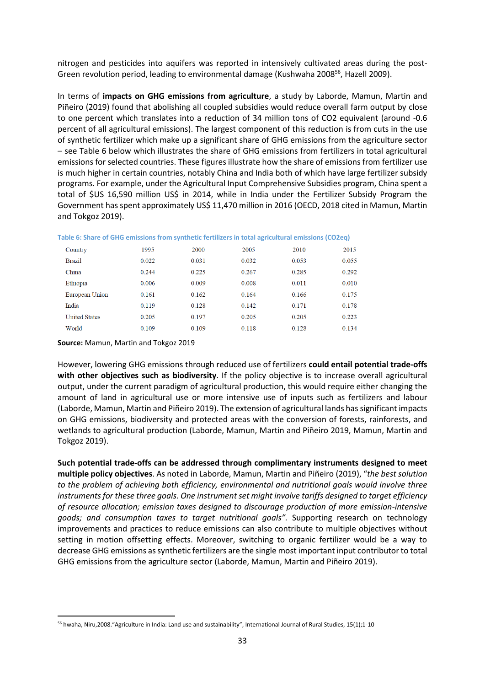nitrogen and pesticides into aquifers was reported in intensively cultivated areas during the post-Green revolution period, leading to environmental damage (Kushwaha 2008<sup>56</sup>, Hazell 2009).

In terms of **impacts on GHG emissions from agriculture**, a study by Laborde, Mamun, Martin and Piñeiro (2019) found that abolishing all coupled subsidies would reduce overall farm output by close to one percent which translates into a reduction of 34 million tons of CO2 equivalent (around -0.6 percent of all agricultural emissions). The largest component of this reduction is from cuts in the use of synthetic fertilizer which make up a significant share of GHG emissions from the agriculture sector – see [Table 6](#page-32-0) below which illustrates the share of GHG emissions from fertilizers in total agricultural emissions for selected countries. These figures illustrate how the share of emissions from fertilizer use is much higher in certain countries, notably China and India both of which have large fertilizer subsidy programs. For example, under the Agricultural Input Comprehensive Subsidies program, China spent a total of \$US 16,590 million US\$ in 2014, while in India under the Fertilizer Subsidy Program the Government has spent approximately US\$ 11,470 million in 2016 (OECD, 2018 cited in Mamun, Martin and Tokgoz 2019).

| Country              | 1995  | 2000  | 2005  | 2010  | 2015  |
|----------------------|-------|-------|-------|-------|-------|
| <b>Brazil</b>        | 0.022 | 0.031 | 0.032 | 0.053 | 0.055 |
| China                | 0.244 | 0.225 | 0.267 | 0.285 | 0.292 |
| Ethiopia             | 0.006 | 0.009 | 0.008 | 0.011 | 0.010 |
| European Union       | 0.161 | 0.162 | 0.164 | 0.166 | 0.175 |
| India                | 0.119 | 0.128 | 0.142 | 0.171 | 0.178 |
| <b>United States</b> | 0.205 | 0.197 | 0.205 | 0.205 | 0.223 |
| World                | 0.109 | 0.109 | 0.118 | 0.128 | 0.134 |
|                      |       |       |       |       |       |

<span id="page-32-0"></span>**Table 6: Share of GHG emissions from synthetic fertilizers in total agricultural emissions (CO2eq)** 

**Source:** Mamun, Martin and Tokgoz 2019

However, lowering GHG emissions through reduced use of fertilizers **could entail potential trade-offs with other objectives such as biodiversity**. If the policy objective is to increase overall agricultural output, under the current paradigm of agricultural production, this would require either changing the amount of land in agricultural use or more intensive use of inputs such as fertilizers and labour (Laborde, Mamun, Martin and Piñeiro 2019). The extension of agricultural lands hassignificant impacts on GHG emissions, biodiversity and protected areas with the conversion of forests, rainforests, and wetlands to agricultural production (Laborde, Mamun, Martin and Piñeiro 2019, Mamun, Martin and Tokgoz 2019).

**Such potential trade-offs can be addressed through complimentary instruments designed to meet multiple policy objectives**. As noted in Laborde, Mamun, Martin and Piñeiro (2019), "*the best solution to the problem of achieving both efficiency, environmental and nutritional goals would involve three instruments for these three goals. One instrument set might involve tariffs designed to target efficiency of resource allocation; emission taxes designed to discourage production of more emission-intensive goods; and consumption taxes to target nutritional goals".* Supporting research on technology improvements and practices to reduce emissions can also contribute to multiple objectives without setting in motion offsetting effects. Moreover, switching to organic fertilizer would be a way to decrease GHG emissions as synthetic fertilizers are the single most important input contributor to total GHG emissions from the agriculture sector (Laborde, Mamun, Martin and Piñeiro 2019).

<sup>56</sup> hwaha, Niru,2008."Agriculture in India: Land use and sustainability", International Journal of Rural Studies, 15(1);1-10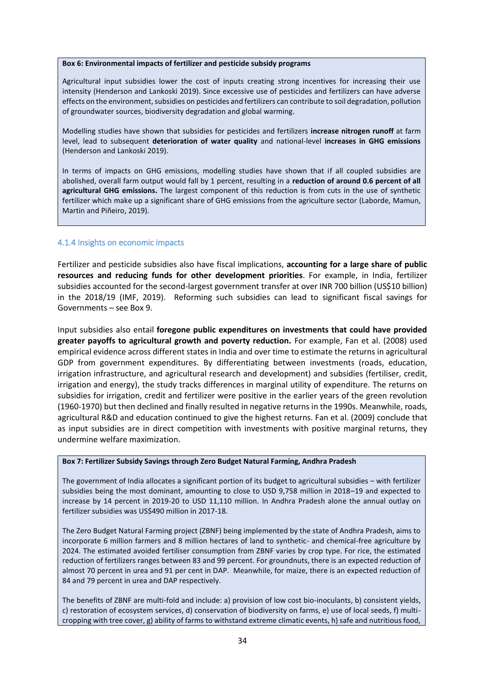#### <span id="page-33-1"></span>**Box 6: Environmental impacts of fertilizer and pesticide subsidy programs**

Agricultural input subsidies lower the cost of inputs creating strong incentives for increasing their use intensity (Henderson and Lankoski 2019). Since excessive use of pesticides and fertilizers can have adverse effects on the environment, subsidies on pesticides and fertilizers can contribute to soil degradation, pollution of groundwater sources, biodiversity degradation and global warming.

Modelling studies have shown that subsidies for pesticides and fertilizers **increase nitrogen runoff** at farm level, lead to subsequent **deterioration of water quality** and national-level **increases in GHG emissions**  (Henderson and Lankoski 2019).

In terms of impacts on GHG emissions, modelling studies have shown that if all coupled subsidies are abolished, overall farm output would fall by 1 percent, resulting in a **reduction of around 0.6 percent of all agricultural GHG emissions.** The largest component of this reduction is from cuts in the use of synthetic fertilizer which make up a significant share of GHG emissions from the agriculture sector (Laborde, Mamun, Martin and Piñeiro, 2019).

#### <span id="page-33-0"></span>4.1.4 Insights on economic impacts

Fertilizer and pesticide subsidies also have fiscal implications, **accounting for a large share of public resources and reducing funds for other development priorities**. For example, in India, fertilizer subsidies accounted for the second-largest government transfer at over INR 700 billion (US\$10 billion) in the 2018/19 (IMF, 2019). Reforming such subsidies can lead to significant fiscal savings for Governments – see Box 9.

Input subsidies also entail **foregone public expenditures on investments that could have provided greater payoffs to agricultural growth and poverty reduction.** For example, Fan et al. (2008) used empirical evidence across different states in India and over time to estimate the returns in agricultural GDP from government expenditures. By differentiating between investments (roads, education, irrigation infrastructure, and agricultural research and development) and subsidies (fertiliser, credit, irrigation and energy), the study tracks differences in marginal utility of expenditure. The returns on subsidies for irrigation, credit and fertilizer were positive in the earlier years of the green revolution (1960-1970) but then declined and finally resulted in negative returns in the 1990s. Meanwhile, roads, agricultural R&D and education continued to give the highest returns. Fan et al. (2009) conclude that as input subsidies are in direct competition with investments with positive marginal returns, they undermine welfare maximization.

#### <span id="page-33-2"></span>**Box 7: Fertilizer Subsidy Savings through Zero Budget Natural Farming, Andhra Pradesh**

The government of India allocates a significant portion of its budget to agricultural subsidies – with fertilizer subsidies being the most dominant, amounting to close to USD 9,758 million in 2018–19 and expected to increase by 14 percent in 2019-20 to USD 11,110 million. In Andhra Pradesh alone the annual outlay on fertilizer subsidies was US\$490 million in 2017-18.

The Zero Budget Natural Farming project (ZBNF) being implemented by the state of Andhra Pradesh, aims to incorporate 6 million farmers and 8 million hectares of land to synthetic- and chemical-free agriculture by 2024. The estimated avoided fertiliser consumption from ZBNF varies by crop type. For rice, the estimated reduction of fertilizers ranges between 83 and 99 percent. For groundnuts, there is an expected reduction of almost 70 percent in urea and 91 per cent in DAP. Meanwhile, for maize, there is an expected reduction of 84 and 79 percent in urea and DAP respectively.

The benefits of ZBNF are multi-fold and include: a) provision of low cost bio-inoculants, b) consistent yields, c) restoration of ecosystem services, d) conservation of biodiversity on farms, e) use of local seeds, f) multicropping with tree cover, g) ability of farms to withstand extreme climatic events, h) safe and nutritious food,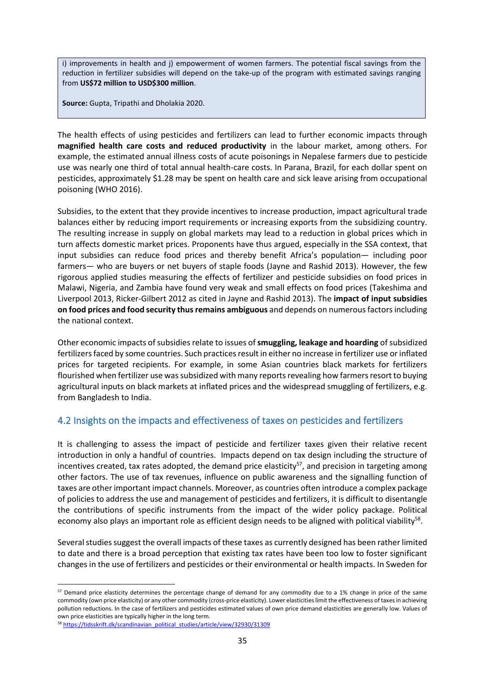i) improvements in health and j) empowerment of women farmers. The potential fiscal savings from the reduction in fertilizer subsidies will depend on the take-up of the program with estimated savings ranging from **US\$72 million to USD\$300 million**.

**Source:** Gupta, Tripathi and Dholakia 2020.

The health effects of using pesticides and fertilizers can lead to further economic impacts through **magnified health care costs and reduced productivity** in the labour market, among others. For example, the estimated annual illness costs of acute poisonings in Nepalese farmers due to pesticide use was nearly one third of total annual health-care costs. In Parana, Brazil, for each dollar spent on pesticides, approximately \$1.28 may be spent on health care and sick leave arising from occupational poisoning (WHO 2016).

Subsidies, to the extent that they provide incentives to increase production, impact agricultural trade balances either by reducing import requirements or increasing exports from the subsidizing country. The resulting increase in supply on global markets may lead to a reduction in global prices which in turn affects domestic market prices. Proponents have thus argued, especially in the SSA context, that input subsidies can reduce food prices and thereby benefit Africa's population— including poor farmers— who are buyers or net buyers of staple foods (Jayne and Rashid 2013). However, the few rigorous applied studies measuring the effects of fertilizer and pesticide subsidies on food prices in Malawi, Nigeria, and Zambia have found very weak and small effects on food prices (Takeshima and Liverpool 2013, Ricker-Gilbert 2012 as cited in Jayne and Rashid 2013). The **impact of input subsidies on food prices and food security thus remains ambiguous** and depends on numerous factors including the national context.

Other economic impacts of subsidies relate to issues of **smuggling, leakage and hoarding** of subsidized fertilizersfaced by some countries. Such practices result in either no increase in fertilizer use or inflated prices for targeted recipients. For example, in some Asian countries black markets for fertilizers flourished when fertilizer use was subsidized with many reports revealing how farmers resort to buying agricultural inputs on black markets at inflated prices and the widespread smuggling of fertilizers, e.g. from Bangladesh to India.

### <span id="page-34-0"></span>4.2 Insights on the impacts and effectiveness of taxes on pesticides and fertilizers

It is challenging to assess the impact of pesticide and fertilizer taxes given their relative recent introduction in only a handful of countries. Impacts depend on tax design including the structure of incentives created, tax rates adopted, the demand price elasticity<sup>57</sup>, and precision in targeting among other factors. The use of tax revenues, influence on public awareness and the signalling function of taxes are other important impact channels. Moreover, as countries often introduce a complex package of policies to address the use and management of pesticides and fertilizers, it is difficult to disentangle the contributions of specific instruments from the impact of the wider policy package. Political economy also plays an important role as efficient design needs to be aligned with political viability<sup>58</sup>.

Several studies suggest the overall impacts of these taxes as currently designed has been rather limited to date and there is a broad perception that existing tax rates have been too low to foster significant changes in the use of fertilizers and pesticides or their environmental or health impacts. In Sweden for

<sup>57</sup> Demand price elasticity determines the percentage change of demand for any commodity due to a 1% change in price of the same commodity (own price elasticity) or any other commodity (cross-price elasticity). Lower elasticities limit the effectiveness of taxes in achieving pollution reductions. In the case of fertilizers and pesticides estimated values of own price demand elasticities are generally low. Values of own price elasticities are typically higher in the long term.

<sup>58</sup> [https://tidsskrift.dk/scandinavian\\_political\\_studies/article/view/32930/31309](https://tidsskrift.dk/scandinavian_political_studies/article/view/32930/31309)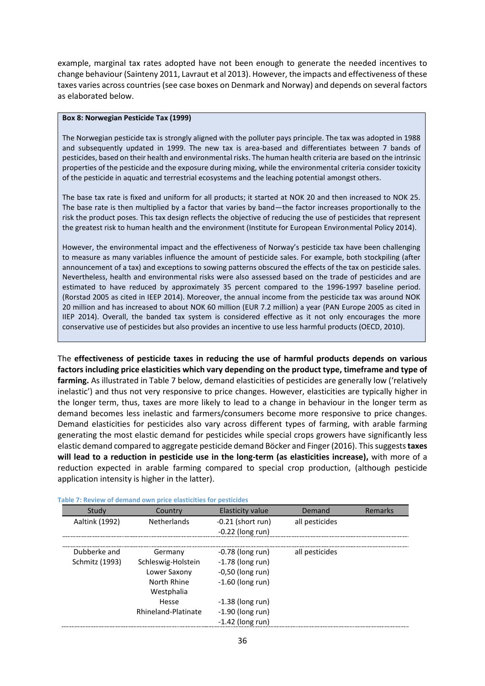example, marginal tax rates adopted have not been enough to generate the needed incentives to change behaviour (Sainteny 2011, Lavraut et al 2013). However, the impacts and effectiveness of these taxes varies across countries (see case boxes on Denmark and Norway) and depends on several factors as elaborated below.

#### <span id="page-35-1"></span>**Box 8: Norwegian Pesticide Tax (1999)**

The Norwegian pesticide tax is strongly aligned with the polluter pays principle. The tax was adopted in 1988 and subsequently updated in 1999. The new tax is area-based and differentiates between 7 bands of pesticides, based on their health and environmental risks. The human health criteria are based on the intrinsic properties of the pesticide and the exposure during mixing, while the environmental criteria consider toxicity of the pesticide in aquatic and terrestrial ecosystems and the leaching potential amongst others.

The base tax rate is fixed and uniform for all products; it started at NOK 20 and then increased to NOK 25. The base rate is then multiplied by a factor that varies by band—the factor increases proportionally to the risk the product poses. This tax design reflects the objective of reducing the use of pesticides that represent the greatest risk to human health and the environment (Institute for European Environmental Policy 2014).

However, the environmental impact and the effectiveness of Norway's pesticide tax have been challenging to measure as many variables influence the amount of pesticide sales. For example, both stockpiling (after announcement of a tax) and exceptions to sowing patterns obscured the effects of the tax on pesticide sales. Nevertheless, health and environmental risks were also assessed based on the trade of pesticides and are estimated to have reduced by approximately 35 percent compared to the 1996-1997 baseline period. (Rorstad 2005 as cited in IEEP 2014). Moreover, the annual income from the pesticide tax was around NOK 20 million and has increased to about NOK 60 million (EUR 7.2 million) a year (PAN Europe 2005 as cited in IIEP 2014). Overall, the banded tax system is considered effective as it not only encourages the more conservative use of pesticides but also provides an incentive to use less harmful products (OECD, 2010).

The **effectiveness of pesticide taxes in reducing the use of harmful products depends on various factors including price elasticities which vary depending on the product type, timeframe and type of farming.** As illustrated in [Table 7](#page-35-0) below, demand elasticities of pesticides are generally low ('relatively inelastic') and thus not very responsive to price changes. However, elasticities are typically higher in the longer term, thus, taxes are more likely to lead to a change in behaviour in the longer term as demand becomes less inelastic and farmers/consumers become more responsive to price changes. Demand elasticities for pesticides also vary across different types of farming, with arable farming generating the most elastic demand for pesticides while special crops growers have significantly less elastic demand compared to aggregate pesticide demand Böcker and Finger (2016). Thissuggests**taxes will lead to a reduction in pesticide use in the long-term (as elasticities increase),** with more of a reduction expected in arable farming compared to special crop production, (although pesticide application intensity is higher in the latter).

| Study          | Country             | <b>Elasticity value</b> | Demand         | Remarks |
|----------------|---------------------|-------------------------|----------------|---------|
| Aaltink (1992) | <b>Netherlands</b>  | $-0.21$ (short run)     | all pesticides |         |
|                |                     | $-0.22$ (long run)      |                |         |
| Dubberke and   | Germany             |                         |                |         |
|                |                     | $-0.78$ (long run)      | all pesticides |         |
| Schmitz (1993) | Schleswig-Holstein  | $-1.78$ (long run)      |                |         |
|                | Lower Saxony        | $-0,50$ (long run)      |                |         |
|                | North Rhine         | $-1.60$ (long run)      |                |         |
|                | Westphalia          |                         |                |         |
|                | Hesse               | $-1.38$ (long run)      |                |         |
|                | Rhineland-Platinate | $-1.90$ (long run)      |                |         |
|                |                     | $-1.42$ (long run)      |                |         |

#### <span id="page-35-0"></span>**Table 7: Review of demand own price elasticities for pesticides**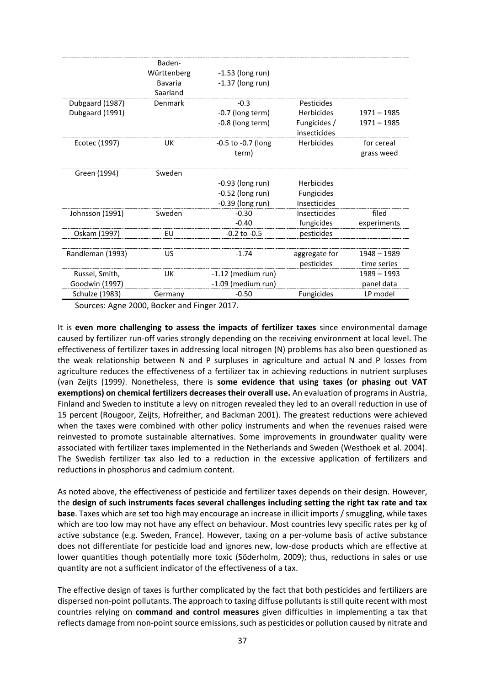|                  | Baden-      |                        |                              |               |
|------------------|-------------|------------------------|------------------------------|---------------|
|                  | Württenberg | $-1.53$ (long run)     |                              |               |
|                  | Bavaria     | $-1.37$ (long run)     |                              |               |
|                  | Saarland    |                        |                              |               |
| Dubgaard (1987)  | Denmark     | $-0.3$                 | Pesticides                   |               |
| Dubgaard (1991)  |             | -0.7 (long term)       | <b>Herbicides</b>            | $1971 - 1985$ |
|                  |             | -0.8 (long term)       | Fungicides /<br>insecticides | $1971 - 1985$ |
| Ecotec (1997)    | UK          | $-0.5$ to $-0.7$ (long | Herbicides                   | for cereal    |
|                  |             | term)                  |                              | grass weed    |
|                  |             |                        |                              |               |
| Green (1994)     | Sweden      |                        |                              |               |
|                  |             | $-0.93$ (long run)     | <b>Herbicides</b>            |               |
|                  |             | $-0.52$ (long run)     | <b>Fungicides</b>            |               |
|                  |             | $-0.39$ (long run)     | Insecticides                 |               |
| Johnsson (1991)  | Sweden      | $-0.30$                | Insecticides                 | filed         |
|                  |             | $-0.40$                | fungicides                   | experiments   |
| Oskam (1997)     | EU          | $-0.2$ to $-0.5$       | pesticides                   |               |
|                  |             |                        |                              |               |
| Randleman (1993) | US          | $-1.74$                | aggregate for                | 1948 - 1989   |
|                  |             |                        | pesticides                   | time series   |
| Russel, Smith,   | UK          | $-1.12$ (medium run)   |                              | $1989 - 1993$ |
| Goodwin (1997)   |             | $-1.09$ (medium run)   |                              | panel data    |
| Schulze (1983)   | Germany     | $-0.50$                | <b>Fungicides</b>            | LP model      |

Sources: Agne 2000, Bocker and Finger 2017.

It is **even more challenging to assess the impacts of fertilizer taxes** since environmental damage caused by fertilizer run-off varies strongly depending on the receiving environment at local level. The effectiveness of fertilizer taxes in addressing local nitrogen (N) problems has also been questioned as the weak relationship between N and P surpluses in agriculture and actual N and P losses from agriculture reduces the effectiveness of a fertilizer tax in achieving reductions in nutrient surpluses (van Zeijts (1999*)*. Nonetheless, there is **some evidence that using taxes (or phasing out VAT exemptions) on chemical fertilizers decreases their overall use.** An evaluation of programs in Austria, Finland and Sweden to institute a levy on nitrogen revealed they led to an overall reduction in use of 15 percent (Rougoor, Zeijts, Hofreither, and Backman 2001). The greatest reductions were achieved when the taxes were combined with other policy instruments and when the revenues raised were reinvested to promote sustainable alternatives. Some improvements in groundwater quality were associated with fertilizer taxes implemented in the Netherlands and Sweden (Westhoek et al. 2004). The Swedish fertilizer tax also led to a reduction in the excessive application of fertilizers and reductions in phosphorus and cadmium content.

As noted above, the effectiveness of pesticide and fertilizer taxes depends on their design. However, the **design of such instruments faces several challenges including setting the right tax rate and tax base**. Taxes which are set too high may encourage an increase in illicit imports / smuggling, while taxes which are too low may not have any effect on behaviour. Most countries levy specific rates per kg of active substance (e.g. Sweden, France). However, taxing on a per-volume basis of active substance does not differentiate for pesticide load and ignores new, low-dose products which are effective at lower quantities though potentially more toxic (Söderholm, 2009); thus, reductions in sales or use quantity are not a sufficient indicator of the effectiveness of a tax.

The effective design of taxes is further complicated by the fact that both pesticides and fertilizers are dispersed non-point pollutants. The approach to taxing diffuse pollutants is still quite recent with most countries relying on **command and control measures** given difficulties in implementing a tax that reflects damage from non-point source emissions, such as pesticides or pollution caused by nitrate and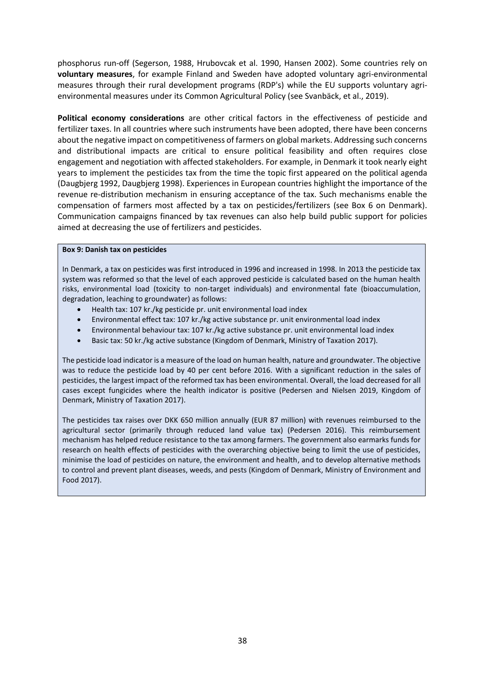phosphorus run-off (Segerson, 1988, Hrubovcak et al. 1990, Hansen 2002). Some countries rely on **voluntary measures**, for example Finland and Sweden have adopted voluntary agri-environmental measures through their rural development programs (RDP's) while the EU supports voluntary agrienvironmental measures under its Common Agricultural Policy (see Svanbäck, et al., 2019).

**Political economy considerations** are other critical factors in the effectiveness of pesticide and fertilizer taxes. In all countries where such instruments have been adopted, there have been concerns about the negative impact on competitiveness of farmers on global markets. Addressing such concerns and distributional impacts are critical to ensure political feasibility and often requires close engagement and negotiation with affected stakeholders. For example, in Denmark it took nearly eight years to implement the pesticides tax from the time the topic first appeared on the political agenda (Daugbjerg 1992, Daugbjerg 1998). Experiences in European countries highlight the importance of the revenue re-distribution mechanism in ensuring acceptance of the tax. Such mechanisms enable the compensation of farmers most affected by a tax on pesticides/fertilizers (see Box 6 on Denmark). Communication campaigns financed by tax revenues can also help build public support for policies aimed at decreasing the use of fertilizers and pesticides.

#### <span id="page-37-0"></span>**Box 9: Danish tax on pesticides**

In Denmark, a tax on pesticides was first introduced in 1996 and increased in 1998. In 2013 the pesticide tax system was reformed so that the level of each approved pesticide is calculated based on the human health risks, environmental load (toxicity to non-target individuals) and environmental fate (bioaccumulation, degradation, leaching to groundwater) as follows:

- Health tax: 107 kr./kg pesticide pr. unit environmental load index
- Environmental effect tax: 107 kr./kg active substance pr. unit environmental load index
- Environmental behaviour tax: 107 kr./kg active substance pr. unit environmental load index
- Basic tax: 50 kr./kg active substance (Kingdom of Denmark, Ministry of Taxation 2017).

The pesticide load indicator is a measure of the load on human health, nature and groundwater. The objective was to reduce the pesticide load by 40 per cent before 2016. With a significant reduction in the sales of pesticides, the largest impact of the reformed tax has been environmental. Overall, the load decreased for all cases except fungicides where the health indicator is positive (Pedersen and Nielsen 2019, Kingdom of Denmark, Ministry of Taxation 2017).

The pesticides tax raises over DKK 650 million annually (EUR 87 million) with revenues reimbursed to the agricultural sector (primarily through reduced land value tax) (Pedersen 2016). This reimbursement mechanism has helped reduce resistance to the tax among farmers. The government also earmarks funds for research on health effects of pesticides with the overarching objective being to limit the use of pesticides, minimise the load of pesticides on nature, the environment and health, and to develop alternative methods to control and prevent plant diseases, weeds, and pests (Kingdom of Denmark, Ministry of Environment and Food 2017).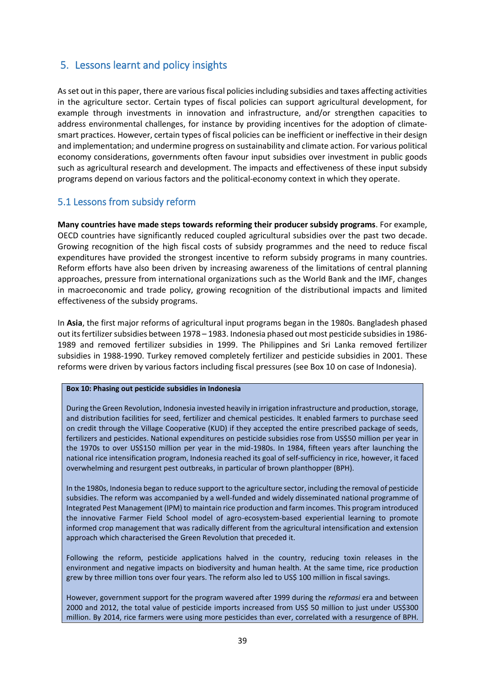# <span id="page-38-0"></span>5. Lessons learnt and policy insights

As set out in this paper, there are various fiscal policies including subsidies and taxes affecting activities in the agriculture sector. Certain types of fiscal policies can support agricultural development, for example through investments in innovation and infrastructure, and/or strengthen capacities to address environmental challenges, for instance by providing incentives for the adoption of climatesmart practices. However, certain types of fiscal policies can be inefficient or ineffective in their design and implementation; and undermine progress on sustainability and climate action. For various political economy considerations, governments often favour input subsidies over investment in public goods such as agricultural research and development. The impacts and effectiveness of these input subsidy programs depend on various factors and the political-economy context in which they operate.

### <span id="page-38-1"></span>5.1 Lessons from subsidy reform

**Many countries have made steps towards reforming their producer subsidy programs**. For example, OECD countries have significantly reduced coupled agricultural subsidies over the past two decade. Growing recognition of the high fiscal costs of subsidy programmes and the need to reduce fiscal expenditures have provided the strongest incentive to reform subsidy programs in many countries. Reform efforts have also been driven by increasing awareness of the limitations of central planning approaches, pressure from international organizations such as the World Bank and the IMF, changes in macroeconomic and trade policy, growing recognition of the distributional impacts and limited effectiveness of the subsidy programs.

In **Asia**, the first major reforms of agricultural input programs began in the 1980s. Bangladesh phased out its fertilizer subsidies between 1978 – 1983. Indonesia phased out most pesticide subsidies in 1986- 1989 and removed fertilizer subsidies in 1999. The Philippines and Sri Lanka removed fertilizer subsidies in 1988-1990. Turkey removed completely fertilizer and pesticide subsidies in 2001. These reforms were driven by various factors including fiscal pressures (see Box 10 on case of Indonesia).

#### <span id="page-38-2"></span>**Box 10: Phasing out pesticide subsidies in Indonesia**

During the Green Revolution, Indonesia invested heavily in irrigation infrastructure and production, storage, and distribution facilities for seed, fertilizer and chemical pesticides. It enabled farmers to purchase seed on credit through the Village Cooperative (KUD) if they accepted the entire prescribed package of seeds, fertilizers and pesticides. National expenditures on pesticide subsidies rose from US\$50 million per year in the 1970s to over US\$150 million per year in the mid-1980s. In 1984, fifteen years after launching the national rice intensification program, Indonesia reached its goal of self-sufficiency in rice, however, it faced overwhelming and resurgent pest outbreaks, in particular of brown planthopper (BPH).

In the 1980s, Indonesia began to reduce support to the agriculture sector, including the removal of pesticide subsidies. The reform was accompanied by a well-funded and widely disseminated national programme of Integrated Pest Management (IPM) to maintain rice production and farm incomes. This program introduced the innovative Farmer Field School model of agro-ecosystem-based experiential learning to promote informed crop management that was radically different from the agricultural intensification and extension approach which characterised the Green Revolution that preceded it.

Following the reform, pesticide applications halved in the country, reducing toxin releases in the environment and negative impacts on biodiversity and human health. At the same time, rice production grew by three million tons over four years. The reform also led to US\$ 100 million in fiscal savings.

However, government support for the program wavered after 1999 during the *reformasi* era and between 2000 and 2012, the total value of pesticide imports increased from US\$ 50 million to just under US\$300 million. By 2014, rice farmers were using more pesticides than ever, correlated with a resurgence of BPH.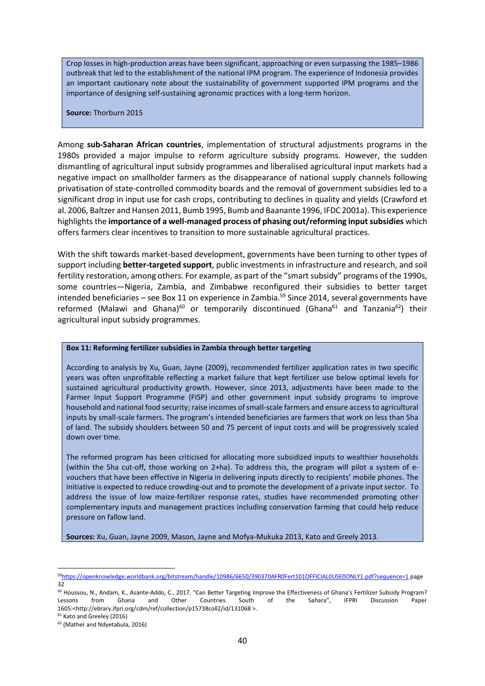Crop losses in high-production areas have been significant, approaching or even surpassing the 1985–1986 outbreak that led to the establishment of the national IPM program. The experience of Indonesia provides an important cautionary note about the sustainability of government supported IPM programs and the importance of designing self-sustaining agronomic practices with a long-term horizon.

**Source:** Thorburn 2015

Among **sub-Saharan African countries**, implementation of structural adjustments programs in the 1980s provided a major impulse to reform agriculture subsidy programs. However, the sudden dismantling of agricultural input subsidy programmes and liberalised agricultural input markets had a negative impact on smallholder farmers as the disappearance of national supply channels following privatisation of state-controlled commodity boards and the removal of government subsidies led to a significant drop in input use for cash crops, contributing to declines in quality and yields (Crawford et al. 2006, Baltzer and Hansen 2011, Bumb 1995, Bumb and Baanante 1996, IFDC 2001a). This experience highlights the **importance of a well-managed process of phasing out/reforming input subsidies** which offers farmers clear incentives to transition to more sustainable agricultural practices.

With the shift towards market-based development, governments have been turning to other types of support including **better-targeted support**, public investments in infrastructure and research, and soil fertility restoration, among others. For example, as part of the "smart subsidy" programs of the 1990s, some countries—Nigeria, Zambia, and Zimbabwe reconfigured their subsidies to better target intended beneficiaries – see Box 11 on experience in Zambia. <sup>59</sup> Since 2014, several governments have reformed (Malawi and Ghana)<sup>60</sup> or temporarily discontinued (Ghana<sup>61</sup> and Tanzania<sup>62</sup>) their agricultural input subsidy programmes.

#### <span id="page-39-0"></span>**Box 11: Reforming fertilizer subsidies in Zambia through better targeting**

According to analysis by Xu, Guan, Jayne (2009), recommended fertilizer application rates in two specific years was often unprofitable reflecting a market failure that kept fertilizer use below optimal levels for sustained agricultural productivity growth. However, since 2013, adjustments have been made to the Farmer Input Support Programme (FISP) and other government input subsidy programs to improve household and national food security; raise incomes ofsmall-scale farmers and ensure access to agricultural inputs by small-scale farmers. The program's intended beneficiaries are farmers that work on less than 5ha of land. The subsidy shoulders between 50 and 75 percent of input costs and will be progressively scaled down over time.

The reformed program has been criticised for allocating more subsidized inputs to wealthier households (within the 5ha cut-off, those working on 2+ha). To address this, the program will pilot a system of evouchers that have been effective in Nigeria in delivering inputs directly to recipients' mobile phones. The initiative is expected to reduce crowding-out and to promote the development of a private input sector. To address the issue of low maize-fertilizer response rates, studies have recommended promoting other complementary inputs and management practices including conservation farming that could help reduce pressure on fallow land.

**Sources:** Xu, Guan, Jayne 2009, Mason, Jayne and Mofya-Mukuka 2013, Kato and Greely 2013.

<sup>59</sup><https://openknowledge.worldbank.org/bitstream/handle/10986/6650/390370AFR0Fert101OFFICIAL0USE0ONLY1.pdf?sequence=1> page 32

<sup>60</sup> Houssou, N., Andam, K., Asante-Addo, C., 2017. "Can Better Targeting Improve the Effectiveness of Ghana's Fertilizer Subsidy Program? Lessons from Ghana and Other Countries South of the Sahara", IFPRI Discussion Paper 1605:<http://ebrary.ifpri.org/cdm/ref/collection/p15738coll2/id/131068 >.

<sup>&</sup>lt;sup>61</sup> Kato and Greeley (2016)

<sup>62</sup> (Mather and Ndyetabula, 2016)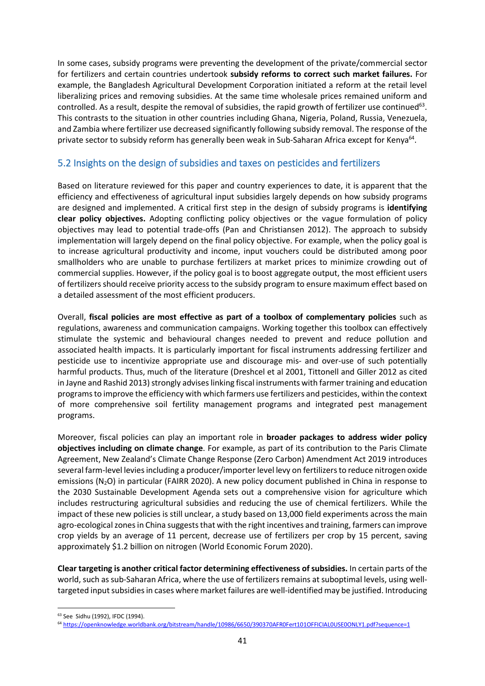In some cases, subsidy programs were preventing the development of the private/commercial sector for fertilizers and certain countries undertook **subsidy reforms to correct such market failures.** For example, the Bangladesh Agricultural Development Corporation initiated a reform at the retail level liberalizing prices and removing subsidies. At the same time wholesale prices remained uniform and controlled. As a result, despite the removal of subsidies, the rapid growth of fertilizer use continued<sup>63</sup>. This contrasts to the situation in other countries including Ghana, Nigeria, Poland, Russia, Venezuela, and Zambia where fertilizer use decreased significantly following subsidy removal. The response of the private sector to subsidy reform has generally been weak in Sub-Saharan Africa except for Kenya<sup>64</sup>.

### <span id="page-40-0"></span>5.2 Insights on the design of subsidies and taxes on pesticides and fertilizers

Based on literature reviewed for this paper and country experiences to date, it is apparent that the efficiency and effectiveness of agricultural input subsidies largely depends on how subsidy programs are designed and implemented. A critical first step in the design of subsidy programs is **identifying clear policy objectives.** Adopting conflicting policy objectives or the vague formulation of policy objectives may lead to potential trade-offs (Pan and Christiansen 2012). The approach to subsidy implementation will largely depend on the final policy objective. For example, when the policy goal is to increase agricultural productivity and income, input vouchers could be distributed among poor smallholders who are unable to purchase fertilizers at market prices to minimize crowding out of commercial supplies. However, if the policy goal is to boost aggregate output, the most efficient users of fertilizers should receive priority access to the subsidy program to ensure maximum effect based on a detailed assessment of the most efficient producers.

Overall, **fiscal policies are most effective as part of a toolbox of complementary policies** such as regulations, awareness and communication campaigns. Working together this toolbox can effectively stimulate the systemic and behavioural changes needed to prevent and reduce pollution and associated health impacts. It is particularly important for fiscal instruments addressing fertilizer and pesticide use to incentivize appropriate use and discourage mis- and over-use of such potentially harmful products. Thus, much of the literature (Dreshcel et al 2001, Tittonell and Giller 2012 as cited in Jayne and Rashid 2013) strongly advises linking fiscal instruments with farmer training and education programs to improve the efficiency with which farmers use fertilizers and pesticides, within the context of more comprehensive soil fertility management programs and integrated pest management programs.

Moreover, fiscal policies can play an important role in **broader packages to address wider policy objectives including on climate change**. For example, as part of its contribution to the Paris Climate Agreement, New Zealand's Climate Change Response (Zero Carbon) Amendment Act 2019 introduces several farm-level levies including a producer/importer level levy on fertilizers to reduce nitrogen oxide emissions ( $N_2$ O) in particular (FAIRR 2020). A new policy document published in China in response to the 2030 Sustainable Development Agenda sets out a comprehensive vision for agriculture which includes restructuring agricultural subsidies and reducing the use of chemical fertilizers. While the impact of these new policies is still unclear, a study based on 13,000 field experiments across the main agro-ecological zones in China suggests that with the right incentives and training, farmers can improve crop yields by an average of 11 percent, decrease use of fertilizers per crop by 15 percent, saving approximately \$1.2 billion on nitrogen (World Economic Forum 2020).

**Clear targeting is another critical factor determining effectiveness of subsidies.** In certain parts of the world, such as sub-Saharan Africa, where the use of fertilizers remains at suboptimal levels, using welltargeted input subsidiesin cases where market failures are well-identified may be justified. Introducing

<sup>63</sup> See Sidhu (1992), IFDC (1994).

<sup>64</sup> <https://openknowledge.worldbank.org/bitstream/handle/10986/6650/390370AFR0Fert101OFFICIAL0USE0ONLY1.pdf?sequence=1>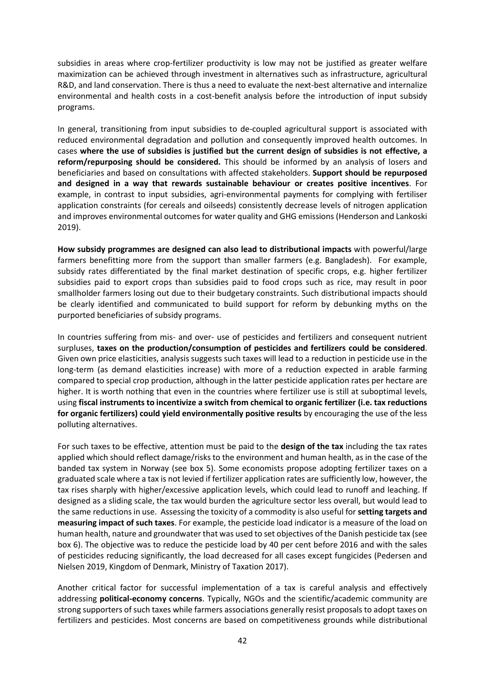subsidies in areas where crop-fertilizer productivity is low may not be justified as greater welfare maximization can be achieved through investment in alternatives such as infrastructure, agricultural R&D, and land conservation. There is thus a need to evaluate the next-best alternative and internalize environmental and health costs in a cost-benefit analysis before the introduction of input subsidy programs.

In general, transitioning from input subsidies to de-coupled agricultural support is associated with reduced environmental degradation and pollution and consequently improved health outcomes. In cases **where the use of subsidies is justified but the current design of subsidies is not effective, a reform/repurposing should be considered.** This should be informed by an analysis of losers and beneficiaries and based on consultations with affected stakeholders. **Support should be repurposed and designed in a way that rewards sustainable behaviour or creates positive incentives**. For example, in contrast to input subsidies, agri-environmental payments for complying with fertiliser application constraints (for cereals and oilseeds) consistently decrease levels of nitrogen application and improves environmental outcomes for water quality and GHG emissions (Henderson and Lankoski 2019).

**How subsidy programmes are designed can also lead to distributional impacts** with powerful/large farmers benefitting more from the support than smaller farmers (e.g. Bangladesh). For example, subsidy rates differentiated by the final market destination of specific crops, e.g. higher fertilizer subsidies paid to export crops than subsidies paid to food crops such as rice, may result in poor smallholder farmers losing out due to their budgetary constraints. Such distributional impacts should be clearly identified and communicated to build support for reform by debunking myths on the purported beneficiaries of subsidy programs.

In countries suffering from mis- and over- use of pesticides and fertilizers and consequent nutrient surpluses, **taxes on the production/consumption of pesticides and fertilizers could be considered**. Given own price elasticities, analysis suggests such taxes will lead to a reduction in pesticide use in the long-term (as demand elasticities increase) with more of a reduction expected in arable farming compared to special crop production, although in the latter pesticide application rates per hectare are higher. It is worth nothing that even in the countries where fertilizer use is still at suboptimal levels, using **fiscal instruments to incentivize a switch from chemical to organic fertilizer (i.e. tax reductions for organic fertilizers) could yield environmentally positive results** by encouraging the use of the less polluting alternatives.

For such taxes to be effective, attention must be paid to the **design of the tax** including the tax rates applied which should reflect damage/risks to the environment and human health, as in the case of the banded tax system in Norway (see box 5). Some economists propose adopting fertilizer taxes on a graduated scale where a tax is not levied if fertilizer application rates are sufficiently low, however, the tax rises sharply with higher/excessive application levels, which could lead to runoff and leaching. If designed as a sliding scale, the tax would burden the agriculture sector less overall, but would lead to the same reductions in use. Assessing the toxicity of a commodity is also useful for **setting targets and measuring impact of such taxes**. For example, the pesticide load indicator is a measure of the load on human health, nature and groundwater that was used to set objectives of the Danish pesticide tax (see box 6). The objective was to reduce the pesticide load by 40 per cent before 2016 and with the sales of pesticides reducing significantly, the load decreased for all cases except fungicides (Pedersen and Nielsen 2019, Kingdom of Denmark, Ministry of Taxation 2017).

Another critical factor for successful implementation of a tax is careful analysis and effectively addressing **political-economy concerns**. Typically, NGOs and the scientific/academic community are strong supporters of such taxes while farmers associations generally resist proposals to adopt taxes on fertilizers and pesticides. Most concerns are based on competitiveness grounds while distributional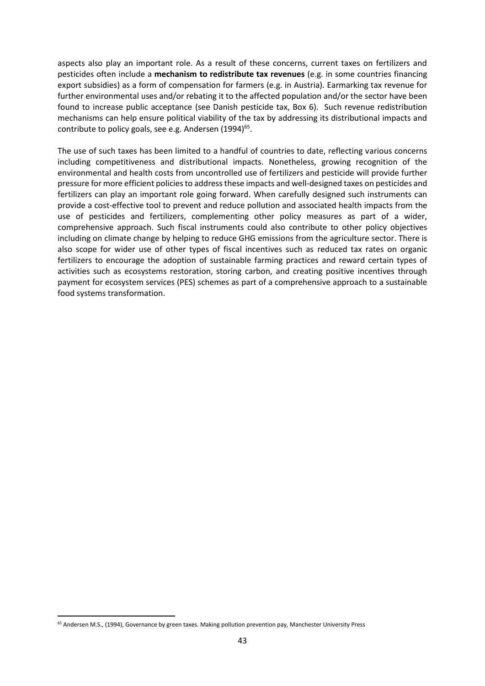aspects also play an important role. As a result of these concerns, current taxes on fertilizers and pesticides often include a **mechanism to redistribute tax revenues** (e.g. in some countries financing export subsidies) as a form of compensation for farmers (e.g. in Austria). Earmarking tax revenue for further environmental uses and/or rebating it to the affected population and/or the sector have been found to increase public acceptance (see Danish pesticide tax, Box 6). Such revenue redistribution mechanisms can help ensure political viability of the tax by addressing its distributional impacts and contribute to policy goals, see e.g. Andersen  $(1994)^{65}$ .

The use of such taxes has been limited to a handful of countries to date, reflecting various concerns including competitiveness and distributional impacts. Nonetheless, growing recognition of the environmental and health costs from uncontrolled use of fertilizers and pesticide will provide further pressure for more efficient policies to address these impacts and well-designed taxes on pesticides and fertilizers can play an important role going forward. When carefully designed such instruments can provide a cost-effective tool to prevent and reduce pollution and associated health impacts from the use of pesticides and fertilizers, complementing other policy measures as part of a wider, comprehensive approach. Such fiscal instruments could also contribute to other policy objectives including on climate change by helping to reduce GHG emissions from the agriculture sector. There is also scope for wider use of other types of fiscal incentives such as reduced tax rates on organic fertilizers to encourage the adoption of sustainable farming practices and reward certain types of activities such as ecosystems restoration, storing carbon, and creating positive incentives through payment for ecosystem services (PES) schemes as part of a comprehensive approach to a sustainable food systems transformation.

<sup>65</sup> Andersen M.S., (1994), Governance by green taxes. Making pollution prevention pay, Manchester University Press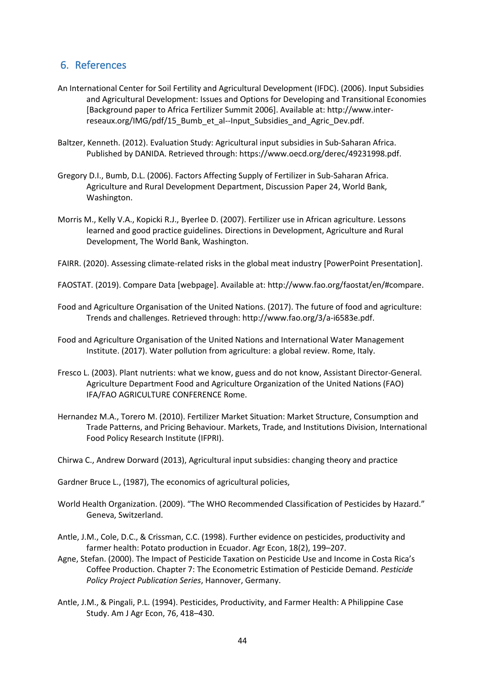### <span id="page-43-0"></span>6. References

- An International Center for Soil Fertility and Agricultural Development (IFDC). (2006). Input Subsidies and Agricultural Development: Issues and Options for Developing and Transitional Economies [Background paper to Africa Fertilizer Summit 2006]. Available at: http://www.interreseaux.org/IMG/pdf/15 Bumb et al--Input Subsidies and Agric Dev.pdf.
- Baltzer, Kenneth. (2012). Evaluation Study: Agricultural input subsidies in Sub-Saharan Africa. Published by DANIDA. Retrieved through: https://www.oecd.org/derec/49231998.pdf.
- Gregory D.I., Bumb, D.L. (2006). Factors Affecting Supply of Fertilizer in Sub-Saharan Africa. Agriculture and Rural Development Department, Discussion Paper 24, World Bank, Washington.
- Morris M., Kelly V.A., Kopicki R.J., Byerlee D. (2007). Fertilizer use in African agriculture. Lessons learned and good practice guidelines. Directions in Development, Agriculture and Rural Development, The World Bank, Washington.
- FAIRR. (2020). Assessing climate-related risks in the global meat industry [PowerPoint Presentation].
- FAOSTAT. (2019). Compare Data [webpage]. Available at: http://www.fao.org/faostat/en/#compare.
- Food and Agriculture Organisation of the United Nations. (2017). The future of food and agriculture: Trends and challenges. Retrieved through: http://www.fao.org/3/a-i6583e.pdf.
- Food and Agriculture Organisation of the United Nations and International Water Management Institute. (2017). Water pollution from agriculture: a global review. Rome, Italy.
- Fresco L. (2003). Plant nutrients: what we know, guess and do not know, Assistant Director-General. Agriculture Department Food and Agriculture Organization of the United Nations (FAO) IFA/FAO AGRICULTURE CONFERENCE Rome.
- Hernandez M.A., Torero M. (2010). Fertilizer Market Situation: Market Structure, Consumption and Trade Patterns, and Pricing Behaviour. Markets, Trade, and Institutions Division, International Food Policy Research Institute (IFPRI).
- Chirwa C., Andrew Dorward (2013), Agricultural input subsidies: changing theory and practice
- Gardner Bruce L., (1987), The economics of agricultural policies,
- World Health Organization. (2009). "The WHO Recommended Classification of Pesticides by Hazard." Geneva, Switzerland.
- Antle, J.M., Cole, D.C., & Crissman, C.C. (1998). Further evidence on pesticides, productivity and farmer health: Potato production in Ecuador. Agr Econ, 18(2), 199–207.
- Agne, Stefan. (2000). The Impact of Pesticide Taxation on Pesticide Use and Income in Costa Rica's Coffee Production. Chapter 7: The Econometric Estimation of Pesticide Demand. *Pesticide Policy Project Publication Series*, Hannover, Germany.
- Antle, J.M., & Pingali, P.L. (1994). Pesticides, Productivity, and Farmer Health: A Philippine Case Study. Am J Agr Econ, 76, 418–430.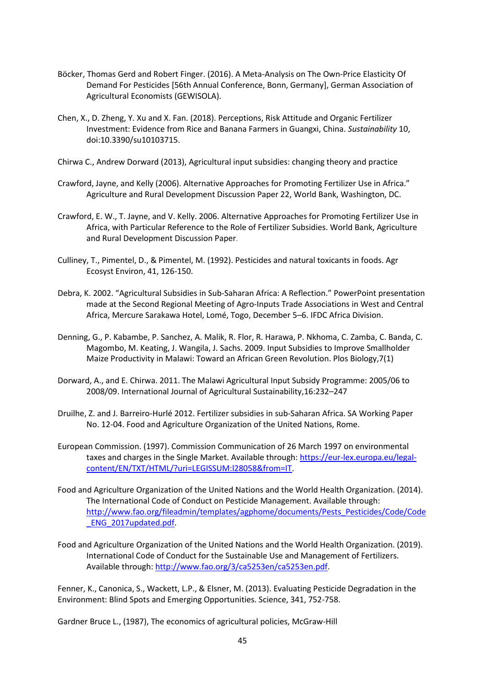- Böcker, Thomas Gerd and Robert Finger. (2016). A Meta-Analysis on The Own-Price Elasticity Of Demand For Pesticides [56th Annual Conference, Bonn, Germany], German Association of Agricultural Economists (GEWISOLA).
- Chen, X., D. Zheng, Y. Xu and X. Fan. (2018). Perceptions, Risk Attitude and Organic Fertilizer Investment: Evidence from Rice and Banana Farmers in Guangxi, China. *Sustainability* 10, doi:10.3390/su10103715.
- Chirwa C., Andrew Dorward (2013), Agricultural input subsidies: changing theory and practice
- Crawford, Jayne, and Kelly (2006). Alternative Approaches for Promoting Fertilizer Use in Africa." Agriculture and Rural Development Discussion Paper 22, World Bank, Washington, DC.
- Crawford, E. W., T. Jayne, and V. Kelly. 2006. Alternative Approaches for Promoting Fertilizer Use in Africa, with Particular Reference to the Role of Fertilizer Subsidies. World Bank, Agriculture and Rural Development Discussion Paper.
- Culliney, T., Pimentel, D., & Pimentel, M. (1992). Pesticides and natural toxicants in foods. Agr Ecosyst Environ, 41, 126-150.
- Debra, K. 2002. "Agricultural Subsidies in Sub-Saharan Africa: A Reflection." PowerPoint presentation made at the Second Regional Meeting of Agro-Inputs Trade Associations in West and Central Africa, Mercure Sarakawa Hotel, Lomé, Togo, December 5–6. IFDC Africa Division.
- Denning, G., P. Kabambe, P. Sanchez, A. Malik, R. Flor, R. Harawa, P. Nkhoma, C. Zamba, C. Banda, C. Magombo, M. Keating, J. Wangila, J. Sachs. 2009. Input Subsidies to Improve Smallholder Maize Productivity in Malawi: Toward an African Green Revolution. Plos Biology,7(1)
- Dorward, A., and E. Chirwa. 2011. The Malawi Agricultural Input Subsidy Programme: 2005/06 to 2008/09. International Journal of Agricultural Sustainability,16:232–247
- Druilhe, Z. and J. Barreiro-Hurlé 2012. Fertilizer subsidies in sub-Saharan Africa. SA Working Paper No. 12-04. Food and Agriculture Organization of the United Nations, Rome.
- European Commission. (1997). Commission Communication of 26 March 1997 on environmental taxes and charges in the Single Market. Available through: [https://eur-lex.europa.eu/legal](https://eur-lex.europa.eu/legal-content/EN/TXT/HTML/?uri=LEGISSUM:l28058&from=IT)[content/EN/TXT/HTML/?uri=LEGISSUM:l28058&from=IT.](https://eur-lex.europa.eu/legal-content/EN/TXT/HTML/?uri=LEGISSUM:l28058&from=IT)
- Food and Agriculture Organization of the United Nations and the World Health Organization. (2014). The International Code of Conduct on Pesticide Management. Available through: [http://www.fao.org/fileadmin/templates/agphome/documents/Pests\\_Pesticides/Code/Code](http://www.fao.org/fileadmin/templates/agphome/documents/Pests_Pesticides/Code/Code_ENG_2017updated.pdf) [\\_ENG\\_2017updated.pdf.](http://www.fao.org/fileadmin/templates/agphome/documents/Pests_Pesticides/Code/Code_ENG_2017updated.pdf)
- Food and Agriculture Organization of the United Nations and the World Health Organization. (2019). International Code of Conduct for the Sustainable Use and Management of Fertilizers. Available through[: http://www.fao.org/3/ca5253en/ca5253en.pdf.](http://www.fao.org/3/ca5253en/ca5253en.pdf)

Fenner, K., Canonica, S., Wackett, L.P., & Elsner, M. (2013). Evaluating Pesticide Degradation in the Environment: Blind Spots and Emerging Opportunities. Science, 341, 752-758.

Gardner Bruce L., (1987), The economics of agricultural policies, McGraw-Hill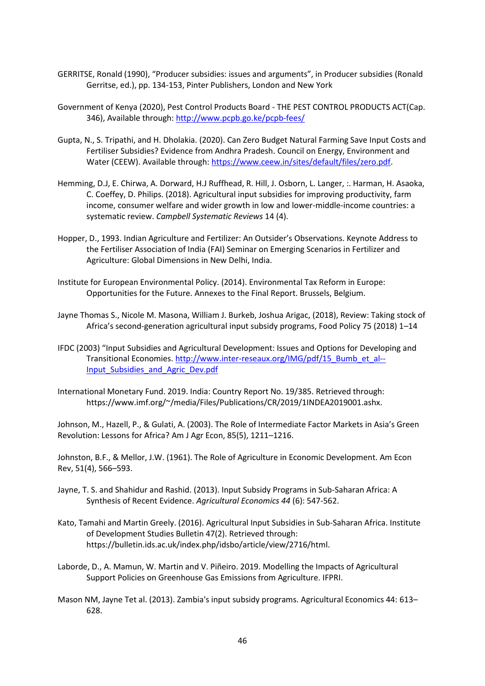- GERRITSE, Ronald (1990), "Producer subsidies: issues and arguments", in Producer subsidies (Ronald Gerritse, ed.), pp. 134-153, Pinter Publishers, London and New York
- Government of Kenya (2020), Pest Control Products Board THE PEST CONTROL PRODUCTS ACT(Cap. 346), Available through:<http://www.pcpb.go.ke/pcpb-fees/>
- Gupta, N., S. Tripathi, and H. Dholakia. (2020). Can Zero Budget Natural Farming Save Input Costs and Fertiliser Subsidies? Evidence from Andhra Pradesh. Council on Energy, Environment and Water (CEEW). Available through[: https://www.ceew.in/sites/default/files/zero.pdf.](https://www.ceew.in/sites/default/files/zero.pdf)
- Hemming, D.J, E. Chirwa, A. Dorward, H.J Ruffhead, R. Hill, J. Osborn, L. Langer, :. Harman, H. Asaoka, C. Coeffey, D. Philips. (2018). Agricultural input subsidies for improving productivity, farm income, consumer welfare and wider growth in low and lower-middle-income countries: a systematic review. *Campbell Systematic Reviews* 14 (4).
- Hopper, D., 1993. Indian Agriculture and Fertilizer: An Outsider's Observations. Keynote Address to the Fertiliser Association of India (FAI) Seminar on Emerging Scenarios in Fertilizer and Agriculture: Global Dimensions in New Delhi, India.
- Institute for European Environmental Policy. (2014). Environmental Tax Reform in Europe: Opportunities for the Future. Annexes to the Final Report. Brussels, Belgium.
- Jayne Thomas S., Nicole M. Masona, William J. Burkeb, Joshua Arigac, (2018), Review: Taking stock of Africa's second-generation agricultural input subsidy programs, Food Policy 75 (2018) 1–14
- IFDC (2003) "Input Subsidies and Agricultural Development: Issues and Options for Developing and Transitional Economies. [http://www.inter-reseaux.org/IMG/pdf/15\\_Bumb\\_et\\_al--](http://www.inter-reseaux.org/IMG/pdf/15_Bumb_et_al--Input_Subsidies_and_Agric_Dev.pdf) [Input\\_Subsidies\\_and\\_Agric\\_Dev.pdf](http://www.inter-reseaux.org/IMG/pdf/15_Bumb_et_al--Input_Subsidies_and_Agric_Dev.pdf)
- International Monetary Fund. 2019. India: Country Report No. 19/385. Retrieved through: https://www.imf.org/~/media/Files/Publications/CR/2019/1INDEA2019001.ashx.

Johnson, M., Hazell, P., & Gulati, A. (2003). The Role of Intermediate Factor Markets in Asia's Green Revolution: Lessons for Africa? Am J Agr Econ, 85(5), 1211–1216.

Johnston, B.F., & Mellor, J.W. (1961). The Role of Agriculture in Economic Development. Am Econ Rev, 51(4), 566–593.

- Jayne, T. S. and Shahidur and Rashid. (2013). Input Subsidy Programs in Sub-Saharan Africa: A Synthesis of Recent Evidence. *Agricultural Economics 44* (6): 547-562.
- Kato, Tamahi and Martin Greely. (2016). Agricultural Input Subsidies in Sub-Saharan Africa. Institute of Development Studies Bulletin 47(2). Retrieved through: https://bulletin.ids.ac.uk/index.php/idsbo/article/view/2716/html.
- Laborde, D., A. Mamun, W. Martin and V. Piñeiro. 2019. Modelling the Impacts of Agricultural Support Policies on Greenhouse Gas Emissions from Agriculture. IFPRI.
- Mason NM, Jayne Tet al. (2013). Zambia's input subsidy programs. Agricultural Economics 44: 613– 628.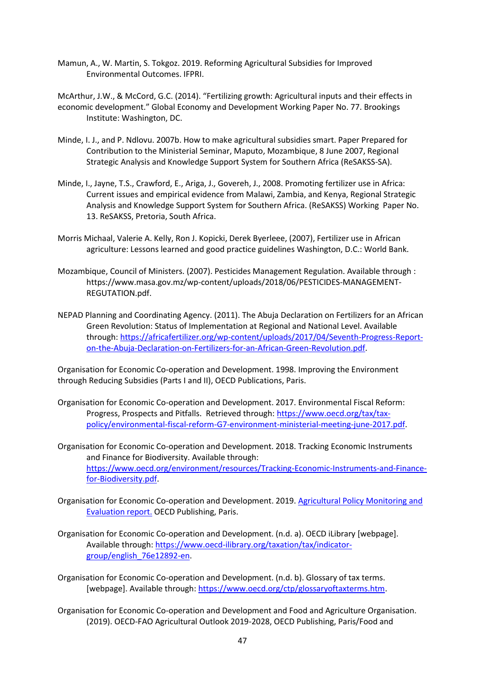Mamun, A., W. Martin, S. Tokgoz. 2019. Reforming Agricultural Subsidies for Improved Environmental Outcomes. IFPRI.

McArthur, J.W., & McCord, G.C. (2014). "Fertilizing growth: Agricultural inputs and their effects in economic development." Global Economy and Development Working Paper No. 77. Brookings Institute: Washington, DC.

- Minde, I. J., and P. Ndlovu. 2007b. How to make agricultural subsidies smart. Paper Prepared for Contribution to the Ministerial Seminar, Maputo, Mozambique, 8 June 2007, Regional Strategic Analysis and Knowledge Support System for Southern Africa (ReSAKSS-SA).
- Minde, I., Jayne, T.S., Crawford, E., Ariga, J., Govereh, J., 2008. Promoting fertilizer use in Africa: Current issues and empirical evidence from Malawi, Zambia, and Kenya, Regional Strategic Analysis and Knowledge Support System for Southern Africa. (ReSAKSS) Working Paper No. 13. ReSAKSS, Pretoria, South Africa.
- Morris Michaal, Valerie A. Kelly, Ron J. Kopicki, Derek Byerleee, (2007), Fertilizer use in African agriculture: Lessons learned and good practice guidelines Washington, D.C.: World Bank.
- Mozambique, Council of Ministers. (2007). Pesticides Management Regulation. Available through : https://www.masa.gov.mz/wp-content/uploads/2018/06/PESTICIDES-MANAGEMENT-REGUTATION.pdf.
- NEPAD Planning and Coordinating Agency. (2011). The Abuja Declaration on Fertilizers for an African Green Revolution: Status of Implementation at Regional and National Level. Available through[: https://africafertilizer.org/wp-content/uploads/2017/04/Seventh-Progress-Report](https://africafertilizer.org/wp-content/uploads/2017/04/Seventh-Progress-Report-on-the-Abuja-Declaration-on-Fertilizers-for-an-African-Green-Revolution.pdf)[on-the-Abuja-Declaration-on-Fertilizers-for-an-African-Green-Revolution.pdf.](https://africafertilizer.org/wp-content/uploads/2017/04/Seventh-Progress-Report-on-the-Abuja-Declaration-on-Fertilizers-for-an-African-Green-Revolution.pdf)

Organisation for Economic Co-operation and Development. 1998. Improving the Environment through Reducing Subsidies (Parts I and II), OECD Publications, Paris.

- Organisation for Economic Co-operation and Development. 2017. Environmental Fiscal Reform: Progress, Prospects and Pitfalls. Retrieved through: [https://www.oecd.org/tax/tax](https://www.oecd.org/tax/tax-policy/environmental-fiscal-reform-G7-environment-ministerial-meeting-june-2017.pdf)[policy/environmental-fiscal-reform-G7-environment-ministerial-meeting-june-2017.pdf.](https://www.oecd.org/tax/tax-policy/environmental-fiscal-reform-G7-environment-ministerial-meeting-june-2017.pdf)
- Organisation for Economic Co-operation and Development. 2018. Tracking Economic Instruments and Finance for Biodiversity. Available through: [https://www.oecd.org/environment/resources/Tracking-Economic-Instruments-and-Finance](https://www.oecd.org/environment/resources/Tracking-Economic-Instruments-and-Finance-for-Biodiversity.pdf)[for-Biodiversity.pdf.](https://www.oecd.org/environment/resources/Tracking-Economic-Instruments-and-Finance-for-Biodiversity.pdf)
- Organisation for Economic Co-operation and Development. 2019. [Agricultural Policy Monitoring and](https://www.oecd-ilibrary.org/agriculture-and-food/agricultural-policy-monitoring-and-evaluation_22217371)  [Evaluation report.](https://www.oecd-ilibrary.org/agriculture-and-food/agricultural-policy-monitoring-and-evaluation_22217371) OECD Publishing, Paris.
- Organisation for Economic Co-operation and Development. (n.d. a). OECD iLibrary [webpage]. Available through[: https://www.oecd-ilibrary.org/taxation/tax/indicator](https://www.oecd-ilibrary.org/taxation/tax/indicator-group/english_76e12892-en)[group/english\\_76e12892-en.](https://www.oecd-ilibrary.org/taxation/tax/indicator-group/english_76e12892-en)
- Organisation for Economic Co-operation and Development. (n.d. b). Glossary of tax terms. [webpage]. Available through: [https://www.oecd.org/ctp/glossaryoftaxterms.htm.](https://www.oecd.org/ctp/glossaryoftaxterms.htm)
- Organisation for Economic Co-operation and Development and Food and Agriculture Organisation. (2019). OECD-FAO Agricultural Outlook 2019-2028, OECD Publishing, Paris/Food and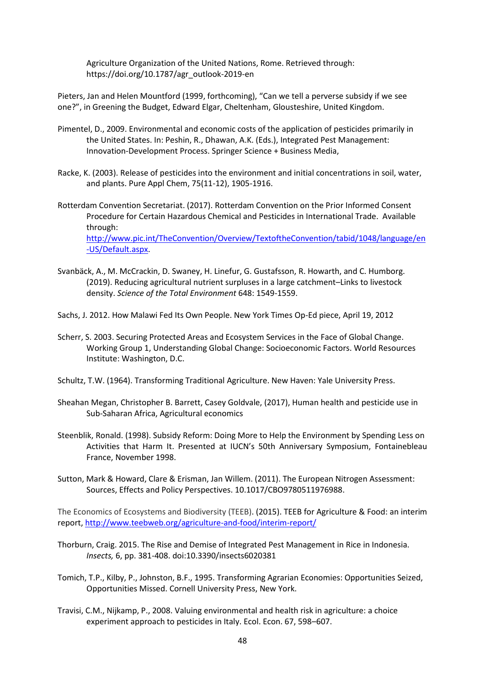Agriculture Organization of the United Nations, Rome. Retrieved through: https://doi.org/10.1787/agr\_outlook-2019-en

Pieters, Jan and Helen Mountford (1999, forthcoming), "Can we tell a perverse subsidy if we see one?", in Greening the Budget, Edward Elgar, Cheltenham, Glousteshire, United Kingdom.

- Pimentel, D., 2009. Environmental and economic costs of the application of pesticides primarily in the United States. In: Peshin, R., Dhawan, A.K. (Eds.), Integrated Pest Management: Innovation-Development Process. Springer Science + Business Media,
- Racke, K. (2003). Release of pesticides into the environment and initial concentrations in soil, water, and plants. Pure Appl Chem, 75(11-12), 1905-1916.
- Rotterdam Convention Secretariat. (2017). Rotterdam Convention on the Prior Informed Consent Procedure for Certain Hazardous Chemical and Pesticides in International Trade. Available through: [http://www.pic.int/TheConvention/Overview/TextoftheConvention/tabid/1048/language/en](http://www.pic.int/TheConvention/Overview/TextoftheConvention/tabid/1048/language/en-US/Default.aspx) [-US/Default.aspx.](http://www.pic.int/TheConvention/Overview/TextoftheConvention/tabid/1048/language/en-US/Default.aspx)
- Svanbäck, A., M. McCrackin, D. Swaney, H. Linefur, G. Gustafsson, R. Howarth, and C. Humborg. (2019). Reducing agricultural nutrient surpluses in a large catchment–Links to livestock density. *Science of the Total Environment* 648: 1549-1559.
- Sachs, J. 2012. How Malawi Fed Its Own People. New York Times Op-Ed piece, April 19, 2012
- Scherr, S. 2003. Securing Protected Areas and Ecosystem Services in the Face of Global Change. Working Group 1, Understanding Global Change: Socioeconomic Factors. World Resources Institute: Washington, D.C.
- Schultz, T.W. (1964). Transforming Traditional Agriculture. New Haven: Yale University Press.
- Sheahan Megan, Christopher B. Barrett, Casey Goldvale, (2017), Human health and pesticide use in Sub-Saharan Africa, Agricultural economics
- Steenblik, Ronald. (1998). Subsidy Reform: Doing More to Help the Environment by Spending Less on Activities that Harm It. Presented at IUCN's 50th Anniversary Symposium, Fontainebleau France, November 1998.
- Sutton, Mark & Howard, Clare & Erisman, Jan Willem. (2011). The European Nitrogen Assessment: Sources, Effects and Policy Perspectives. 10.1017/CBO9780511976988.

The Economics of Ecosystems and Biodiversity (TEEB). (2015). TEEB for Agriculture & Food: an interim report[, http://www.teebweb.org/agriculture-and-food/interim-report/](http://www.teebweb.org/agriculture-and-food/interim-report/)

- Thorburn, Craig. 2015. The Rise and Demise of Integrated Pest Management in Rice in Indonesia. *Insects,* 6, pp. 381-408. doi:10.3390/insects6020381
- Tomich, T.P., Kilby, P., Johnston, B.F., 1995. Transforming Agrarian Economies: Opportunities Seized, Opportunities Missed. Cornell University Press, New York.
- Travisi, C.M., Nijkamp, P., 2008. Valuing environmental and health risk in agriculture: a choice experiment approach to pesticides in Italy. Ecol. Econ. 67, 598–607.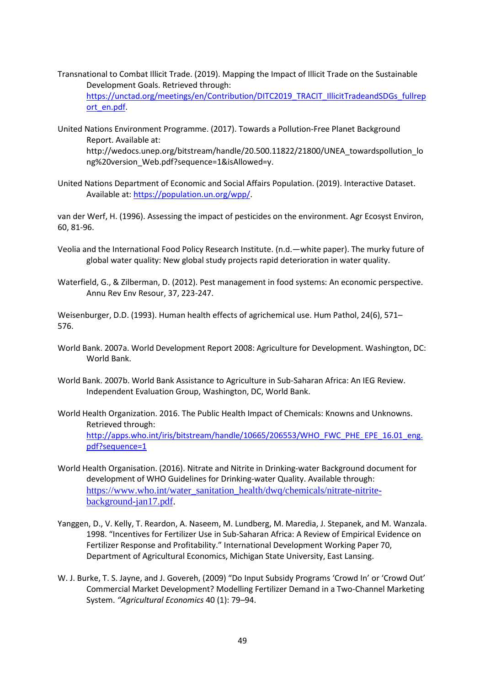- Transnational to Combat Illicit Trade. (2019). Mapping the Impact of Illicit Trade on the Sustainable Development Goals. Retrieved through: [https://unctad.org/meetings/en/Contribution/DITC2019\\_TRACIT\\_IllicitTradeandSDGs\\_fullrep](https://unctad.org/meetings/en/Contribution/DITC2019_TRACIT_IllicitTradeandSDGs_fullreport_en.pdf) [ort\\_en.pdf.](https://unctad.org/meetings/en/Contribution/DITC2019_TRACIT_IllicitTradeandSDGs_fullreport_en.pdf)
- United Nations Environment Programme. (2017). Towards a Pollution-Free Planet Background Report. Available at: http://wedocs.unep.org/bitstream/handle/20.500.11822/21800/UNEA\_towardspollution\_lo ng%20version\_Web.pdf?sequence=1&isAllowed=y.
- United Nations Department of Economic and Social Affairs Population. (2019). Interactive Dataset. Available at: [https://population.un.org/wpp/.](https://population.un.org/wpp/)

van der Werf, H. (1996). Assessing the impact of pesticides on the environment. Agr Ecosyst Environ, 60, 81-96.

- Veolia and the International Food Policy Research Institute. (n.d.—white paper). The murky future of global water quality: New global study projects rapid deterioration in water quality.
- Waterfield, G., & Zilberman, D. (2012). Pest management in food systems: An economic perspective. Annu Rev Env Resour, 37, 223-247.

Weisenburger, D.D. (1993). Human health effects of agrichemical use. Hum Pathol, 24(6), 571– 576.

- World Bank. 2007a. World Development Report 2008: Agriculture for Development. Washington, DC: World Bank.
- World Bank. 2007b. World Bank Assistance to Agriculture in Sub-Saharan Africa: An IEG Review. Independent Evaluation Group, Washington, DC, World Bank.
- World Health Organization. 2016. The Public Health Impact of Chemicals: Knowns and Unknowns. Retrieved through: [http://apps.who.int/iris/bitstream/handle/10665/206553/WHO\\_FWC\\_PHE\\_EPE\\_16.01\\_eng.](http://apps.who.int/iris/bitstream/handle/10665/206553/WHO_FWC_PHE_EPE_16.01_eng.pdf?sequence=1) [pdf?sequence=1](http://apps.who.int/iris/bitstream/handle/10665/206553/WHO_FWC_PHE_EPE_16.01_eng.pdf?sequence=1)
- World Health Organisation. (2016). Nitrate and Nitrite in Drinking-water Background document for development of WHO Guidelines for Drinking-water Quality. Available through: [https://www.who.int/water\\_sanitation\\_health/dwq/chemicals/nitrate-nitrite](https://www.who.int/water_sanitation_health/dwq/chemicals/nitrate-nitrite-background-jan17.pdf)[background-jan17.pdf.](https://www.who.int/water_sanitation_health/dwq/chemicals/nitrate-nitrite-background-jan17.pdf)
- Yanggen, D., V. Kelly, T. Reardon, A. Naseem, M. Lundberg, M. Maredia, J. Stepanek, and M. Wanzala. 1998. "Incentives for Fertilizer Use in Sub-Saharan Africa: A Review of Empirical Evidence on Fertilizer Response and Profitability." International Development Working Paper 70, Department of Agricultural Economics, Michigan State University, East Lansing.
- W. J. Burke, T. S. Jayne, and J. Govereh, (2009) "Do Input Subsidy Programs 'Crowd In' or 'Crowd Out' Commercial Market Development? Modelling Fertilizer Demand in a Two-Channel Marketing System. *"Agricultural Economics* 40 (1): 79–94.